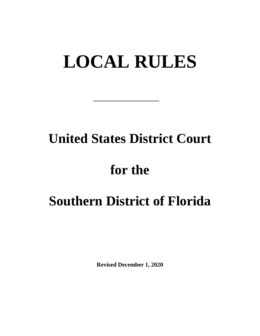# **LOCAL RULES**

## **United States District Court**

# **for the**

# **Southern District of Florida**

**Revised December 1, 2020**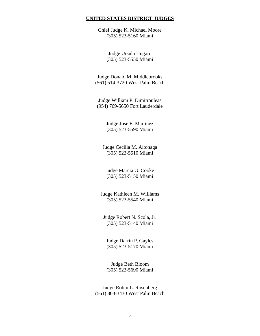#### **UNITED STATES DISTRICT JUDGES**

Chief Judge K. Michael Moore (305) 523-5160 Miami

> Judge Ursula Ungaro (305) 523-5550 Miami

Judge Donald M. Middlebrooks (561) 514-3720 West Palm Beach

Judge William P. Dimitrouleas (954) 769-5650 Fort Lauderdale

> Judge Jose E. Martinez (305) 523-5590 Miami

Judge Cecilia M. Altonaga (305) 523-5510 Miami

Judge Marcia G. Cooke (305) 523-5150 Miami

Judge Kathleen M. Williams (305) 523-5540 Miami

Judge Robert N. Scola, Jr. (305) 523-5140 Miami

Judge Darrin P. Gayles (305) 523-5170 Miami

Judge Beth Bloom (305) 523-5690 Miami

Judge Robin L. Rosenberg (561) 803-3430 West Palm Beach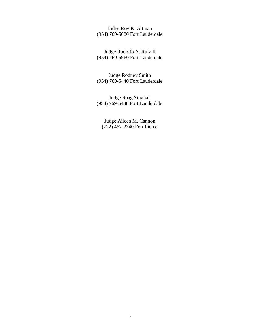Judge Roy K. Altman (954) 769-5680 Fort Lauderdale

Judge Rodolfo A. Ruiz II (954) 769-5560 Fort Lauderdale

Judge Rodney Smith (954) 769-5440 Fort Lauderdale

 Judge Raag Singhal (954) 769-5430 Fort Lauderdale

 Judge Aileen M. Cannon (772) 467-2340 Fort Pierce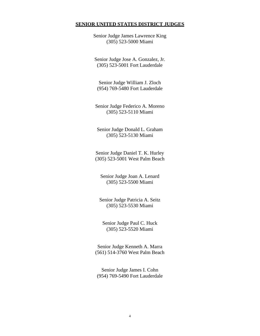#### **SENIOR UNITED STATES DISTRICT JUDGES**

Senior Judge James Lawrence King (305) 523-5000 Miami

Senior Judge Jose A. Gonzalez, Jr. (305) 523-5001 Fort Lauderdale

Senior Judge William J. Zloch (954) 769-5480 Fort Lauderdale

Senior Judge Federico A. Moreno (305) 523-5110 Miami

Senior Judge Donald L. Graham (305) 523-5130 Miami

Senior Judge Daniel T. K. Hurley (305) 523-5001 West Palm Beach

Senior Judge Joan A. Lenard (305) 523-5500 Miami

Senior Judge Patricia A. Seitz (305) 523-5530 Miami

Senior Judge Paul C. Huck (305) 523-5520 Miami

Senior Judge Kenneth A. Marra (561) 514-3760 West Palm Beach

Senior Judge James I. Cohn (954) 769-5490 Fort Lauderdale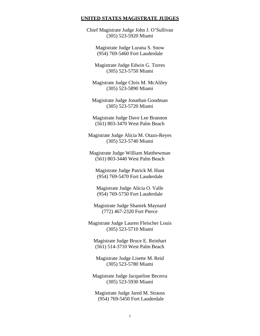#### **UNITED STATES MAGISTRATE JUDGES**

Chief Magistrate Judge John J. O'Sullivan (305) 523-5920 Miami

> Magistrate Judge Lurana S. Snow (954) 769-5460 Fort Lauderdale

Magistrate Judge Edwin G. Torres (305) 523-5750 Miami

Magistrate Judge Chris M. McAliley (305) 523-5890 Miami

Magistrate Judge Jonathan Goodman (305) 523-5720 Miami

Magistrate Judge Dave Lee Brannon (561) 803-3470 West Palm Beach

Magistrate Judge Alicia M. Otazo-Reyes (305) 523-5740 Miami

Magistrate Judge William Matthewman (561) 803-3440 West Palm Beach

Magistrate Judge Patrick M. Hunt (954) 769-5470 Fort Lauderdale

Magistrate Judge Alicia O. Valle (954) 769-5750 Fort Lauderdale

Magistrate Judge Shaniek Maynard (772) 467-2320 Fort Pierce

Magistrate Judge Lauren Fleischer Louis (305) 523-5710 Miami

Magistrate Judge Bruce E. Reinhart (561) 514-3710 West Palm Beach

Magistrate Judge Lisette M. Reid (305) 523-5780 Miami

Magistrate Judge Jacqueline Becerra (305) 523-5930 Miami

Magistrate Judge Jared M. Strauss (954) 769-5450 Fort Lauderdale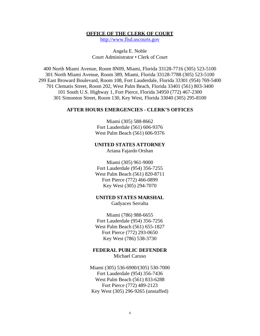#### **OFFICE OF THE CLERK OF COURT**

[http://www.flsd.uscourts.gov](http://www.flsd.uscourts.gov/)

Angela E. Noble Court Administrator • Clerk of Court

400 North Miami Avenue, Room 8N09, Miami, Florida 33128-7716 (305) 523-5100 301 North Miami Avenue, Room 389, Miami, Florida 33128-7788 (305) 523-5100 299 East Broward Boulevard, Room 108, Fort Lauderdale, Florida 33301 (954) 769-5400 701 Clematis Street, Room 202, West Palm Beach, Florida 33401 (561) 803-3400 101 South U.S. Highway 1, Fort Pierce, Florida 34950 (772) 467-2300 301 Simonton Street, Room 130, Key West, Florida 33040 (305) 295-8100

#### **AFTER HOURS EMERGENCIES - CLERK'S OFFICES**

Miami (305) 588-8662 Fort Lauderdale (561) 606-9376 West Palm Beach (561) 606-9376

#### **UNITED STATES ATTORNEY**

Ariana Fajardo Orshan

Miami (305) 961-9000 Fort Lauderdale (954) 356-7255 West Palm Beach (561) 820-8711 Fort Pierce (772) 466-0899 Key West (305) 294-7070

### **UNITED STATES MARSHAL**

Gadyaces Serralta

Miami (786) 988-6655 Fort Lauderdale (954) 356-7256 West Palm Beach (561) 655-1827 Fort Pierce (772) 293-0650 Key West (786) 538-3730

### **FEDERAL PUBLIC DEFENDER**

Michael Caruso

Miami (305) 536-6900/(305) 530-7000 Fort Lauderdale (954) 356-7436 West Palm Beach (561) 833-6288 Fort Pierce (772) 489-2123 Key West (305) 296-9265 (unstaffed)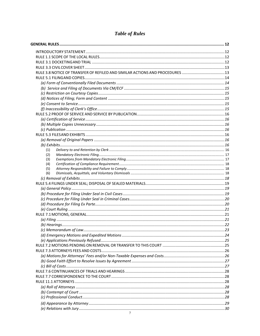| RULE 3.8 NOTICE OF TRANSFER OF REFILED AND SIMILAR ACTIONS AND PROCEDURES 13 |  |
|------------------------------------------------------------------------------|--|
|                                                                              |  |
|                                                                              |  |
|                                                                              |  |
|                                                                              |  |
|                                                                              |  |
|                                                                              |  |
|                                                                              |  |
|                                                                              |  |
|                                                                              |  |
|                                                                              |  |
|                                                                              |  |
|                                                                              |  |
|                                                                              |  |
|                                                                              |  |
| (1)                                                                          |  |
| (2)                                                                          |  |
| (3)                                                                          |  |
| (4)<br>(5)                                                                   |  |
| (6)                                                                          |  |
|                                                                              |  |
|                                                                              |  |
|                                                                              |  |
|                                                                              |  |
|                                                                              |  |
|                                                                              |  |
|                                                                              |  |
|                                                                              |  |
|                                                                              |  |
|                                                                              |  |
|                                                                              |  |
|                                                                              |  |
|                                                                              |  |
|                                                                              |  |
|                                                                              |  |
|                                                                              |  |
|                                                                              |  |
|                                                                              |  |
|                                                                              |  |
|                                                                              |  |
|                                                                              |  |
|                                                                              |  |
|                                                                              |  |
|                                                                              |  |
|                                                                              |  |
|                                                                              |  |

### **Table of Rules**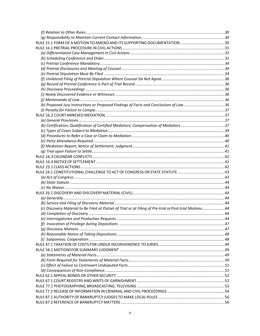| (k) Proposed Jury Instructions or Proposed Findings of Facts and Conclusions of Law 36                  |  |
|---------------------------------------------------------------------------------------------------------|--|
|                                                                                                         |  |
|                                                                                                         |  |
|                                                                                                         |  |
|                                                                                                         |  |
|                                                                                                         |  |
|                                                                                                         |  |
|                                                                                                         |  |
|                                                                                                         |  |
|                                                                                                         |  |
|                                                                                                         |  |
|                                                                                                         |  |
|                                                                                                         |  |
|                                                                                                         |  |
|                                                                                                         |  |
|                                                                                                         |  |
|                                                                                                         |  |
|                                                                                                         |  |
|                                                                                                         |  |
|                                                                                                         |  |
|                                                                                                         |  |
| (c) Discovery Material to Be Filed at Outset of Trial or at Filing of Pre-trial or Post-trial Motions44 |  |
|                                                                                                         |  |
|                                                                                                         |  |
|                                                                                                         |  |
|                                                                                                         |  |
|                                                                                                         |  |
|                                                                                                         |  |
|                                                                                                         |  |
|                                                                                                         |  |
|                                                                                                         |  |
|                                                                                                         |  |
|                                                                                                         |  |
|                                                                                                         |  |
|                                                                                                         |  |
|                                                                                                         |  |
|                                                                                                         |  |
|                                                                                                         |  |
|                                                                                                         |  |
|                                                                                                         |  |
|                                                                                                         |  |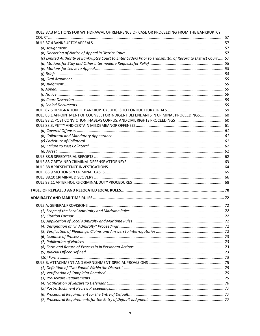| RULE 87.3 MOTIONS FOR WITHDRAWAL OF REFERENCE OF CASE OR PROCEEDING FROM THE BANKRUPTCY                      |  |
|--------------------------------------------------------------------------------------------------------------|--|
|                                                                                                              |  |
|                                                                                                              |  |
|                                                                                                              |  |
| (c) Limited Authority of Bankruptcy Court to Enter Orders Prior to Transmittal of Record to District Court57 |  |
|                                                                                                              |  |
|                                                                                                              |  |
|                                                                                                              |  |
|                                                                                                              |  |
|                                                                                                              |  |
|                                                                                                              |  |
|                                                                                                              |  |
|                                                                                                              |  |
|                                                                                                              |  |
|                                                                                                              |  |
|                                                                                                              |  |
| RULE 88.1 APPOINTMENT OF COUNSEL FOR INDIGENT DEFENDANTS IN CRIMINAL PROCEEDINGS 60                          |  |
|                                                                                                              |  |
|                                                                                                              |  |
|                                                                                                              |  |
|                                                                                                              |  |
|                                                                                                              |  |
|                                                                                                              |  |
|                                                                                                              |  |
|                                                                                                              |  |
|                                                                                                              |  |
|                                                                                                              |  |
|                                                                                                              |  |
|                                                                                                              |  |
|                                                                                                              |  |
|                                                                                                              |  |
|                                                                                                              |  |
|                                                                                                              |  |
|                                                                                                              |  |
|                                                                                                              |  |
|                                                                                                              |  |
|                                                                                                              |  |
|                                                                                                              |  |
|                                                                                                              |  |
|                                                                                                              |  |
|                                                                                                              |  |
|                                                                                                              |  |
|                                                                                                              |  |
|                                                                                                              |  |
|                                                                                                              |  |
|                                                                                                              |  |
|                                                                                                              |  |
|                                                                                                              |  |
|                                                                                                              |  |
|                                                                                                              |  |
|                                                                                                              |  |
|                                                                                                              |  |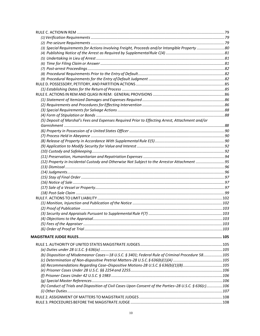| (3) Special Requirements for Actions Involving Freight, Proceeds and/or Intangible Property 80         |  |
|--------------------------------------------------------------------------------------------------------|--|
|                                                                                                        |  |
|                                                                                                        |  |
|                                                                                                        |  |
|                                                                                                        |  |
|                                                                                                        |  |
|                                                                                                        |  |
|                                                                                                        |  |
|                                                                                                        |  |
|                                                                                                        |  |
|                                                                                                        |  |
|                                                                                                        |  |
|                                                                                                        |  |
|                                                                                                        |  |
|                                                                                                        |  |
| (5) Deposit of Marshal's Fees and Expenses Required Prior to Effecting Arrest, Attachment and/or       |  |
|                                                                                                        |  |
|                                                                                                        |  |
|                                                                                                        |  |
|                                                                                                        |  |
|                                                                                                        |  |
|                                                                                                        |  |
|                                                                                                        |  |
| (12) Property in Incidental Custody and Otherwise Not Subject to the Arrestor Attachment 95            |  |
|                                                                                                        |  |
|                                                                                                        |  |
|                                                                                                        |  |
|                                                                                                        |  |
|                                                                                                        |  |
|                                                                                                        |  |
|                                                                                                        |  |
|                                                                                                        |  |
|                                                                                                        |  |
|                                                                                                        |  |
|                                                                                                        |  |
|                                                                                                        |  |
|                                                                                                        |  |
|                                                                                                        |  |
|                                                                                                        |  |
|                                                                                                        |  |
| (b) Disposition of Misdemeanor Cases-18 U.S.C. § 3401; Federal Rule of Criminal Procedure 58105        |  |
|                                                                                                        |  |
| (d) Recommendations Regarding Case-Dispositive Motions-28 U.S.C. § 636(b)(1)(B)105                     |  |
|                                                                                                        |  |
|                                                                                                        |  |
|                                                                                                        |  |
|                                                                                                        |  |
| (h) Conduct of Trials and Disposition of Civil Cases Upon Consent of the Parties-28 U.S.C. § 636(c)106 |  |
|                                                                                                        |  |
|                                                                                                        |  |
|                                                                                                        |  |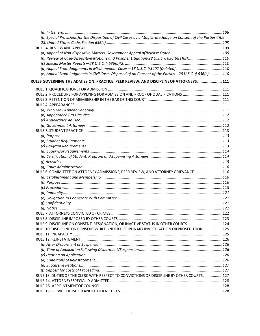| (b) Special Provisions for the Disposition of Civil Cases by a Magistrate Judge on Consent of the Parties-Title |  |
|-----------------------------------------------------------------------------------------------------------------|--|
|                                                                                                                 |  |
|                                                                                                                 |  |
|                                                                                                                 |  |
| (b) Review of Case-Dispositive Motions and Prisoner Litigation-28 U.S.C. § 636(b)(1)(B)110                      |  |
|                                                                                                                 |  |
|                                                                                                                 |  |
| (e) Appeal From Judgments in Civil Cases Disposed of on Consent of the Parties-28 U.S.C. § 636(c) 110           |  |
| RULES GOVERNING THE ADMISSION, PRACTICE, PEER REVIEW, AND DISCIPLINE OF ATTORNEYS 111                           |  |
|                                                                                                                 |  |
| RULE 2. PROCEDURE FOR APPLYING FOR ADMISSION AND PROOF OF QUALIFICATIONS 111                                    |  |
|                                                                                                                 |  |
|                                                                                                                 |  |
|                                                                                                                 |  |
|                                                                                                                 |  |
|                                                                                                                 |  |
|                                                                                                                 |  |
|                                                                                                                 |  |
|                                                                                                                 |  |
|                                                                                                                 |  |
|                                                                                                                 |  |
|                                                                                                                 |  |
|                                                                                                                 |  |
|                                                                                                                 |  |
|                                                                                                                 |  |
| RULE 6. COMMITTEE ON ATTORNEY ADMISSIONS, PEER REVIEW, AND ATTORNEY GRIEVANCE 116                               |  |
|                                                                                                                 |  |
|                                                                                                                 |  |
|                                                                                                                 |  |
|                                                                                                                 |  |
|                                                                                                                 |  |
|                                                                                                                 |  |
|                                                                                                                 |  |
|                                                                                                                 |  |
|                                                                                                                 |  |
| RULE 9. DISCIPLINE ON CONSENT, RESIGNATION, OR INACTIVE STATUS IN OTHER COURTS124                               |  |
| RULE 10. DISCIPLINE ON CONSENT WHILE UNDER DISCIPLINARY INVESTIGATION OR PROSECUTION 125                        |  |
|                                                                                                                 |  |
|                                                                                                                 |  |
|                                                                                                                 |  |
|                                                                                                                 |  |
|                                                                                                                 |  |
|                                                                                                                 |  |
|                                                                                                                 |  |
|                                                                                                                 |  |
| RULE 13. DUTIES OF THE CLERK WITH RESPECT TO CONVICTIONS OR DISCIPLINE BY OTHER COURTS 127                      |  |
|                                                                                                                 |  |
|                                                                                                                 |  |
|                                                                                                                 |  |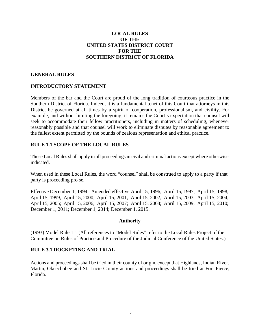#### <span id="page-11-1"></span>**LOCAL RULES OF THE UNITED STATES DISTRICT COURT FOR THE SOUTHERN DISTRICT OF FLORIDA**

#### <span id="page-11-0"></span>**GENERAL RULES**

#### **INTRODUCTORY STATEMENT**

Members of the bar and the Court are proud of the long tradition of courteous practice in the Southern District of Florida. Indeed, it is a fundamental tenet of this Court that attorneys in this District be governed at all times by a spirit of cooperation, professionalism, and civility. For example, and without limiting the foregoing, it remains the Court's expectation that counsel will seek to accommodate their fellow practitioners, including in matters of scheduling, whenever reasonably possible and that counsel will work to eliminate disputes by reasonable agreement to the fullest extent permitted by the bounds of zealous representation and ethical practice.

#### <span id="page-11-2"></span>**RULE 1.1 SCOPE OF THE LOCAL RULES**

These Local Rules shall apply in all proceedings in civil and criminal actions except where otherwise indicated.

When used in these Local Rules, the word "counsel" shall be construed to apply to a party if that party is proceeding pro se.

Effective December 1, 1994. Amended effective April 15, 1996; April 15, 1997; April 15, 1998; April 15, 1999; April 15, 2000; April 15, 2001; April 15, 2002; April 15, 2003; April 15, 2004; April 15, 2005; April 15, 2006; April 15, 2007; April 15, 2008; April 15, 2009; April 15, 2010; December 1, 2011; December 1, 2014; December 1, 2015.

#### **Authority**

(1993) Model Rule 1.1 (All references to "Model Rules" refer to the Local Rules Project of the Committee on Rules of Practice and Procedure of the Judicial Conference of the United States.)

#### <span id="page-11-3"></span>**RULE 3.1 DOCKETING AND TRIAL**

Actions and proceedings shall be tried in their county of origin, except that Highlands, Indian River, Martin, Okeechobee and St. Lucie County actions and proceedings shall be tried at Fort Pierce, Florida.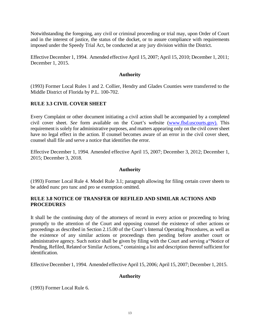<span id="page-12-2"></span>Notwithstanding the foregoing, any civil or criminal proceeding or trial may, upon Order of Court and in the interest of justice, the status of the docket, or to assure compliance with requirements imposed under the Speedy Trial Act, be conducted at any jury division within the District.

Effective December 1, 1994. Amended effective April 15, 2007; April 15, 2010; December 1, 2011; December 1, 2015.

#### **Authority**

(1993) Former Local Rules 1 and 2. Collier, Hendry and Glades Counties were transferred to the Middle District of Florida by P.L. 100-702.

#### <span id="page-12-0"></span>**RULE 3.3 CIVIL COVER SHEET**

Every Complaint or other document initiating a civil action shall be accompanied by a completed civil cover sheet. *See* form available on the Court's website (www.flsd.uscourts.gov). This requirement is solely for administrative purposes, and matters appearing only on the civil coversheet have no legal effect in the action. If counsel becomes aware of an error in the civil cover sheet, counsel shall file and serve a notice that identifies the error.

Effective December 1, 1994. Amended effective April 15, 2007; December 3, 2012; December 1, 2015; December 3, 2018.

#### **Authority**

(1993) Former Local Rule 4. Model Rule 3.1; paragraph allowing for filing certain cover sheets to be added nunc pro tunc and pro se exemption omitted.

#### <span id="page-12-1"></span>**RULE 3.8 NOTICE OF TRANSFER OF REFILED AND SIMILAR ACTIONS AND PROCEDURES**

It shall be the continuing duty of the attorneys of record in every action or proceeding to bring promptly to the attention of the Court and opposing counsel the existence of other actions or proceedings as described in Section 2.15.00 of the Court's Internal Operating Procedures, as well as the existence of any similar actions or proceedings then pending before another court or administrative agency. Such notice shall be given by filing with the Court and serving a"Notice of Pending, Refiled, Related or Similar Actions," containing a list and description thereof sufficient for identification.

Effective December 1, 1994. Amended effective April 15, 2006; April 15, 2007; December 1, 2015.

#### **Authority**

(1993) Former Local Rule 6.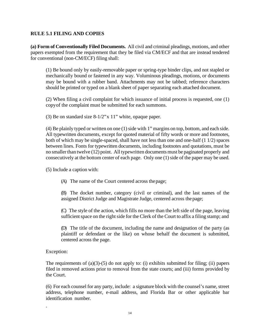#### **RULE 5.1 FILING AND COPIES**

<span id="page-13-0"></span>**(a) Form of Conventionally Filed Documents.** All civil and criminal pleadings, motions, and other papers exempted from the requirement that they be filed via CM/ECF and that are instead tendered for conventional (non-CM/ECF) filing shall:

(1) Be bound only by easily-removable paper or spring-type binder clips, and not stapled or mechanically bound or fastened in any way. Voluminous pleadings, motions, or documents may be bound with a rubber band. Attachments may not be tabbed; reference characters should be printed or typed on a blank sheet of paper separating each attached document.

(2) When filing a civil complaint for which issuance of initial process is requested, one (1) copyof the complaint must be submitted for each summons.

(3) Be on standard size  $8-1/2$ " x  $11$ " white, opaque paper.

 $(4)$  Be plainly typed or written on one  $(1)$  side with 1" margins on top, bottom, and each side. All typewritten documents, except for quoted material of fifty words or more and footnotes, both of which may be single-spaced, shall have not less than one and one-half (1 1/2) spaces between lines. Fonts for typewritten documents, including footnotes and quotations, must be no smaller than twelve (12) point. All typewritten documents must be paginated properly and consecutively at the bottom center of each page. Only one (1) side of the paper may be used.

(5) Include a caption with:

(A) The name of the Court centered across thepage;

(B) The docket number, category (civil or criminal), and the last names of the assigned District Judge and Magistrate Judge, centered across thepage;

(C) The style of the action, which fills no more than the left side of the page, leaving sufficient space on the right side for the Clerk of the Court to affix a filing stamp; and

(D) The title of the document, including the name and designation of the party (as plaintiff or defendant or the like) on whose behalf the document is submitted, centered across the page.

#### Exception:

.

The requirements of  $(a)(3)-(5)$  do not apply to: (i) exhibits submitted for filing; (ii) papers filed in removed actions prior to removal from the state courts; and (iii) forms provided by the Court.

(6) For each counsel for any party, include: a signature block with the counsel's name, street address, telephone number, e-mail address, and Florida Bar or other applicable bar identification number.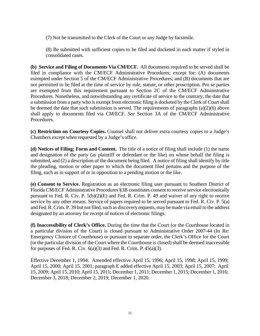(7) Not be transmitted to the Clerk of the Court or any Judge by facsimile.

(8) Be submitted with sufficient copies to be filed and docketed in each matter if styled in consolidated cases.

<span id="page-14-0"></span>**(b) Service and Filing of Documents Via CM/ECF.** All documents required to be served shall be filed in compliance with the CM/ECF Administrative Procedures; except for: (A) documents exempted under Section 5 of the CM/ECF Administrative Procedures; and (B) documents that are not permitted to be filed at the time of service by rule, statute, or other proscription. Pro se parties are exempted from this requirement pursuant to Section 2C of the CM/ECF Administrative Procedures. Nonetheless, and notwithstanding any certificate of service to the contrary, the date that a submission from a party who is exempt from electronic filing is docketed by the Clerk of Court shall be deemed the date that such submission is served. The requirements of paragraphs (a)(2)(6) above shall apply to documents filed via CM/ECF. *See* Section 3A of the CM/ECF Administrative Procedures.

<span id="page-14-1"></span>**(c) Restriction on Courtesy Copies.** Counsel shall not deliver extra courtesy copies to a Judge's Chambers except when requested by a Judge's office.

<span id="page-14-2"></span>**(d) Notices of Filing; Form and Content.** The title of a notice of filing shall include (1) the name and designation of the party (as plaintiff or defendant or the like) on whose behalf the filing is submitted, and (2) a description of the document being filed. A notice of filing shall identify by title the pleading, motion or other paper to which the document filed pertains and the purpose of the filing, such as in support of or in opposition to a pending motion or the like.

<span id="page-14-3"></span>**(e) Consent to Service.** Registration as an electronic filing user pursuant to Southern District of Florida CM/ECF Administrative Procedures §3B constitutes consent to receive service electronically pursuant to Fed. R. Civ. P. 5(b)(2)(E) and Fed. R. Crim. P. 49 and waiver of any right to receive service by any other means. Service of papers required to be served pursuant to Fed. R. Civ. P. 5(a) and Fed. R. Crim. P. 39 but not filed, such as discovery requests, may be made via email to the address designated by an attorney for receipt of notices of electronic filings.

<span id="page-14-4"></span>**(f) Inaccessibility of Clerk's Office.** During the time that the Court (or the Courthouse located in a particular division of the Court) is closed pursuant to Administrative Order 2007-44 (In Re: Emergency Closure of Courthouse) or pursuant to separate order, the Clerk's Office for the Court (or the particular division of the Court where the Courthouse is closed) shall be deemed inaccessible for purposes of Fed. R. Civ.  $6(a)(3)$  and Fed. R. Crim. P.  $45(a)(3)$ .

Effective December 1, 1994. Amended effective April 15, 1996; April 15, 1998; April 15, 1999; April 15, 2000; April 15, 2001; paragraph E added effective April 15, 2003; April 15, 2007; April 15, 2009; April 15, 2010; April 15, 2011; December 1, 2011; December 1, 2015; December 1, 2016; December 3, 2018; December 2, 2019; December 1, 2020.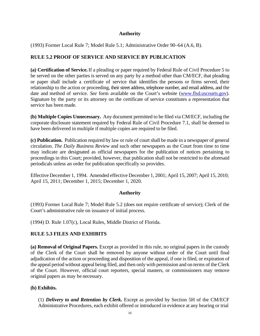#### **Authority**

(1993) Former Local Rule 7; Model Rule 5.1; Administrative Order 90–64 (A.6, B).

#### <span id="page-15-0"></span>**RULE 5.2 PROOF OF SERVICE AND SERVICE BY PUBLICATION**

<span id="page-15-1"></span>**(a) Certification of Service.**If a pleading or paper required by Federal Rule of Civil Procedure 5 to be served on the other parties is served on any party by a method other than CM/ECF, that pleading or paper shall include a certificate of service that identifies the persons or firms served, their relationship to the action or proceeding, their street address, telephone number, and email address, and the date and method of service. *See* form available on the Court's website [\(www.flsd.uscourts.gov\)](http://www.flsd.uscourts.gov/). Signature by the party or its attorney on the certificate of service constitutes a representation that service has been made.

<span id="page-15-2"></span>**(b) Multiple Copies Unnecessary.** Any document permitted to be filed via CM/ECF, including the corporate disclosure statement required by Federal Rule of Civil Procedure 7.1, shall be deemed to have been delivered in multiple if multiple copies are required to be filed.

<span id="page-15-3"></span>**(c) Publication.** Publication required by law or rule of court shall be made in a newspaper of general circulation. *The Daily Business Review* and such other newspapers as the Court from time to time may indicate are designated as official newspapers for the publication of notices pertaining to proceedings in this Court; provided, however, that publication shall not be restricted to the aforesaid periodicals unless an order for publication specifically so provides.

Effective December 1, 1994. Amended effective December 1, 2001; April 15, 2007; April 15, 2010; April 15, 2011; December 1, 2015; December 1, 2020.

#### **Authority**

(1993) Former Local Rule 7; Model Rule 5.2 (does not require certificate of service); Clerk of the Court's administrative rule on issuance of initial process.

(1994) D. Rule 1.07(c), Local Rules, Middle District of Florida.

#### <span id="page-15-4"></span>**RULE 5.3 FILES AND EXHIBITS**

<span id="page-15-5"></span>**(a) Removal of Original Papers.** Except as provided in this rule, no original papers in the custody of the Clerk of the Court shall be removed by anyone without order of the Court until final adjudication of the action or proceeding and disposition of the appeal, if one is filed, or expiration of the appeal period without appeal being filed, and then only with permission and on terms of the Clerk of the Court. However, official court reporters, special masters, or commissioners may remove original papers as may be necessary.

#### <span id="page-15-6"></span>**(b) Exhibits.**

<span id="page-15-7"></span>(1) *Delivery to and Retention by Clerk.* Except as provided by Section 5H of the CM/ECF Administrative Procedures, each exhibit offered or introduced in evidence at any hearing or trial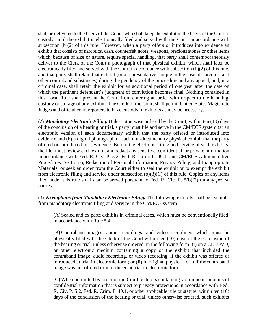shall be delivered to the Clerk of the Court, who shall keep the exhibit in the Clerk of the Court's custody, until the exhibit is electronically filed and served with the Court in accordance with subsection (b)(2) of this rule. However, when a party offers or introduces into evidence an exhibit that consists of narcotics, cash, counterfeit notes, weapons, precious stones or other items which, because of size or nature, require special handling, that party shall contemporaneously deliver to the Clerk of the Court a photograph of that physical exhibit, which shall later be electronically filed and served with the Court in accordance with subsection (b)(2) of this rule, and that party shall retain that exhibit (or a representative sample in the case of narcotics and other contraband substances) during the pendency of the proceeding and any appeal, and, in a criminal case, shall retain the exhibit for an additional period of one year after the date on which the pertinent defendant's judgment of conviction becomes final. Nothing contained in this Local Rule shall prevent the Court from entering an order with respect to the handling, custody or storage of any exhibit. The Clerk of the Court shall permit United States Magistrate Judges and official court reporters to have custody of exhibits as may be necessary.

<span id="page-16-0"></span>(2) *Mandatory Electronic Filing.* Unless otherwise ordered by the Court, within ten (10) days of the conclusion of a hearing or trial, a party must file and serve in the CM/ECF system (a) an electronic version of each documentary exhibit that the party offered or introduced into evidence and (b) a digital photograph of each non-documentary physical exhibit that theparty offered or introduced into evidence. Before the electronic filing and service of such exhibits, the filer must review each exhibit and redact any sensitive, confidential, or private information in accordance with Fed. R. Civ. P. 5.2, Fed. R. Crim. P. 49.1, and CM/ECF Administrative Procedures, Section 6, Redaction of Personal Information, Privacy Policy, and Inappropriate Materials, or seek an order from the Court either to seal the exhibit or to exempt the exhibit from electronic filing and service under subsection  $(b)(3)(C)$  of this rule. Copies of any items filed under this rule shall also be served pursuant to Fed. R. Civ. P. 5(b)(2) on any *pro se*  parties.

<span id="page-16-1"></span>(3) *Exemptions from Mandatory Electronic Filing.* The following exhibits shall be exempt from mandatory electronic filing and service in the CM/ECF system:

(A) Sealed and ex parte exhibits in criminal cases, which must be conventionally filed in accordance with Rule 5.4.

(B) Contraband images, audio recordings, and video recordings, which must be physically filed with the Clerk of the Court within ten (10) days of the conclusion of the hearing or trial, unless otherwise ordered, in the following form: (i) on a CD, DVD, or other electronic medium containing a copy of the exhibit that included the contraband image, audio recording, or video recording, if the exhibit was offered or introduced at trial in electronic form; or (ii) in original physical form if the contraband image was not offered or introduced at trial in electronic form.

(C) When permitted by order of the Court, exhibits containing voluminous amounts of confidential information that is subject to privacy protections in accordance with Fed. R. Civ. P. 5.2, Fed. R. Crim. P. 49.1, or other applicable rule or statute; within ten (10) days of the conclusion of the hearing or trial, unless otherwise ordered, such exhibits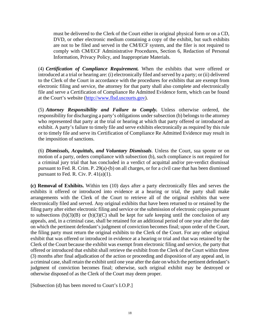must be delivered to the Clerk of the Court either in original physical form or on a CD, DVD, or other electronic medium containing a copy of the exhibit, but such exhibits are not to be filed and served in the CM/ECF system, and the filer is not required to comply with CM/ECF Administrative Procedures, Section 6, Redaction of Personal Information, Privacy Policy, and Inappropriate Materials.

<span id="page-17-0"></span>(4) *Certification of Compliance Requirement.* When the exhibits that were offered or introduced at a trial or hearing are: (i) electronically filed and served by a party; or (ii) delivered to the Clerk of the Court in accordance with the procedures for exhibits that are exempt from electronic filing and service, the attorney for that party shall also complete and electronically file and serve a Certification of Compliance Re Admitted Evidence form, which can be found at the Court's website [\(http://www.flsd.uscourts.gov\)](http://www.flsd.uscourts.gov/).

<span id="page-17-1"></span>(5) *Attorney Responsibility and Failure to Comply.* Unless otherwise ordered, the responsibility for discharging a party's obligations under subsection (b) belongs to the attorney who represented that party at the trial or hearing at which that party offered or introduced an exhibit. A party's failure to timely file and serve exhibits electronically as required by this rule or to timely file and serve its Certification of Compliance Re Admitted Evidence may result in the imposition of sanctions.

<span id="page-17-2"></span>(6) *Dismissals, Acquittals, and Voluntary Dismissals*. Unless the Court, sua sponte or on motion of a party, orders compliance with subsection (b), such compliance is not required for a criminal jury trial that has concluded in a verdict of acquittal and/or pre-verdict dismissal pursuant to Fed. R. Crim. P. 29(a)-(b) on all charges, or for a civil case that has been dismissed pursuant to Fed. R. Civ. P.  $41(a)(1)$ .

<span id="page-17-3"></span>**(c) Removal of Exhibits.** Within ten (10) days after a party electronically files and serves the exhibits it offered or introduced into evidence at a hearing or trial, the party shall make arrangements with the Clerk of the Court to retrieve all of the original exhibits that were electronically filed and served. Any original exhibits that have been returned to or retained by the filing party after either electronic filing and service or the submission of electronic copies pursuant to subsections (b)(3)(B) or (b)(3)(C) shall be kept for safe keeping until the conclusion of any appeals, and, in a criminal case, shall be retained for an additional period of one year after the date on which the pertinent defendant's judgment of conviction becomes final; upon order of the Court, the filing party must return the original exhibits to the Clerk of the Court. For any other original exhibit that was offered or introduced in evidence at a hearing or trial and that was retained by the Clerk of the Court because the exhibit was exempt from electronic filing and service, the party that offered or introduced that exhibit shall retrieve the exhibit from the Clerk of the Court within three (3) months after final adjudication of the action or proceeding and disposition of any appeal and, in a criminal case, shall retain the exhibit until one year after the date on which the pertinent defendant's judgment of conviction becomes final; otherwise, such original exhibit may be destroyed or otherwise disposed of as the Clerk of the Court may deem proper.

[Subsection (d) has been moved to Court's I.O.P.]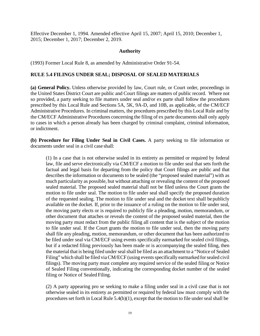Effective December 1, 1994. Amended effective April 15, 2007; April 15, 2010; December 1, 2015; December 1, 2017; December 2, 2019.

#### **Authority**

(1993) Former Local Rule 8, as amended by Administrative Order 91-54.

#### <span id="page-18-0"></span>**RULE 5.4 FILINGS UNDER SEAL; DISPOSAL OF SEALED MATERIALS**

<span id="page-18-1"></span>**(a) General Policy.** Unless otherwise provided by law, Court rule, or Court order, proceedings in the United States District Court are public and Court filings are matters of public record. Where not so provided, a party seeking to file matters under seal and/or ex parte shall follow the procedures prescribed by this Local Rule and Sections 5A, 5K, 9A-D, and 10B, as applicable, of the CM/ECF Administrative Procedures. In criminal matters, the procedures prescribed by this Local Rule and by the CM/ECF Administrative Procedures concerning the filing of ex parte documents shall only apply to cases in which a person already has been charged by criminal complaint, criminal information, or indictment.

<span id="page-18-2"></span>**(b) Procedure for Filing Under Seal in Civil Cases.** A party seeking to file information or documents under seal in a civil case shall:

(1) In a case that is not otherwise sealed in its entirety as permitted or required by federal law, file and serve electronically via CM/ECF a motion to file under seal that sets forth the factual and legal basis for departing from the policy that Court filings are public and that describes the information or documents to be sealed (the "proposed sealed material") with as much particularity as possible, but without attaching or revealing the content of the proposed sealed material. The proposed sealed material shall not be filed unless the Court grants the motion to file under seal. The motion to file under seal shall specify the proposed duration of the requested sealing. The motion to file under seal and the docket text shall bepublicly available on the docket. If, prior to the issuance of a ruling on the motion to file under seal, the moving party elects or is required to publicly file a pleading, motion, memorandum, or other document that attaches or reveals the content of the proposed sealed material, then the moving party must redact from the public filing all content that is the subject of the motion to file under seal. If the Court grants the motion to file under seal, then the moving party shall file any pleading, motion, memorandum, or other document that has been authorized to be filed under seal via CM/ECF using events specifically earmarked for sealed civil filings, but if a redacted filing previously has been made or is accompanying the sealed filing, then the material that is being filed under seal shall be filed as an attachment to a "Notice of Sealed" Filing" which shall be filed via CM/ECF (using events specifically earmarked for sealed civil filings). The moving party must complete any required service of the sealed filing or Notice of Sealed Filing conventionally, indicating the corresponding docket number of the sealed filing or Notice of Sealed Filing.

(2) A party appearing pro se seeking to make a filing under seal in a civil case that is not otherwise sealed in its entirety as permitted or required by federal law must comply with the procedures set forth in Local Rule  $5.4(b)(1)$ , except that the motion to file under seal shall be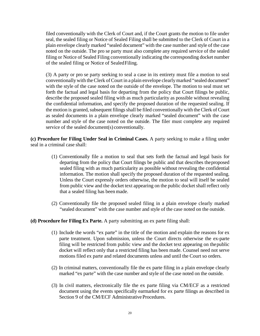filed conventionally with the Clerk of Court and, if the Court grants the motion to file under seal, the sealed filing or Notice of Sealed Filing shall be submitted to the Clerk of Court in a plain envelope clearly marked "sealed document" with the case number and style of the case noted on the outside. The pro se party must also complete any required service of the sealed filing or Notice of Sealed Filing conventionally indicating the corresponding docket number of the sealed filing or Notice of SealedFiling.

(3) A party or pro se party seeking to seal a case in its entirety must file a motion to seal conventionally with the Clerk of Court in a plain envelope clearly marked "sealed document" with the style of the case noted on the outside of the envelope. The motion to seal must set forth the factual and legal basis for departing from the policy that Court filings be public, describe the proposed sealed filing with as much particularity as possible without revealing the confidential information, and specify the proposed duration of the requested sealing. If the motion is granted, subsequent filings shall be filed conventionally with the Clerk of Court as sealed documents in a plain envelope clearly marked "sealed document" with the case number and style of the case noted on the outside. The filer must complete any required service of the sealed document(s) conventionally.

<span id="page-19-0"></span>**(c) Procedure for Filing Under Seal in Criminal Cases.** A party seeking to make a filing under seal in a criminal case shall:

- (1) Conventionally file a motion to seal that sets forth the factual and legal basis for departing from the policy that Court filings be public and that describes theproposed sealed filing with as much particularity as possible without revealing the confidential information. The motion shall specify the proposed duration of the requested sealing. Unless the Court expressly orders otherwise, the motion to seal will itself be sealed from public view and the docket text appearing on the public docket shall reflect only that a sealed filing has been made.
- (2) Conventionally file the proposed sealed filing in a plain envelope clearly marked "sealed document" with the case number and style of the case noted on the outside.

#### <span id="page-19-1"></span>**(d) Procedure for Filing Ex Parte.** A party submitting an ex parte filing shall:

- (1) Include the words "ex parte" in the title of the motion and explain the reasons for ex parte treatment. Upon submission, unless the Court directs otherwise the ex-parte filing will be restricted from public view and the docket text appearing on thepublic docket will reflect only that a restricted filing has been made. Counsel need not serve motions filed ex parte and related documents unless and until the Court so orders.
- (2) In criminal matters, conventionally file the ex parte filing in a plain envelope clearly marked "ex parte" with the case number and style of the case noted on the outside.
- (3) In civil matters, electronically file the ex parte filing via CM/ECF as a restricted document using the events specifically earmarked for ex parte filings as described in Section 9 of the CM/ECF Administrative Procedures.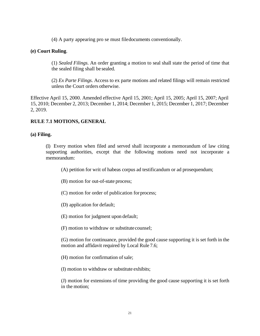(4) A party appearing pro se must filedocuments conventionally.

#### <span id="page-20-0"></span>**(e) Court Ruling**.

(1) *Sealed Filings*. An order granting a motion to seal shall state the period of time that the sealed filing shall be sealed.

(2) *Ex Parte Filings*. Access to ex parte motions and related filings will remain restricted unless the Court orders otherwise.

Effective April 15, 2000. Amended effective April 15, 2001; April 15, 2005; April 15, 2007; April 15, 2010; December 2, 2013; December 1, 2014; December 1, 2015; December 1, 2017; December 2, 2019.

#### <span id="page-20-1"></span>**RULE 7.1 MOTIONS, GENERAL**

#### <span id="page-20-2"></span>**(a) Filing.**

(1) Every motion when filed and served shall incorporate a memorandum of law citing supporting authorities, except that the following motions need not incorporate a memorandum:

(A) petition for writ of habeas corpus ad testificandum or ad prosequendum;

(B) motion for out-of-state process;

(C) motion for order of publication forprocess;

(D) application for default;

(E) motion for judgment upon default;

(F) motion to withdraw or substitutecounsel;

(G) motion for continuance, provided the good cause supporting it is set forth in the motion and affidavit required by Local Rule 7.6;

(H) motion for confirmation of sale;

(I) motion to withdraw or substitute exhibits;

(J) motion for extensions of time providing the good cause supporting it is set forth in the motion;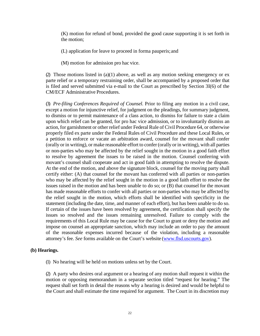(K) motion for refund of bond, provided the good cause supporting it is set forth in the motion;

(L) application for leave to proceed in forma pauperis;and

(M) motion for admission pro hac vice.

(2) Those motions listed in  $(a)(1)$  above, as well as any motion seeking emergency or ex parte relief or a temporary restraining order, shall be accompanied by a proposed order that is filed and served submitted via e-mail to the Court as prescribed by Section 3I(6) of the CM/ECF Administrative Procedures.

(3) *Pre-filing Conferences Required of Counsel.* Prior to filing any motion in a civil case, except a motion for injunctive relief, for judgment on the pleadings, for summary judgment, to dismiss or to permit maintenance of a class action, to dismiss for failure to state a claim upon which relief can be granted, for pro hac vice admission, or to involuntarily dismiss an action, for garnishment or other relief under Federal Rule of Civil Procedure 64, or otherwise properly filed ex parte under the Federal Rules of Civil Procedure and these Local Rules, or a petition to enforce or vacate an arbitration award, counsel for the movant shall confer (orally or in writing), or make reasonable effort to confer(orally or in writing), with all parties or non-parties who may be affected by the relief sought in the motion in a good faith effort to resolve by agreement the issues to be raised in the motion. Counsel conferring with movant's counsel shall cooperate and act in good faith in attempting to resolve the dispute. At the end of the motion, and above the signature block, counsel for the moving party shall certify either: (A) that counsel for the movant has conferred with all parties or non-parties who may be affected by the relief sought in the motion in a good faith effort to resolve the issues raised in the motion and has been unable to do so; or (B) that counsel for the movant has made reasonable efforts to confer with all parties or non-parties who may be affected by the relief sought in the motion, which efforts shall be identified with specificity in the statement (including the date, time, and manner of each effort), but has been unable to do so. If certain of the issues have been resolved by agreement, the certification shall specify the issues so resolved and the issues remaining unresolved. Failure to comply with the requirements of this Local Rule may be cause for the Court to grant or deny the motion and impose on counsel an appropriate sanction, which may include an order to pay the amount of the reasonable expenses incurred because of the violation, including a reasonable attorney's fee. *See* forms available on the Court's website [\(www.flsd.uscourts.gov\)](http://www.flsd.uscourts.gov/).

#### <span id="page-21-0"></span>**(b) Hearings.**

(1) No hearing will be held on motions unless set by the Court.

(2) A party who desires oral argument or a hearing of any motion shall request it within the motion or opposing memorandum in a separate section titled "request for hearing." The request shall set forth in detail the reasons why a hearing is desired and would be helpful to the Court and shall estimate the time required for argument. The Court in its discretion may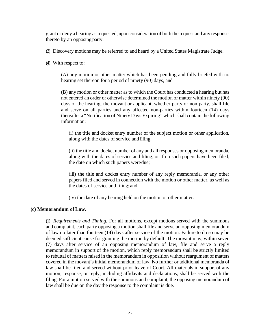grant or deny a hearing as requested, upon consideration of both the request and any response thereto by an opposing party.

(3) Discovery motions may be referred to and heard by a United States Magistrate Judge.

(4) With respect to:

(A) any motion or other matter which has been pending and fully briefed with no hearing set thereon for a period of ninety (90) days, and

(B) any motion or other matter as to which the Court has conducted a hearing but has not entered an order or otherwise determined the motion or matter within ninety (90) days of the hearing, the movant or applicant, whether party or non-party, shall file and serve on all parties and any affected non-parties within fourteen (14) days thereafter a "Notification of Ninety Days Expiring" which shall contain the following information:

(i) the title and docket entry number of the subject motion or other application, along with the dates of service andfiling;

(ii) the title and docket number of any and all responses or opposing memoranda, along with the dates of service and filing, or if no such papers have been filed, the date on which such papers weredue;

(iii) the title and docket entry number of any reply memoranda, or any other papers filed and served in connection with the motion or other matter, as well as the dates of service and filing; and

(iv) the date of any hearing held on the motion or other matter.

#### <span id="page-22-0"></span>**(c) Memorandum of Law.**

(1) *Requirements and Timing.* For all motions, except motions served with the summons and complaint, each party opposing a motion shall file and serve an opposing memorandum of law no later than fourteen (14) days after service of the motion. Failure to do so may be deemed sufficient cause for granting the motion by default. The movant may, within seven (7) days after service of an opposing memorandum of law, file and serve a reply memorandum in support of the motion, which reply memorandum shall be strictly limited to rebuttal of matters raised in the memorandum in opposition without reargument of matters covered in the movant's initial memorandum of law. No further or additional memoranda of law shall be filed and served without prior leave of Court. All materials in support of any motion, response, or reply, including affidavits and declarations, shall be served with the filing. For a motion served with the summons and complaint, the opposing memorandum of law shall be due on the day the response to the complaint is due.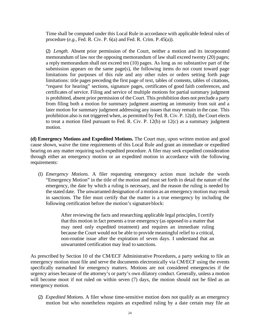Time shall be computed under this Local Rule in accordance with applicable federal rules of procedure (*e.g.,* Fed. R. Civ. P. 6(a) and Fed. R. Crim. P.45(a)).

(2) *Length.* Absent prior permission of the Court, neither a motion and its incorporated memorandum of law nor the opposing memorandum of law shall exceed twenty (20) pages; a reply memorandum shall not exceed ten (10) pages. As long as no substantive part of the submission appears on the same page(s), the following items do not count toward page limitations for purposes of this rule and any other rules or orders setting forth page limitations: title pages preceding the first page of text, tables of contents, tables of citations, "request for hearing" sections, signature pages, certificates of good faith conferences, and certificates of service. Filing and service of multiple motions for partial summary judgment is prohibited, absent prior permission of the Court. This prohibition does not preclude a party from filing both a motion for summary judgment asserting an immunity from suit and a later motion for summary judgment addressing any issues that may remain in the case. This prohibition also is not triggered when, as permitted by Fed. R. Civ. P. 12(d), the Court elects to treat a motion filed pursuant to Fed. R. Civ. P. 12(b) or 12(c) as a summary judgment motion.

<span id="page-23-0"></span>**(d) Emergency Motions and Expedited Motions.** The Court may, upon written motion and good cause shown, waive the time requirements of this Local Rule and grant an immediate or expedited hearing on any matter requiring such expedited procedure. A filer may seek expedited consideration through either an emergency motion or an expedited motion in accordance with the following requirements:

(1) *Emergency Motions.* A filer requesting emergency action must include the words "Emergency Motion" in the title of the motion and must set forth in detail the nature of the emergency, the date by which a ruling is necessary, and the reason the ruling is needed by the stated date. The unwarranted designation of a motion as an emergency motion may result in sanctions. The filer must certify that the matter is a true emergency by including the following certification before the motion's signatureblock:

> After reviewing the facts and researching applicable legal principles, I certify that this motion in fact presents a true emergency (as opposed to a matter that may need only expedited treatment) and requires an immediate ruling because the Court would not be able to provide meaningful relief to a critical, non-routine issue after the expiration of seven days. I understand that an unwarranted certification may lead to sanctions.

As prescribed by Section 10 of the CM/ECF Administrative Procedures, a party seeking to file an emergency motion must file and serve the documents electronically via CM/ECF using the events specifically earmarked for emergency matters. Motions are not considered emergencies if the urgency arises because of the attorney's or party's own dilatory conduct. Generally, unless a motion will become moot if not ruled on within seven (7) days, the motion should not be filed as an emergency motion.

(2) *Expedited Motions*. A filer whose time-sensitive motion does not qualify as an emergency motion but who nonetheless requires an expedited ruling by a date certain may file an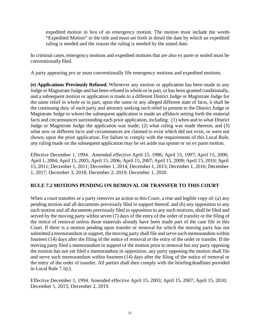expedited motion in lieu of an emergency motion. The motion must include the words "Expedited Motion" in the title and must set forth in detail the date by which an expedited ruling is needed and the reason the ruling is needed by the stated date.

In criminal cases, emergency motions and expedited motions that are also ex parte or sealed must be conventionally filed.

A party appearing pro se must conventionally file emergency motions and expedited motions.

<span id="page-24-0"></span>**(e) Applications Previously Refused.** Whenever any motion or application has been made to any Judge or Magistrate Judge and has been refused in whole or in part, or has been granted conditionally, and a subsequent motion or application is made to a different District Judge or Magistrate Judge for the same relief in whole or in part, upon the same or any alleged different state of facts, it shall be the continuing duty of each party and attorney seeking such relief to present to the District Judge or Magistrate Judge to whom the subsequent application is made an affidavit setting forth the material facts and circumstances surrounding each prior application, including: (1) when and to what District Judge or Magistrate Judge the application was made; (2) what ruling was made thereon; and (3) what new or different facts and circumstances are claimed to exist which did not exist, or were not shown, upon the prior application. For failure to comply with the requirements of this Local Rule, any ruling made on the subsequent application may be set aside sua sponte or on ex parte motion.

Effective December 1, 1994. Amended effective April 15, 1996; April 15, 1997; April 15, 2000; April 1, 2004; April 15, 2005; April 15, 2006; April 15, 2007; April 15, 2009; April 15, 2010; April 15, 2011; December 1, 2011; December 1, 2014; December 1, 2015; December 1, 2016; December 1, 2017; December 3, 2018; December 2, 2019; December 1, 2020.

#### <span id="page-24-1"></span>**RULE 7.2 MOTIONS PENDING ON REMOVAL OR TRANSFER TO THIS COURT**

When a court transfers or a party removes an action to this Court, a true and legible copy of: (a) any pending motion and all documents previously filed in support thereof; and (b) any opposition to any such motion and all documents previously filed in opposition to any such motions, shall be filed and served by the moving party within seven (7) days of the entry of the order of transfer or the filing of the notice of removal unless those materials already have been made part of the case file in this Court. If there is a motion pending upon transfer or removal for which the moving party has not submitted a memorandum in support, the moving party shall file and serve such memorandum within fourteen (14) days after the filing of the notice of removal or the entry of the order or transfer. If the moving party filed a memorandum in support of the motion prior to removal but any party opposing the motion has not yet filed a memorandum in opposition, any party opposing the motion shall file and serve such memorandum within fourteen (14) days after the filing of the notice of removal or the entry of the order of transfer. All parties shall then comply with the briefingdeadlines provided in Local Rule 7.1(c).

Effective December 1, 1994. Amended effective April 15, 2003; April 15, 2007; April 15, 2010; December 1, 2015; December 2, 2019.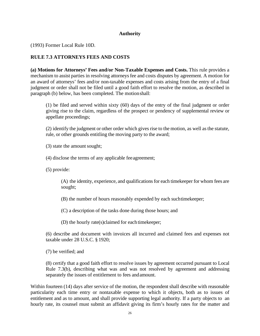#### **Authority**

(1993) Former Local Rule 10D.

#### <span id="page-25-0"></span>**RULE 7.3 ATTORNEYS FEES AND COSTS**

<span id="page-25-1"></span>**(a) Motions for Attorneys' Fees and/or Non-Taxable Expenses and Costs.** This rule provides a mechanism to assist parties in resolving attorneys fee and costs disputes by agreement. A motion for an award of attorneys' fees and/or non-taxable expenses and costs arising from the entry of a final judgment or order shall not be filed until a good faith effort to resolve the motion, as described in paragraph (b) below, has been completed. The motionshall:

(1) be filed and served within sixty (60) days of the entry of the final judgment or order giving rise to the claim, regardless of the prospect or pendency of supplemental review or appellate proceedings;

(2) identify the judgment or other order which gives rise to the motion, as well asthe statute, rule, or other grounds entitling the moving party to the award;

(3) state the amount sought;

(4) disclose the terms of any applicable feeagreement;

(5) provide:

(A) the identity, experience, and qualifications for each timekeeper for whom fees are sought;

(B) the number of hours reasonably expended by each suchtimekeeper;

(C) a description of the tasks done during those hours; and

(D) the hourly rate(s)claimed for each timekeeper;

(6) describe and document with invoices all incurred and claimed fees and expenses not taxable under 28 U.S.C. § 1920;

(7) be verified; and

(8) certify that a good faith effort to resolve issues by agreement occurred pursuant to Local Rule 7.3(b), describing what was and was not resolved by agreement and addressing separately the issues of entitlement to fees andamount.

Within fourteen (14) days after service of the motion, the respondent shall describe with reasonable particularity each time entry or nontaxable expense to which it objects, both as to issues of entitlement and as to amount, and shall provide supporting legal authority. If a party objects to an hourly rate, its counsel must submit an affidavit giving its firm's hourly rates for the matter and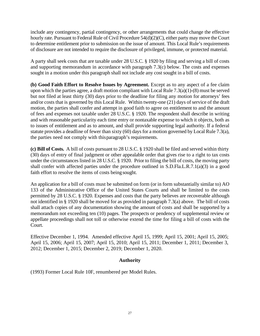<span id="page-26-2"></span>include any contingency, partial contingency, or other arrangements that could change the effective hourly rate. Pursuant to Federal Rule of Civil Procedure 54(d)(2)(C), either party may move the Court to determine entitlement prior to submission on the issue of amount. This Local Rule's requirements of disclosure are not intended to require the disclosure of privileged, immune, or protected material.

A party shall seek costs that are taxable under 28 U.S.C. § 1920 by filing and serving a bill of costs and supporting memorandum in accordance with paragraph 7.3(c) below. The costs and expenses sought in a motion under this paragraph shall not include any cost sought in a bill of costs.

<span id="page-26-0"></span>**(b) Good Faith Effort to Resolve Issues by Agreement.** Except as to any aspect of a fee claim upon which the parties agree, a draft motion compliant with Local Rule 7.3(a)(1)-(8) must be served but not filed at least thirty (30) days prior to the deadline for filing any motion for attorneys' fees and/or costs that is governed by this Local Rule. Within twenty-one (21) days of service of the draft motion, the parties shall confer and attempt in good faith to agree on entitlement to and the amount of fees and expenses not taxable under 28 U.S.C. § 1920. The respondent shall describe in writing and with reasonable particularity each time entry or nontaxable expense to which it objects, both as to issues of entitlement and as to amount, and shall provide supporting legal authority. If a federal statute provides a deadline of fewer than sixty (60) days for a motion governed by Local Rule 7.3(a), the parties need not comply with thisparagraph's requirements.

<span id="page-26-1"></span>**(c) Bill of Costs.** A bill of costs pursuant to 28 U.S.C. § 1920 shall be filed and served within thirty (30) days of entry of final judgment or other appealable order that gives rise to a right to tax costs under the circumstances listed in 28 U.S.C. § 1920. Prior to filing the bill of costs, the moving party shall confer with affected parties under the procedure outlined in S.D.Fla.L.R.7.1(a)(3) in a good faith effort to resolve the items of costs beingsought.

An application for a bill of costs must be submitted on form (or in form substantially similar to) AO 133 of the Administrative Office of the United States Courts and shall be limited to the costs permitted by 28 U.S.C. § 1920. Expenses and costs that the party believes are recoverable although not identified in § 1920 shall be moved for as provided in paragraph 7.3(a) above. The bill of costs shall attach copies of any documentation showing the amount of costs and shall be supported by a memorandum not exceeding ten (10) pages. The prospects or pendency of supplemental review or appellate proceedings shall not toll or otherwise extend the time for filing a bill of costs with the Court.

Effective December 1, 1994. Amended effective April 15, 1999; April 15, 2001; April 15, 2005; April 15, 2006; April 15, 2007; April 15, 2010; April 15, 2011; December 1, 2011; December 3, 2012; December 1, 2015; December 2, 2019; December 1, 2020.

#### **Authority**

(1993) Former Local Rule 10F, renumbered per Model Rules.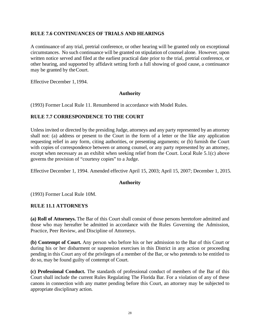#### <span id="page-27-5"></span>**RULE 7.6 CONTINUANCES OF TRIALS AND HEARINGS**

A continuance of any trial, pretrial conference, or other hearing will be granted only on exceptional circumstances. No such continuance will be granted on stipulation of counsel alone. However, upon written notice served and filed at the earliest practical date prior to the trial, pretrial conference, or other hearing, and supported by affidavit setting forth a full showing of good cause, a continuance may be granted by theCourt.

Effective December 1,1994.

#### **Authority**

(1993) Former Local Rule 11. Renumbered in accordance with Model Rules.

#### <span id="page-27-0"></span>**RULE 7.7 CORRESPONDENCE TO THE COURT**

Unlessinvited or directed by the presiding Judge, attorneys and any party represented by an attorney shall not: (a) address or present to the Court in the form of a letter or the like any application requesting relief in any form, citing authorities, or presenting arguments; or (b) furnish the Court with copies of correspondence between or among counsel, or any party represented by an attorney, except when necessary as an exhibit when seeking relief from the Court. Local Rule 5.1(c) above governs the provision of "courtesy copies" to a Judge.

Effective December 1, 1994. Amended effective April 15, 2003; April 15, 2007; December 1, 2015.

#### **Authority**

(1993) Former Local Rule 10M.

#### <span id="page-27-1"></span>**RULE 11.1 ATTORNEYS**

<span id="page-27-2"></span>**(a) Roll of Attorneys.** The Bar of this Court shall consist of those persons heretofore admitted and those who may hereafter be admitted in accordance with the Rules Governing the Admission, Practice, Peer Review, and Discipline of Attorneys.

<span id="page-27-3"></span>**(b) Contempt of Court.** Any person who before his or her admission to the Bar of this Court or during his or her disbarment or suspension exercises in this District in any action or proceeding pending in this Court any of the privileges of a member of the Bar, or who pretends to be entitled to do so, may be found guilty of contempt of Court.

<span id="page-27-4"></span>**(c) Professional Conduct.** The standards of professional conduct of members of the Bar of this Court shall include the current Rules Regulating The Florida Bar. For a violation of any of these canons in connection with any matter pending before this Court, an attorney may be subjected to appropriate disciplinary action.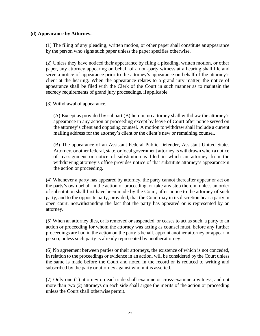#### <span id="page-28-0"></span>**(d) Appearance by Attorney.**

(1) The filing of any pleading, written motion, or other paper shall constitute anappearance by the person who signs such paper unless the paper specifies otherwise.

(2) Unless they have noticed their appearance by filing a pleading, written motion, or other paper, any attorney appearing on behalf of a non-party witness at a hearing shall file and serve a notice of appearance prior to the attorney's appearance on behalf of the attorney's client at the hearing. When the appearance relates to a grand jury matter, the notice of appearance shall be filed with the Clerk of the Court in such manner as to maintain the secrecy requirements of grand jury proceedings, if applicable.

#### (3) Withdrawal of appearance.

(A) Except as provided by subpart (B) herein, no attorney shall withdraw the attorney's appearance in any action or proceeding except by leave of Court after notice served on the attorney's client and opposing counsel. A motion to withdraw shall include a current mailing address for the attorney's client or the client's new or remaining counsel.

(B) The appearance of an Assistant Federal Public Defender, Assistant United States Attorney, or other federal, state, or local government attorney is withdrawn when a notice of reassignment or notice of substitution is filed in which an attorney from the withdrawing attorney's office provides notice of that substitute attorney's appearancein the action or proceeding.

(4) Whenever a party has appeared by attorney, the party cannot thereafter appear or act on the party's own behalf in the action or proceeding, or take any step therein, unless an order of substitution shall first have been made by the Court, after notice to the attorney of such party, and to the opposite party; provided, that the Court may in its discretion hear a party in open court, notwithstanding the fact that the party has appeared or is represented by an attorney.

(5) When an attorney dies, or is removed or suspended, or ceases to act as such, a party to an action or proceeding for whom the attorney was acting as counsel must, before any further proceedings are had in the action on the party's behalf, appoint another attorney or appear in person, unless such party is already represented by anotherattorney.

(6) No agreement between parties or their attorneys, the existence of which is not conceded, in relation to the proceedings or evidence in an action, will be considered by the Court unless the same is made before the Court and noted in the record or is reduced to writing and subscribed by the party or attorney against whom it is asserted.

(7) Only one (1) attorney on each side shall examine or cross-examine a witness, and not more than two (2) attorneys on each side shall argue the merits of the action or proceeding unless the Court shall otherwise permit.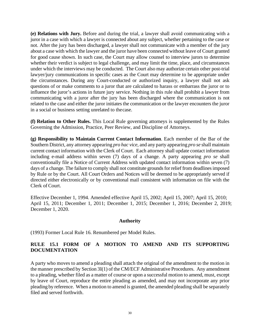**(e) Relations with Jury.** Before and during the trial, a lawyer shall avoid communicating with a juror in a case with which a lawyer is connected about any subject, whether pertaining to the case or not. After the jury has been discharged, a lawyer shall not communicate with a member of the jury about a case with which the lawyer and the juror have been connected without leave of Court granted for good cause shown. In such case, the Court may allow counsel to interview jurors to determine whether their verdict is subject to legal challenge, and may limit the time, place, and circumstances under which the interviews may be conducted. The Court also may authorize certain other post-trial lawyer/jury communications in specific cases as the Court may determine to be appropriate under the circumstances. During any Court-conducted or authorized inquiry, a lawyer shall not ask questions of or make comments to a juror that are calculated to harass or embarrass the juror or to influence the juror's actions in future jury service. Nothing in this rule shall prohibit a lawyer from communicating with a juror after the jury has been discharged where the communication is not related to the case and either the juror initiates the communication or the lawyer encounters the juror in a social or business setting unrelated to thecase.

<span id="page-29-0"></span>**(f) Relation to Other Rules.** This Local Rule governing attorneys is supplemented by the Rules Governing the Admission, Practice, Peer Review, and Discipline of Attorneys.

<span id="page-29-1"></span>**(g) Responsibility to Maintain Current Contact Information**. Each member of the Bar of the Southern District, any attorney appearing *pro hac vice*, and any party appearing *pro se* shall maintain current contact information with the Clerk of Court. Each attorney shall update contact information including e-mail address within seven (7) days of a change. A party appearing *pro se* shall conventionally file a Notice of Current Address with updated contact information within seven (7) days of a change. The failure to comply shall not constitute grounds for relief from deadlines imposed by Rule or by the Court. All Court Orders and Notices will be deemed to be appropriately served if directed either electronically or by conventional mail consistent with information on file with the Clerk ofCourt.

Effective December 1, 1994. Amended effective April 15, 2002; April 15, 2007; April 15, 2010; April 15, 2011; December 1, 2011; December 1, 2015; December 1, 2016; December 2, 2019; December 1, 2020.

#### **Authority**

(1993) Former Local Rule 16. Renumbered per Model Rules.

#### <span id="page-29-2"></span>**RULE 15.1 FORM OF A MOTION TO AMEND AND ITS SUPPORTING DOCUMENTATION**

A party who moves to amend a pleading shall attach the original of the amendment to the motion in the manner prescribed by Section 3I(1) of the CM/ECF Administrative Procedures. Any amendment to a pleading, whether filed as a matter of course or upon a successful motion to amend, must, except by leave of Court, reproduce the entire pleading as amended, and may not incorporate any prior pleading by reference. When a motion to amend is granted, the amended pleading shall be separately filed and served forthwith.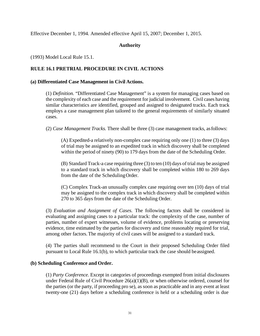Effective December 1, 1994. Amended effective April 15, 2007; December 1, 2015.

#### **Authority**

(1993) Model Local Rule 15.1.

#### <span id="page-30-0"></span>**RULE 16.1 PRETRIAL PROCEDURE IN CIVIL ACTIONS**

#### <span id="page-30-1"></span>**(a) Differentiated Case Management in Civil Actions.**

(1) *Definition.* "Differentiated Case Management" is a system for managing cases based on the complexity of each case and the requirement for judicial involvement. Civil cases having similar characteristics are identified, grouped and assigned to designated tracks. Each track employs a case management plan tailored to the general requirements of similarly situated cases.

(2) *Case Management Tracks.* There shall be three (3) case management tracks, asfollows:

(A) Expedited-a relatively non-complex case requiring only one (1) to three (3) days of trial may be assigned to an expedited track in which discovery shall be completed within the period of ninety (90) to 179 days from the date of the Scheduling Order.

(B) Standard Track-a case requiring three (3) to ten (10) days of trial may be assigned to a standard track in which discovery shall be completed within 180 to 269 days from the date of the SchedulingOrder.

(C) Complex Track-an unusually complex case requiring over ten (10) days of trial may be assigned to the complex track in which discovery shall be completed within 270 to 365 days from the date of the Scheduling Order.

(3) *Evaluation and Assignment of Cases.* The following factors shall be considered in evaluating and assigning cases to a particular track: the complexity of the case, number of parties, number of expert witnesses, volume of evidence, problems locating or preserving evidence, time estimated by the parties for discovery and time reasonably required for trial, among other factors.The majority of civil cases will be assigned to a standard track.

(4) The parties shall recommend to the Court in their proposed Scheduling Order filed pursuant to Local Rule 16.1(b), to which particular track the case should beassigned.

#### <span id="page-30-2"></span>**(b) Scheduling Conference and Order.**

(1) *Party Conference.* Except in categories of proceedings exempted from initial disclosures under Federal Rule of Civil Procedure 26(a)(1)(B), or when otherwise ordered, counsel for the parties (or the party, if proceeding pro se), as soon as practicable and in any event at least twenty-one (21) days before a scheduling conference is held or a scheduling order is due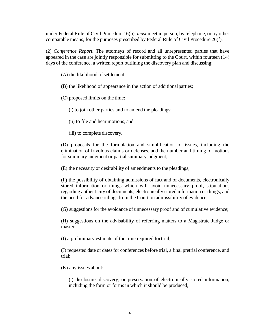under Federal Rule of Civil Procedure 16(b), *must* meet in person, by telephone, or by other comparable means, for the purposes prescribed by Federal Rule of Civil Procedure 26(f).

(2) *Conference Report.* The attorneys of record and all unrepresented parties that have appeared in the case are jointly responsible for submitting to the Court, within fourteen (14) days of the conference, a written report outlining the discovery plan and discussing:

(A) the likelihood of settlement;

(B) the likelihood of appearance in the action of additionalparties;

(C) proposed limits on the time:

(i) to join other parties and to amend the pleadings;

(ii) to file and hear motions; and

(iii) to complete discovery.

(D) proposals for the formulation and simplification of issues, including the elimination of frivolous claims or defenses, and the number and timing of motions for summary judgment or partial summary judgment;

(E) the necessity or desirability of amendments to the pleadings;

(F) the possibility of obtaining admissions of fact and of documents, electronically stored information or things which will avoid unnecessary proof, stipulations regarding authenticity of documents, electronically stored information or things, and the need for advance rulings from the Court on admissibility of evidence;

(G) suggestions for the avoidance of unnecessary proof and of cumulative evidence;

(H) suggestions on the advisability of referring matters to a Magistrate Judge or master;

(I) a preliminary estimate of the time required fortrial;

(J) requested date or dates for conferences before trial, a final pretrial conference, and trial;

(K) any issues about:

(i) disclosure, discovery, or preservation of electronically stored information, including the form or forms in which it should be produced;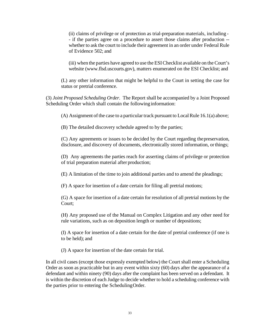(ii) claims of privilege or of protection as trial-preparation materials, including - - if the parties agree on a procedure to assert those claims after production - whether to ask the court to include their agreement in an order under Federal Rule of Evidence 502; and

(iii) when the parties have agreed to use the ESIChecklist available on theCourt's website (www.flsd.uscourts.gov), matters enumerated on the ESI Checklist; and

(L) any other information that might be helpful to the Court in setting the case for status or pretrial conference.

(3) *Joint Proposed Scheduling Order.* The Report shall be accompanied by a Joint Proposed Scheduling Order which shall contain the following information:

(A) Assignment of the case to a particular track pursuant to Local Rule  $16.1(a)$  above;

(B) The detailed discovery schedule agreed to by the parties;

(C) Any agreements or issues to be decided by the Court regarding thepreservation, disclosure, and discovery of documents, electronically stored information, orthings;

(D) Any agreements the parties reach for asserting claims of privilege or protection of trial preparation material after production;

(E) A limitation of the time to join additional parties and to amend the pleadings;

(F) A space for insertion of a date certain for filing all pretrial motions;

(G) A space for insertion of a date certain for resolution of all pretrial motions by the Court;

(H) Any proposed use of the Manual on Complex Litigation and any other need for rule variations, such as on deposition length or number of depositions;

(I) A space for insertion of a date certain for the date of pretrial conference (if one is to be held); and

(J) A space for insertion of the date certain for trial.

In all civil cases (except those expressly exempted below) the Court shall enter a Scheduling Order as soon as practicable but in any event within sixty (60) days after the appearance of a defendant and within ninety (90) days after the complaint has been served on a defendant. It is within the discretion of each Judge to decide whether to hold a scheduling conference with the parties prior to entering the SchedulingOrder.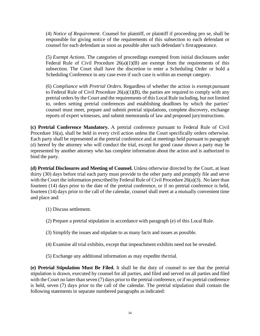(4) *Notice of Requirement.* Counsel for plaintiff, or plaintiff if proceeding pro se, shall be responsible for giving notice of the requirements of this subsection to each defendant or counsel for each defendant as soon as possible after such defendant's firstappearance.

(5) *Exempt Actions.* The categories of proceedings exempted from initial disclosures under Federal Rule of Civil Procedure  $26(a)(1)(B)$  are exempt from the requirements of this subsection. The Court shall have the discretion to enter a Scheduling Order or hold a Scheduling Conference in any case even if such case is within an exempt category.

(6) *Compliance with Pretrial Orders.* Regardless of whether the action is exempt pursuant to Federal Rule of Civil Procedure  $26(a)(1)(B)$ , the parties are required to comply with any pretrial orders by the Court and the requirements of this Local Rule including, but not limited to, orders setting pretrial conferences and establishing deadlines by which the parties' counsel must meet, prepare and submit pretrial stipulations, complete discovery, exchange reports of expert witnesses, and submit memoranda of law and proposed juryinstructions.

<span id="page-33-0"></span>**(c) Pretrial Conference Mandatory.** A pretrial conference pursuant to Federal Rule of Civil Procedure 16(a), shall be held in every civil action unless the Court specifically orders otherwise. Each party shall be represented at the pretrial conference and at meetings held pursuant to paragraph (d) hereof by the attorney who will conduct the trial, except for good cause shown a party may be represented by another attorney who has complete information about the action and is authorized to bind the party.

<span id="page-33-1"></span>**(d) Pretrial Disclosures and Meeting of Counsel.** Unless otherwise directed by the Court, at least thirty (30) days before trial each party must provide to the other party and promptly file and serve with the Court the information prescribed by Federal Rule of Civil Procedure 26(a)(3). No later than fourteen (14) days prior to the date of the pretrial conference, or if no pretrial conference is held, fourteen (14) days prior to the call of the calendar, counsel shall meet at a mutually convenient time and place and:

- (1) Discuss settlement.
- (2) Prepare a pretrial stipulation in accordance with paragraph (e) of this Local Rule.
- (3) Simplify the issues and stipulate to as many facts and issues as possible.
- (4) Examine all trial exhibits, except that impeachment exhibits need not be revealed.
- (5) Exchange any additional information as may expedite the trial.

<span id="page-33-2"></span>**(e) Pretrial Stipulation Must Be Filed.** It shall be the duty of counsel to see that the pretrial stipulation is drawn, executed by counsel for all parties, and filed and served on all parties and filed with the Court no later than seven (7) days prior to the pretrial conference, or if no pretrial conference is held, seven (7) days prior to the call of the calendar. The pretrial stipulation shall contain the following statements in separate numbered paragraphs as indicated: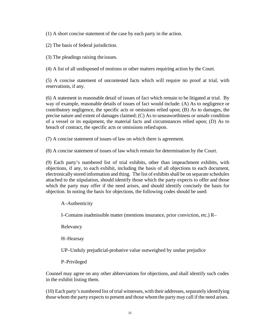(1) A short concise statement of the case by each party in the action.

(2) The basis of federal jurisdiction.

(3) The pleadings raising the issues.

(4) A list of all undisposed of motions or other matters requiring action by the Court.

(5) A concise statement of uncontested facts which will require no proof at trial, with reservations, if any.

(6) A statement in reasonable detail of issues of fact which remain to be litigated at trial. By way of example, reasonable details of issues of fact would include: (A) As to negligence or contributory negligence, the specific acts or omissions relied upon; (B) As to damages, the precise nature and extent of damages claimed; (C) As to unseaworthiness or unsafe condition of a vessel or its equipment, the material facts and circumstances relied upon; (D) As to breach of contract, the specific acts or omissions reliedupon.

(7) A concise statement of issues of law on which there is agreement.

(8) A concise statement of issues of law which remain for determination by the Court.

(9) Each party's numbered list of trial exhibits, other than impeachment exhibits, with objections, if any, to each exhibit, including the basis of all objections to each document, electronically stored information and thing. The list of exhibits shall be on separate schedules attached to the stipulation, should identify those which the party expects to offer and those which the party may offer if the need arises, and should identify concisely the basis for objection. In noting the basis for objections, the following codes should be used:

A–Authenticity

I–Contains inadmissible matter (mentions insurance, prior conviction, etc.) R–

Relevancy

H–Hearsay

UP–Unduly prejudicial-probative value outweighed by undue prejudice

P–Privileged

Counsel may agree on any other abbreviations for objections, and shall identify such codes in the exhibit listing them.

(10) Each party's numbered list of trial witnesses, with their addresses,separately identifying those whom the party expects to present and those whom the party may call if the need arises.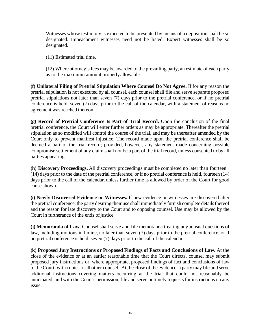<span id="page-35-6"></span>Witnesses whose testimony is expected to be presented by means of a deposition shall be so designated. Impeachment witnesses need not be listed. Expert witnesses shall be so designated.

(11) Estimated trial time.

(12) Where attorney's fees may be awarded to the prevailing party, an estimate of each party as to the maximum amount properlyallowable.

<span id="page-35-0"></span>**(f) Unilateral Filing of Pretrial Stipulation Where Counsel Do Not Agree.** If for any reason the pretrial stipulation is not executed by all counsel, each counsel shall file and serve separate proposed pretrial stipulations not later than seven (7) days prior to the pretrial conference, or if no pretrial conference is held, seven (7) days prior to the call of the calendar, with a statement of reasons no agreement was reached thereon.

<span id="page-35-1"></span>**(g) Record of Pretrial Conference Is Part of Trial Record.** Upon the conclusion of the final pretrial conference, the Court will enter further orders as may be appropriate. Thereafter the pretrial stipulation as so modified will control the course of the trial, and may be thereafter amended by the Court only to prevent manifest injustice. The record made upon the pretrial conference shall be deemed a part of the trial record; provided, however, any statement made concerning possible compromise settlement of any claim shall not be a part of the trial record, unless consented to by all parties appearing.

<span id="page-35-2"></span>**(h) Discovery Proceedings.** All discovery proceedings must be completed no later than fourteen (14) days prior to the date of the pretrial conference, or if no pretrial conference is held, fourteen (14) days prior to the call of the calendar, unless further time is allowed by order of the Court for good cause shown.

<span id="page-35-3"></span>**(i) Newly Discovered Evidence or Witnesses.** If new evidence or witnesses are discovered after the pretrial conference, the party desiring their use shall immediately furnish complete details thereof and the reason for late discovery to the Court and to opposing counsel. Use may be allowed by the Court in furtherance of the ends of justice.

<span id="page-35-4"></span>**(j) Memoranda of Law.** Counsel shall serve and file memoranda treating anyunusual questions of law, including motions in limine, no later than seven (7) days prior to the pretrial conference, or if no pretrial conference is held, seven (7) days prior to the call of the calendar.

<span id="page-35-5"></span>**(k) Proposed Jury Instructions or Proposed Findings of Facts and Conclusions of Law.** At the close of the evidence or at an earlier reasonable time that the Court directs, counsel may submit proposed jury instructions or, where appropriate, proposed findings of fact and conclusions of law to the Court, with copiesto all other counsel. At the close of the evidence, a party may file and serve additional instructions covering matters occurring at the trial that could not reasonably be anticipated; and with the Court's permission, file and serve untimely requests for instructions on any issue.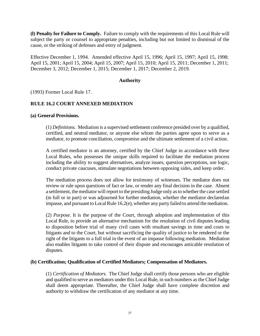**(l) Penalty for Failure to Comply.** Failure to comply with the requirements of this Local Rule will subject the party or counsel to appropriate penalties, including but not limited to dismissal of the cause, or the striking of defenses and entry of judgment.

Effective December 1, 1994. Amended effective April 15, 1996; April 15, 1997; April 15, 1998; April 15, 2001; April 15, 2004; April 15, 2007; April 15, 2010; April 15, 2011; December 1, 2011; December 3, 2012; December 1, 2015; December 1, 2017; December 2, 2019.

## **Authority**

(1993) Former Local Rule 17.

# **RULE 16.2 COURT ANNEXED MEDIATION**

## **(a) General Provisions.**

(1) *Definitions.* Mediation is a supervised settlement conference presided over by a qualified, certified, and neutral mediator, or anyone else whom the parties agree upon to serve as a mediator, to promote conciliation, compromise and the ultimate settlement of a civil action.

A certified mediator is an attorney, certified by the Chief Judge in accordance with these Local Rules, who possesses the unique skills required to facilitate the mediation process including the ability to suggest alternatives, analyze issues, question perceptions, use logic, conduct private caucuses, stimulate negotiations between opposing sides, and keep order.

The mediation process does not allow for testimony of witnesses. The mediator does not review or rule upon questions of fact or law, or render any final decision in the case. Absent a settlement, the mediator will report to the presiding Judge only as to whether the case settled (in full or in part) or was adjourned for further mediation, whether the mediator declaredan impasse, and pursuant to Local Rule 16.2(e), whether any party failed to attend the mediation.

(2) *Purpose.* It is the purpose of the Court, through adoption and implementation of this Local Rule, to provide an alternative mechanism for the resolution of civil disputes leading to disposition before trial of many civil cases with resultant savings in time and costs to litigants and to the Court, but without sacrificing the quality of justice to be rendered or the right of the litigants to a full trial in the event of an impasse following mediation. Mediation also enables litigants to take control of their dispute and encourages amicable resolution of disputes.

## **(b) Certification; Qualification of Certified Mediators; Compensation of Mediators.**

(1) *Certification of Mediators.* The Chief Judge shall certify those persons who are eligible and qualified to serve as mediators under this Local Rule, in such numbers as the Chief Judge shall deem appropriate. Thereafter, the Chief Judge shall have complete discretion and authority to withdraw the certification of any mediator at any time.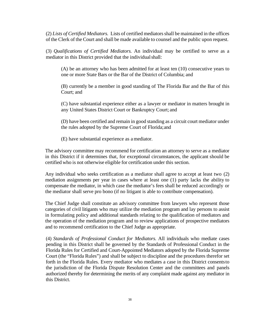(2) *Lists of Certified Mediators.* Lists of certified mediatorsshall be maintained in the offices of the Clerk of the Court and shall be made available to counsel and the public upon request.

(3) *Qualifications of Certified Mediators.* An individual may be certified to serve as a mediator in this District provided that the individual shall:

(A) be an attorney who has been admitted for at least ten (10) consecutive years to one or more State Bars or the Bar of the District of Columbia; and

(B) currently be a member in good standing of The Florida Bar and the Bar of this Court; and

(C) have substantial experience either as a lawyer or mediator in matters brought in any United States District Court or Bankruptcy Court; and

(D) have been certified and remain in good standing as a circuit court mediator under the rules adopted by the Supreme Court of Florida;and

(E) have substantial experience as amediator.

The advisory committee may recommend for certification an attorney to serve as a mediator in this District if it determines that, for exceptional circumstances, the applicant should be certified who is not otherwise eligible for certification under this section.

Any individual who seeks certification as a mediator shall agree to accept at least two (2) mediation assignments per year in cases where at least one (1) party lacks the ability to compensate the mediator, in which case the mediator's fees shall be reduced accordingly or the mediator shall serve pro bono (if no litigant is able to contribute compensation).

The Chief Judge shall constitute an advisory committee from lawyers who represent those categories of civil litigants who may utilize the mediation program and lay persons to assist in formulating policy and additional standards relating to the qualification of mediators and the operation of the mediation program and to review applications of prospective mediators and to recommend certification to the Chief Judge as appropriate.

(4) *Standards of Professional Conduct for Mediators.* All individuals who mediate cases pending in this District shall be governed by the Standards of Professional Conduct in the Florida Rules for Certified and Court-Appointed Mediators adopted by the Florida Supreme Court (the "Florida Rules") and shall be subject to discipline and the procedures therefor set forth in the Florida Rules. Every mediator who mediates a case in this District consentsto the jurisdiction of the Florida Dispute Resolution Center and the committees and panels authorized thereby for determining the merits of any complaint made against any mediator in this District.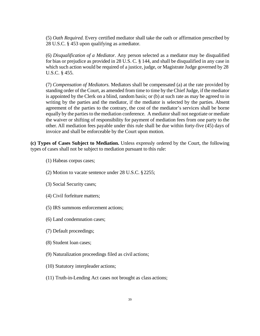(5) *Oath Required.* Every certified mediator shall take the oath or affirmation prescribed by 28 U.S.C. § 453 upon qualifying as amediator.

(6) *Disqualification of a Mediator.* Any person selected as a mediator may be disqualified for bias or prejudice as provided in 28 U.S. C. § 144, and shall be disqualified in any case in which such action would be required of a justice, judge, or Magistrate Judge governed by 28 U.S.C. § 455.

(7) *Compensation of Mediators.* Mediators shall be compensated (a) at the rate provided by standing order of the Court, as amended from time to time by the ChiefJudge, if the mediator is appointed by the Clerk on a blind, random basis; or (b) at such rate as may be agreed to in writing by the parties and the mediator, if the mediator is selected by the parties. Absent agreement of the parties to the contrary, the cost of the mediator's services shall be borne equally by the parties to the mediation conference. A mediator shall not negotiate or mediate the waiver or shifting of responsibility for payment of mediation fees from one party to the other. All mediation fees payable under this rule shall be due within forty-five (45) days of invoice and shall be enforceable by the Court upon motion.

**(c) Types of Cases Subject to Mediation.** Unless expressly ordered by the Court, the following types of cases shall not be subject to mediation pursuant to this rule:

- (1) Habeas corpus cases;
- (2) Motion to vacate sentence under 28 U.S.C. §2255;
- (3) Social Security cases;
- (4) Civil forfeiture matters;
- (5) IRS summons enforcement actions;
- (6) Land condemnation cases;
- (7) Default proceedings;
- (8) Student loan cases;
- (9) Naturalization proceedings filed as civil actions;
- (10) Statutory interpleader actions;
- (11) Truth-in-Lending Act cases not brought as class actions;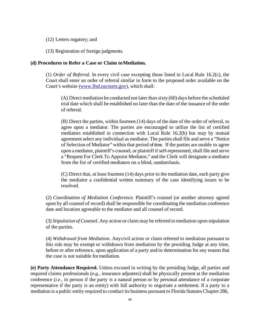- (12) Letters rogatory; and
- (13) Registration of foreign judgments.

### **(d) Procedures to Refer a Case or Claim toMediation.**

(1) *Order of Referral.* In every civil case excepting those listed in Local Rule 16.2(c), the Court shall enter an order of referral similar in form to the proposed order available on the Court's website [\(www.flsd.uscourts.gov\)](http://www.flsd.uscourts.gov/), which shall:

(A) Direct mediation be conducted not later than sixty (60) days before the scheduled trial date which shall be established no later than the date of the issuance of the order of referral.

(B) Direct the parties, within fourteen (14) days of the date of the order of referral, to agree upon a mediator. The parties are encouraged to utilize the list of certified mediators established in connection with Local Rule 16.2(b) but may by mutual agreement select any individual as mediator. The parties shall file and serve a "Notice of Selection of Mediator" within that period of time. If the parties are unable to agree upon a mediator, plaintiff's counsel, or plaintiff if self-represented, shall file and serve a "Request For Clerk To Appoint Mediator," and the Clerk will designate a mediator from the list of certified mediators on a blind, randombasis.

(C) Direct that, at least fourteen (14) days prior to the mediation date, each party give the mediator a confidential written summary of the case identifying issues to be resolved.

(2) *Coordination of Mediation Conference.* Plaintiff's counsel (or another attorney agreed upon by all counsel of record) shall be responsible for coordinating the mediation conference date and location agreeable to the mediator and all counsel of record.

(3) *Stipulation of Counsel.* Any action or claim may be referred to mediation upon stipulation of the parties.

(4) *Withdrawal from Mediation.* Anycivil action or claim referred to mediation pursuant to this rule may be exempt or withdrawn from mediation by the presiding Judge at any time, before or after reference, upon application of a party and/or determination for any reason that the case is not suitable formediation.

**(e) Party Attendance Required.** Unless excused in writing by the presiding Judge, all parties and required claims professionals (*e.g.,* insurance adjusters) shall be physically present at the mediation conference (*i.e.,* in person if the party is a natural person or by personal attendance of a corporate representative if the party is an entity) with full authority to negotiate a settlement. If a party to a mediation is a public entity required to conduct its business pursuant to Florida Statutes Chapter 286,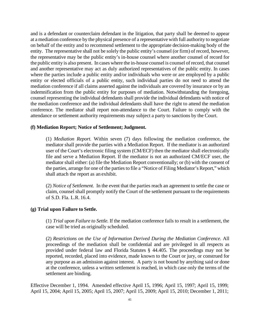and is a defendant or counterclaim defendant in the litigation, that party shall be deemed to appear at a mediation conference by the physical presence of a representative with full authority to negotiate on behalf of the entity and to recommend settlement to the appropriate decision-making body of the entity. The representative shall not be solely the public entity's counsel (or firm) of record, however, the representative may be the public entity's in-house counsel where another counsel of record for the public entity is also present. In cases where the in-house counsel is counsel of record, that counsel and another representative may act as duly authorized representatives of the public entity. In cases where the parties include a public entity and/or individuals who were or are employed by a public entity or elected officials of a public entity, such individual parties do not need to attend the mediation conference if all claims asserted against the individuals are covered by insurance or by an indemnification from the public entity for purposes of mediation. Notwithstanding the foregoing, counsel representing the individual defendants shall provide the individual defendants with notice of the mediation conference and the individual defendants shall have the right to attend the mediation conference. The mediator shall report non-attendance to the Court. Failure to comply with the attendance or settlement authority requirements may subject a party to sanctions by the Court.

#### **(f) Mediation Report; Notice of Settlement; Judgment.**

(1) *Mediation Report.* Within seven (7) days following the mediation conference, the mediator shall provide the parties with a Mediation Report. If the mediator is an authorized user of the Court's electronic filing system (CM/ECF) then the mediator shall electronically file and serve a Mediation Report. If the mediator is not an authorized CM/ECF user, the mediator shall either: (a) file the Mediation Report conventionally; or (b) with the consent of the parties, arrange for one of the parties to file a "Notice of Filing Mediator's Report," which shall attach the report as an exhibit.

(2) *Notice of Settlement.* In the event that the parties reach an agreement to settle the case or claim, counsel shall promptly notify the Court of the settlement pursuant to the requirements of S.D. Fla. L.R. 16.4.

#### **(g) Trial upon Failure to Settle.**

(1) *Trial upon Failure to Settle.* If the mediation conference fails to result in a settlement, the case will be tried as originally scheduled.

(2) *Restrictions on the Use of Information Derived During the Mediation Conference.* All proceedings of the mediation shall be confidential and are privileged in all respects as provided under federal law and Florida Statutes § 44.405. The proceedings may not be reported, recorded, placed into evidence, made known to the Court or jury, or construed for any purpose as an admission against interest. A party is not bound by anything said or done at the conference, unless a written settlement is reached, in which case only the terms of the settlement are binding.

Effective December 1, 1994. Amended effective April 15, 1996; April 15, 1997; April 15, 1999; April 15, 2004; April 15, 2005; April 15, 2007; April 15, 2009; April 15, 2010; December 1, 2011;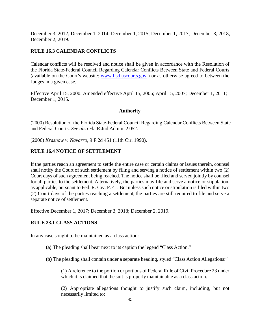December 3, 2012; December 1, 2014; December 1, 2015; December 1, 2017; December 3, 2018; December 2, 2019.

### **RULE 16.3 CALENDAR CONFLICTS**

Calendar conflicts will be resolved and notice shall be given in accordance with the Resolution of the Florida State-Federal Council Regarding Calendar Conflicts Between State and Federal Courts (available on the Court's website: [www.flsd.uscourts.gov](http://www.flsd.uscourts.gov/) ) or as otherwise agreed to between the Judges in a given case.

Effective April 15, 2000. Amended effective April 15, 2006; April 15, 2007; December 1, 2011; December 1, 2015.

#### **Authority**

(2000) Resolution of the Florida State-Federal Council Regarding Calendar Conflicts Between State and Federal Courts. *See also* Fla.R.Jud.Admin. 2.052.

(2006) *Krasnow v. Navarro,* 9 F.2d 451 (11th Cir. 1990).

### **RULE 16.4 NOTICE OF SETTLEMENT**

If the parties reach an agreement to settle the entire case or certain claims or issues therein, counsel shall notify the Court of such settlement by filing and serving a notice of settlement within two (2) Court days of such agreement being reached. The notice shall be filed and served jointly by counsel for all parties to the settlement. Alternatively, the parties may file and serve a notice or stipulation, as applicable, pursuant to Fed. R. Civ. P. 41. But unless such notice or stipulation is filed within two (2) Court days of the parties reaching a settlement, the parties are still required to file and serve a separate notice of settlement.

Effective December 1, 2017; December 3, 2018; December 2, 2019.

### **RULE 23.1 CLASS ACTIONS**

In any case sought to be maintained as a class action:

- **(a)** The pleading shall bear next to its caption the legend "Class Action."
- **(b)** The pleading shall contain under a separate heading, styled "Class Action Allegations:"

(1) A reference to the portion or portions of Federal Rule of Civil Procedure 23 under which it is claimed that the suit is properly maintainable as a class action.

(2) Appropriate allegations thought to justify such claim, including, but not necessarily limited to: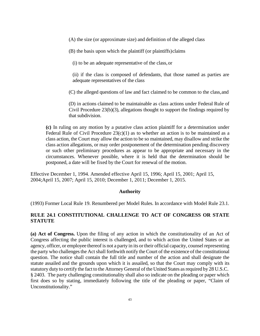(A) the size (or approximate size) and definition of the alleged class

(B) the basis upon which the plaintiff (or plaintiffs)claims

(i) to be an adequate representative of the class,or

(ii) if the class is composed of defendants, that those named as parties are adequate representatives of the class

(C) the alleged questions of law and fact claimed to be common to the class,and

(D) in actions claimed to be maintainable as class actions under Federal Rule of Civil Procedure 23(b)(3), allegations thought to support the findings required by that subdivision.

**(c)** In ruling on any motion by a putative class action plaintiff for a determination under Federal Rule of Civil Procedure  $23(c)(1)$  as to whether an action is to be maintained as a class action, the Court may allow the action to be so maintained, may disallow and strike the class action allegations, or may order postponement of the determination pending discovery or such other preliminary procedures as appear to be appropriate and necessary in the circumstances. Whenever possible, where it is held that the determination should be postponed, a date will be fixed by the Court for renewal of the motion.

Effective December 1, 1994. Amended effective April 15, 1996; April 15, 2001; April 15, 2004;April 15, 2007; April 15, 2010; December 1, 2011; December 1, 2015.

#### **Authority**

(1993) Former Local Rule 19. Renumbered per Model Rules. In accordance with Model Rule 23.1.

# **RULE 24.1 CONSTITUTIONAL CHALLENGE TO ACT OF CONGRESS OR STATE STATUTE**

**(a) Act of Congress.** Upon the filing of any action in which the constitutionality of an Act of Congress affecting the public interest is challenged, and to which action the United States or an agency, officer, or employee thereof is not a party in its ortheir official capacity, counsel representing the party who challenges the Act shall forthwith notify the Court of the existence of the constitutional question. The notice shall contain the full title and number of the action and shall designate the statute assailed and the grounds upon which it is assailed, so that the Court may comply with its statutory duty to certify the fact to the Attorney General of the United States as required by 28 U.S.C. § 2403. The party challenging constitutionality shall also so indicate on the pleading or paper which first does so by stating, immediately following the title of the pleading or paper, "Claim of Unconstitutionality."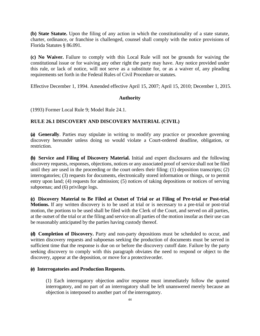**(b) State Statute.** Upon the filing of any action in which the constitutionality of a state statute, charter, ordinance, or franchise is challenged, counsel shall comply with the notice provisions of Florida Statutes § 86.091.

**(c) No Waiver.** Failure to comply with this Local Rule will not be grounds for waiving the constitutional issue or for waiving any other right the party may have. Any notice provided under this rule, or lack of notice, will not serve as a substitute for, or as a waiver of, any pleading requirements set forth in the Federal Rules of Civil Procedure or statutes.

Effective December 1, 1994. Amended effective April 15, 2007; April 15, 2010; December 1, 2015.

### **Authority**

(1993) Former Local Rule 9; Model Rule 24.1.

# **RULE 26.1 DISCOVERY AND DISCOVERY MATERIAL (CIVIL)**

**(a) Generally**. Parties may stipulate in writing to modify any practice or procedure governing discovery hereunder unless doing so would violate a Court-ordered deadline, obligation, or restriction.

**(b) Service and Filing of Discovery Material.** Initial and expert disclosures and the following discovery requests, responses, objections, notices or any associated proof of service shall not be filed until they are used in the proceeding or the court orders their filing: (1) deposition transcripts; (2) interrogatories; (3) requests for documents, electronically stored information or things, or to permit entry upon land; (4) requests for admission; (5) notices of taking depositions or notices of serving subpoenas; and (6) privilege logs.

**(c) Discovery Material to Be Filed at Outset of Trial or at Filing of Pre-trial or Post-trial Motions.** If any written discovery is to be used at trial or is necessary to a pre-trial or post-trial motion, the portions to be used shall be filed with the Clerk of the Court, and served on all parties, at the outset of the trial or at the filing and service on all parties of the motion insofar as their use can be reasonably anticipated by the parties having custody thereof.

**(d) Completion of Discovery.** Party and non-party depositions must be scheduled to occur, and written discovery requests and subpoenas seeking the production of documents must be served in sufficient time that the response is due on or before the discovery cutoff date. Failure by the party seeking discovery to comply with this paragraph obviates the need to respond or object to the discovery, appear at the deposition, or move for a protectiveorder.

### **(e) Interrogatories and Production Requests.**

(1) Each interrogatory objection and/or response must immediately follow the quoted interrogatory, and no part of an interrogatory shall be left unanswered merely because an objection is interposed to another part of the interrogatory.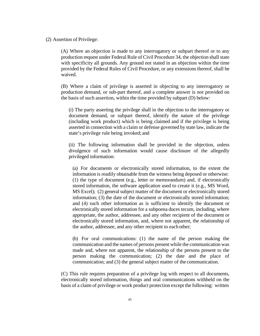#### (2) Assertion of Privilege:

(A) Where an objection is made to any interrogatory or subpart thereof or to any production request under Federal Rule of Civil Procedure 34, the objection shall state with specificity all grounds. Any ground not stated in an objection within the time provided by the Federal Rules of Civil Procedure, or any extensions thereof, shall be waived.

(B) Where a claim of privilege is asserted in objecting to any interrogatory or production demand, or sub-part thereof, and a complete answer is not provided on the basis of such assertion, within the time provided by subpart (D) below:

(i) The party asserting the privilege shall in the objection to the interrogatory or document demand, or subpart thereof, identify the nature of the privilege (including work product) which is being claimed and if the privilege is being asserted in connection with a claim or defense governed by state law, indicate the state's privilege rule being invoked; and

(ii) The following information shall be provided in the objection, unless divulgence of such information would cause disclosure of the allegedly privileged information:

(a) For documents or electronically stored information, to the extent the information is readily obtainable from the witness being deposed or otherwise: (1) the type of document (e.g., letter or memorandum) and, if electronically stored information, the software application used to create it (e.g., MS Word, MS Excel); (2) general subject matter of the document or electronically stored information; (3) the date of the document or electronically stored information; and (4) such other information as is sufficient to identify the document or electronically stored information for a subpoena duces tecum, including, where appropriate, the author, addressee, and any other recipient of the document or electronically stored information, and, where not apparent, the relationship of the author, addressee, and any other recipient to eachother;

(b) For oral communications: (1) the name of the person making the communication and the names of persons present while the communication was made and, where not apparent, the relationship of the persons present to the person making the communication; (2) the date and the place of communication; and (3) the general subject matter of the communication.

(C) This rule requires preparation of a privilege log with respect to all documents, electronically stored information, things and oral communications withheld on the basis of a claim of privilege or work product protection except the following: written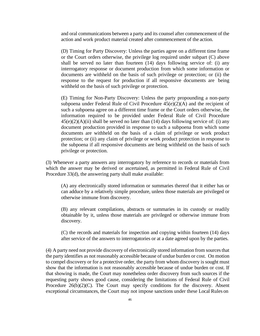and oral communications between a party and its counsel after commencement of the action and work product material created after commencement of the action.

(D) Timing for Party Discovery: Unless the parties agree on a different time frame or the Court orders otherwise, the privilege log required under subpart (C) above shall be served no later than fourteen (14) days following service of: (i) any interrogatory response or document production from which some information or documents are withheld on the basis of such privilege or protection; or (ii) the response to the request for production if all responsive documents are being withheld on the basis of such privilege or protection.

(E) Timing for Non-Party Discovery: Unless the party propounding a non-party subpoena under Federal Rule of Civil Procedure 45(e)(2)(A) and the recipient of such a subpoena agree on a different time frame or the Court orders otherwise, the information required to be provided under Federal Rule of Civil Procedure  $45(e)(2)(A)(ii)$  shall be served no later than (14) days following service of: (i) any document production provided in response to such a subpoena from which some documents are withheld on the basis of a claim of privilege or work product protection; or (ii) any claim of privilege or work product protection in response to the subpoena if all responsive documents are being withheld on the basis of such privilege or protection.

(3) Whenever a party answers any interrogatory by reference to records or materials from which the answer may be derived or ascertained, as permitted in Federal Rule of Civil Procedure 33(d), the answering party shall make available:

(A) any electronically stored information or summaries thereof that it either has or can adduce by a relatively simple procedure, unless those materials are privileged or otherwise immune from discovery.

(B) any relevant compilations, abstracts or summaries in its custody or readily obtainable by it, unless those materials are privileged or otherwise immune from discovery.

(C) the records and materials for inspection and copying within fourteen (14) days after service of the answers to interrogatories or at a date agreed upon by the parties.

(4) A party need not provide discovery of electronically stored information from sourcesthat the party identifies as not reasonably accessible because of undue burden or cost. On motion to compel discovery or for a protective order, the party from whom discovery is sought must show that the information is not reasonably accessible because of undue burden or cost. If that showing is made, the Court may nonetheless order discovery from such sources if the requesting party shows good cause, considering the limitations of Federal Rule of Civil Procedure  $26(b)(2)(C)$ . The Court may specify conditions for the discovery. Absent exceptional circumstances, the Court may not impose sanctions under these Local Rules on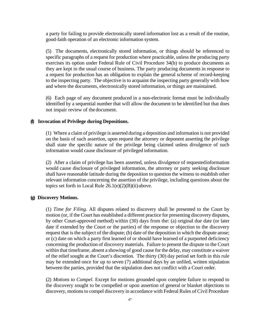a party for failing to provide electronically stored information lost as a result of the routine, good-faith operation of an electronic information system.

(5) The documents, electronically stored information, or things should be referenced to specific paragraphs of a request for production where practicable, unless the producing party exercises its option under Federal Rule of Civil Procedure 34(b) to produce documents as they are kept in the usual course of business. The party producing documents in response to a request for production has an obligation to explain the general scheme of record-keeping to the inspecting party. The objective is to acquaint the inspecting party generally with how and where the documents, electronically stored information, or things are maintained.

(6) Each page of any document produced in a non-electronic format must be individually identified by a sequential number that will allow the document to be identified but that does not impair review of the document.

#### **(f) Invocation of Privilege during Depositions.**

(1) Where a claim of privilege is asserted during a deposition and information is not provided on the basis of such assertion, upon request the attorney or deponent asserting the privilege shall state the specific nature of the privilege being claimed unless divulgence of such information would cause disclosure of privileged information.

(2) After a claim of privilege has been asserted, unless divulgence of requestedinformation would cause disclosure of privileged information, the attorney or party seeking disclosure shall have reasonable latitude during the deposition to question the witness to establish other relevant information concerning the assertion of the privilege, including questions about the topics set forth in Local Rule 26.1(e)(2)(B)(ii) above.

#### **(g) Discovery Motions.**

(1) *Time for Filing.* All disputes related to discovery shall be presented to the Court by motion (or, if the Court has established a different practice for presenting discovery disputes, by other Court-approved method) within (30) days from the: (a) original due date (or later date if extended by the Court or the parties) of the response or objection to the discovery request that is the subject of the dispute; (b) date of the deposition in which the dispute arose; or (c) date on which a party first learned of or should have learned of a purported deficiency concerning the production of discovery materials. Failure to present the dispute to the Court within that timeframe, absent a showing of good cause for the delay, may constitute a waiver of the relief sought at the Court's discretion. The thirty (30) day period set forth in this rule may be extended once for up to seven (7) additional days by an unfiled, written stipulation between the parties, provided that the stipulation does not conflict with a Court order.

(2) *Motions to Compel.* Except for motions grounded upon complete failure to respond to the discovery sought to be compelled or upon assertion of general or blanket objections to discovery, motionsto compel discovery in accordance with Federal Rules of Civil Procedure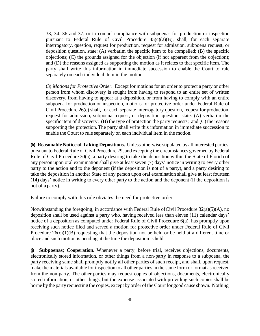33, 34, 36 and 37, or to compel compliance with subpoenas for production or inspection pursuant to Federal Rule of Civil Procedure  $45(c)(2)(B)$ , shall, for each separate interrogatory, question, request for production, request for admission, subpoena request, or deposition question, state: (A) verbatim the specific item to be compelled; (B) the specific objections; (C) the grounds assigned for the objection (if not apparent from the objection); and (D) the reasons assigned as supporting the motion as it relates to that specific item. The party shall write this information in immediate succession to enable the Court to rule separately on each individual item in the motion.

(3) *Motions for Protective Order.* Except for motions for an order to protect a party or other person from whom discovery is sought from having to respond to an entire set of written discovery, from having to appear at a deposition, or from having to comply with an entire subpoena for production or inspection, motions for protective order under Federal Rule of Civil Procedure 26(c) shall, for each separate interrogatory question, request for production, request for admission, subpoena request, or deposition question, state: (A) verbatim the specific item of discovery; (B) the type of protection the party requests; and (C) the reasons supporting the protection. The party shall write this information in immediate succession to enable the Court to rule separately on each individual item in the motion.

**(h) Reasonable Notice of Taking Depositions.** Unless otherwise stipulated by all interested parties, pursuant to Federal Rule of Civil Procedure 29, and excepting the circumstances governed by Federal Rule of Civil Procedure 30(a), a party desiring to take the deposition within the State of Florida of any person upon oral examination shall give at least seven (7) days' notice in writing to every other party to the action and to the deponent (if the deposition is not of a party), and a party desiring to take the deposition in another State of any person upon oral examination shall give at least fourteen (14) days' notice in writing to every other party to the action and the deponent (if the deposition is not of a party).

Failure to comply with this rule obviates the need for protective order.

Notwithstanding the foregoing, in accordance with Federal Rule ofCivil Procedure 32(a)(5)(A), no deposition shall be used against a party who, having received less than eleven (11) calendar days' notice of a deposition as computed under Federal Rule of Civil Procedure 6(a), has promptly upon receiving such notice filed and served a motion for protective order under Federal Rule of Civil Procedure 26(c)(1)(B) requesting that the deposition not be held or be held at a different time or place and such motion is pending at the time the deposition is held.

**(i) Subpoenas; Cooperation.** Whenever a party, before trial, receives objections, documents, electronically stored information, or other things from a non-party in response to a subpoena, the party receiving same shall promptly notify all other parties of such receipt, and shall, upon request, make the materials available for inspection to all other parties in the same form or format as received from the non-party. The other parties may request copies of objections, documents, electronically stored information, or other things, but the expense associated with providing such copies shall be borne by the party requesting the copies, except by order of the Court for good cause shown. Nothing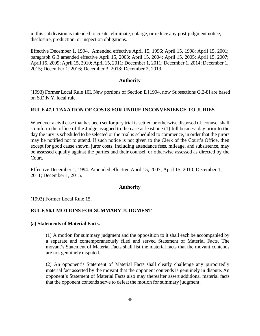in this subdivision is intended to create, eliminate, enlarge, or reduce any post-judgment notice, disclosure, production, or inspection obligations.

Effective December 1, 1994. Amended effective April 15, 1996; April 15, 1998; April 15, 2001; paragraph G.3 amended effective April 15, 2003; April 15, 2004; April 15, 2005; April 15, 2007; April 15, 2009; April 15, 2010; April 15, 2011; December 1, 2011; December 1, 2014; December 1, 2015; December 1, 2016; December 3, 2018; December 2, 2019.

#### **Authority**

(1993) Former Local Rule 10I. New portions of Section E [1994, now Subsections G.2-8] are based on S.D.N.Y. local rule.

## **RULE 47.1 TAXATION OF COSTS FOR UNDUE INCONVENIENCE TO JURIES**

Whenever a civil case that has been set for jury trial is settled or otherwise disposed of, counsel shall so inform the office of the Judge assigned to the case at least one (1) full business day prior to the day the jury is scheduled to be selected or the trial is scheduled to commence, in order that the jurors may be notified not to attend. If such notice is not given to the Clerk of the Court's Office, then except for good cause shown, juror costs, including attendance fees, mileage, and subsistence, may be assessed equally against the parties and their counsel, or otherwise assessed as directed by the Court.

Effective December 1, 1994. Amended effective April 15, 2007; April 15, 2010; December 1, 2011; December 1, 2015.

#### **Authority**

(1993) Former Local Rule 15.

### **RULE 56.1 MOTIONS FOR SUMMARY JUDGMENT**

### **(a) Statements of Material Facts.**

(1) A motion for summary judgment and the opposition to it shall each be accompanied by a separate and contemporaneously filed and served Statement of Material Facts. The movant's Statement of Material Facts shall list the material facts that the movant contends are not genuinely disputed.

(2) An opponent's Statement of Material Facts shall clearly challenge any purportedly material fact asserted by the movant that the opponent contends is genuinely in dispute. An opponent's Statement of Material Facts also may thereafter assert additional material facts that the opponent contends serve to defeat the motion for summary judgment.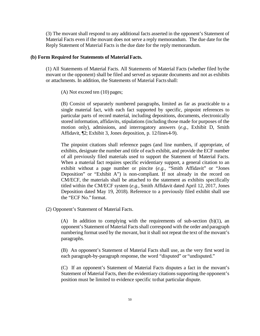(3) The movant shall respond to any additional facts asserted in the opponent's Statement of Material Facts even if the movant does not serve a reply memorandum. The due date for the Reply Statement of Material Facts is the due date for the reply memorandum.

### **(b) Form Required for Statements of MaterialFacts.**

(1) All Statements of Material Facts. All Statements of Material Facts (whether filed bythe movant or the opponent) shall be filed and served as separate documents and not as exhibits or attachments. In addition, the Statements of Material Factsshall:

(A) Not exceed ten (10) pages;

(B) Consist of separately numbered paragraphs, limited as far as practicable to a single material fact, with each fact supported by specific, pinpoint references to particular parts of record material, including depositions, documents, electronically stored information, affidavits, stipulations (including those made for purposes of the motion only), admissions, and interrogatory answers (*e.g.,* Exhibit D, Smith Affidavit,  $\mathbb{Z}$ ; Exhibit 3, Jones deposition, p. 12/lines 4-9).

The pinpoint citations shall reference pages (and line numbers, if appropriate, of exhibits, designate the number and title of each exhibit, and provide the ECF number of all previously filed materials used to support the Statement of Material Facts. When a material fact requires specific evidentiary support, a general citation to an exhibit without a page number or pincite (*e.g.,* "Smith Affidavit" or "Jones Deposition" or "Exhibit A") is non-compliant. If not already in the record on CM/ECF, the materials shall be attached to the statement as exhibits specifically titled within the CM/ECF system (*e.g.,* Smith Affidavit dated April 12, 2017, Jones Deposition dated May 19, 2018). Reference to a previously filed exhibit shall use the "ECF No." format.

(2) Opponent's Statement of Material Facts.

(A) In addition to complying with the requirements of sub-section  $(b)(1)$ , an opponent's Statement of Material Facts shall correspond with the order and paragraph numbering format used by the movant, but it shall not repeat the text of the movant's paragraphs.

(B) An opponent's Statement of Material Facts shall use, as the very first word in each paragraph-by-paragraph response, the word "disputed" or "undisputed."

(C) If an opponent's Statement of Material Facts disputes a fact in the movant's Statement of Material Facts, then the evidentiary citations supporting the opponent's position must be limited to evidence specific tothat particular dispute.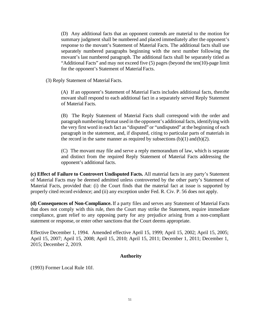(D) Any additional facts that an opponent contends are material to the motion for summary judgment shall be numbered and placed immediately after the opponent's response to the movant's Statement of Material Facts. The additional facts shall use separately numbered paragraphs beginning with the next number following the movant's last numbered paragraph. The additional facts shall be separately titled as "Additional Facts" and may not exceed five (5) pages (beyond the ten(10)-page limit for the opponent's Statement of Material Facts.

(3) Reply Statement of Material Facts.

(A) If an opponent's Statement of Material Facts includes additional facts, thenthe movant shall respond to each additional fact in a separately served Reply Statement of Material Facts.

(B) The Reply Statement of Material Facts shall correspond with the order and paragraph numbering format used in the opponent's additional facts, identifying with the very first word in each fact as "disputed" or "undisputed" at the beginning of each paragraph in the statement, and, if disputed, citing to particular parts of materials in the record in the same manner as required by subsections  $(b)(1)$  and  $(b)(2)$ .

(C) The movant may file and serve a reply memorandum of law, which is separate and distinct from the required Reply Statement of Material Facts addressing the opponent's additional facts.

**(c) Effect of Failure to Controvert Undisputed Facts.** All material facts in any party's Statement of Material Facts may be deemed admitted unless controverted by the other party's Statement of Material Facts, provided that: (i) the Court finds that the material fact at issue is supported by properly cited record evidence; and (ii) any exception under Fed. R. Civ. P. 56 does not apply.

**(d) Consequences of Non-Compliance.** If a party files and serves any Statement of Material Facts that does not comply with this rule, then the Court may strike the Statement, require immediate compliance, grant relief to any opposing party for any prejudice arising from a non-compliant statement or response, or enter other sanctions that the Court deems appropriate.

Effective December 1, 1994. Amended effective April 15, 1999; April 15, 2002; April 15, 2005; April 15, 2007; April 15, 2008; April 15, 2010; April 15, 2011; December 1, 2011; December 1, 2015; December 2, 2019.

### **Authority**

(1993) Former Local Rule 10J.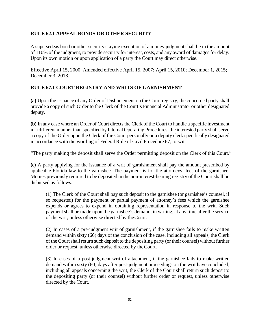# **RULE 62.1 APPEAL BONDS OR OTHER SECURITY**

A supersedeas bond or other security staying execution of a money judgment shall be in the amount of 110% of the judgment, to provide security for interest, costs, and any award of damages for delay. Upon its own motion or upon application of a party the Court may direct otherwise.

Effective April 15, 2000. Amended effective April 15, 2007; April 15, 2010; December 1, 2015; December 3, 2018.

# **RULE 67.1 COURT REGISTRY AND WRITS OF GARNISHMENT**

**(a)** Upon the issuance of any Order of Disbursement on the Court registry, the concerned party shall provide a copy of such Order to the Clerk of the Court's Financial Administrator or other designated deputy.

**(b)** In any case where an Order of Court directs the Clerk of the Court to handle a specific investment in a different manner than specified by Internal Operating Procedures, the interested party shall serve a copy of the Order upon the Clerk of the Court personally or a deputy clerk specifically designated in accordance with the wording of Federal Rule of Civil Procedure 67, to-wit:

"The party making the deposit shall serve the Order permitting deposit on the Clerk of this Court."

**(c)** A party applying for the issuance of a writ of garnishment shall pay the amount prescribed by applicable Florida law to the garnishee. The payment is for the attorneys' fees of the garnishee. Monies previously required to be deposited in the non-interest-bearing registry of the Court shall be disbursed as follows:

(1) The Clerk of the Court shall pay such deposit to the garnishee (or garnishee's counsel, if so requested) for the payment or partial payment of attorney's fees which the garnishee expends or agrees to expend in obtaining representation in response to the writ. Such payment shall be made upon the garnishee's demand, in writing, at any time after the service of the writ, unless otherwise directed by theCourt.

(2) In cases of a pre-judgment writ of garnishment, if the garnishee fails to make written demand within sixty (60) days of the conclusion of the case, including all appeals, the Clerk of the Court shall return such deposit to the depositing party (or their counsel) without further order or request, unless otherwise directed by theCourt.

(3) In cases of a post-judgment writ of attachment, if the garnishee fails to make written demand within sixty (60) days after post-judgment proceedings on the writ have concluded, including all appeals concerning the writ, the Clerk of the Court shall return such depositto the depositing party (or their counsel) without further order or request, unless otherwise directed by the Court.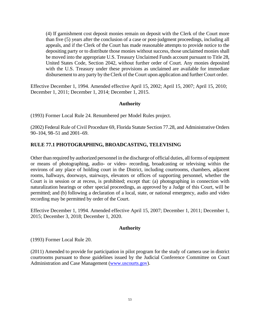(4) If garnishment cost deposit monies remain on deposit with the Clerk of the Court more than five (5) years after the conclusion of a case or post-judgment proceedings, including all appeals, and if the Clerk of the Court has made reasonable attempts to provide notice to the depositing party or to distribute those monies without success, those unclaimed monies shall be moved into the appropriate U.S. Treasury Unclaimed Funds account pursuant to Title 28, United States Code, Section 2042, without further order of Court. Any monies deposited with the U.S. Treasury under these provisions as unclaimed are available for immediate disbursement to any party by the Clerk of the Court upon application and further Court order.

Effective December 1, 1994. Amended effective April 15, 2002; April 15, 2007; April 15, 2010; December 1, 2011; December 1, 2014; December 1, 2015.

#### **Authority**

(1993) Former Local Rule 24. Renumbered per Model Rules project.

(2002) Federal Rule of Civil Procedure 69, Florida Statute Section 77.28, and Administrative Orders 90–104, 98–51 and 2001–69.

## **RULE 77.1 PHOTOGRAPHING, BROADCASTING, TELEVISING**

Other than required by authorized personnel in the discharge of official duties, all forms of equipment or means of photographing, audio- or video- recording, broadcasting or televising within the environs of any place of holding court in the District, including courtrooms, chambers, adjacent rooms, hallways, doorways, stairways, elevators or offices of supporting personnel, whether the Court is in session or at recess, is prohibited; except that: (a) photographing in connection with naturalization hearings or other special proceedings, as approved by a Judge of this Court, will be permitted; and (b) following a declaration of a local, state, or national emergency, audio and video recording may be permitted by order of the Court.

Effective December 1, 1994. Amended effective April 15, 2007; December 1, 2011; December 1, 2015; December 3, 2018; December 1, 2020.

#### **Authority**

(1993) Former Local Rule 20.

(2011) Amended to provide for participation in pilot program for the study of camera use in district courtrooms pursuant to those guidelines issued by the Judicial Conference Committee on Court Administration and Case Management [\(www.uscourts.gov\)](http://www.uscourts.gov/).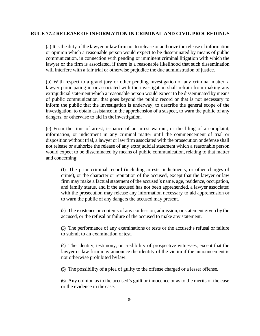### **RULE 77.2 RELEASE OF INFORMATION IN CRIMINAL AND CIVIL PROCEEDINGS**

(a) It isthe duty of the lawyer or law firm not to release or authorize the release of information or opinion which a reasonable person would expect to be disseminated by means of public communication, in connection with pending or imminent criminal litigation with which the lawyer or the firm is associated, if there is a reasonable likelihood that such dissemination will interfere with a fair trial or otherwise prejudice the due administration of justice.

(b) With respect to a grand jury or other pending investigation of any criminal matter, a lawyer participating in or associated with the investigation shall refrain from making any extrajudicial statement which a reasonable person would expect to be disseminated by means of public communication, that goes beyond the public record or that is not necessary to inform the public that the investigation is underway, to describe the general scope of the investigation, to obtain assistance in the apprehension of a suspect, to warn the public of any dangers, or otherwise to aid in theinvestigation.

(c) From the time of arrest, issuance of an arrest warrant, or the filing of a complaint, information, or indictment in any criminal matter until the commencement of trial or disposition without trial, a lawyer or law firm associated with the prosecution or defense shall not release or authorize the release of any extrajudicial statement which a reasonable person would expect to be disseminated by means of public communication, relating to that matter and concerning:

(1) The prior criminal record (including arrests, indictments, or other charges of crime), or the character or reputation of the accused, except that the lawyer or law firm may make a factual statement of the accused's name, age, residence, occupation, and family status, and if the accused has not been apprehended, a lawyer associated with the prosecution may release any information necessary to aid apprehension or to warn the public of any dangers the accused may present.

(2) The existence or contents of any confession, admission, or statement given by the accused, or the refusal or failure of the accused to make any statement.

(3) The performance of any examinations or tests or the accused's refusal or failure to submit to an examination ortest.

(4) The identity, testimony, or credibility of prospective witnesses, except that the lawyer or law firm may announce the identity of the victim if the announcement is not otherwise prohibited by law.

(5) The possibility of a plea of guilty to the offense charged or a lesser offense.

(6) Any opinion as to the accused's guilt or innocence or as to the merits of the case or the evidence in the case.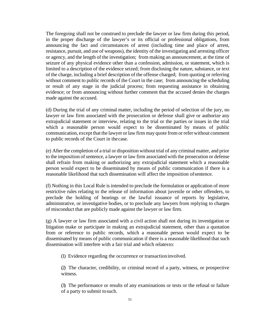The foregoing shall not be construed to preclude the lawyer or law firm during this period, in the proper discharge of the lawyer's or its official or professional obligations, from announcing the fact and circumstances of arrest (including time and place of arrest, resistance, pursuit, and use of weapons), the identity of the investigating and arresting officer or agency, and the length of the investigation; from making an announcement, at the time of seizure of any physical evidence other than a confession, admission, or statement, which is limited to a description of the evidence seized; from disclosing the nature, substance, or text of the charge, including a brief description of the offense charged; from quoting or referring without comment to public records of the Court in the case; from announcing the scheduling or result of any stage in the judicial process; from requesting assistance in obtaining evidence; or from announcing without further comment that the accused denies the charges made against the accused.

(d) During the trial of any criminal matter, including the period of selection of the jury, no lawyer or law firm associated with the prosecution or defense shall give or authorize any extrajudicial statement or interview, relating to the trial or the parties or issues in the trial which a reasonable person would expect to be disseminated by means of public communication, except that the lawyer or law firm may quote from or refer without comment to public records of the Court in thecase.

(e) After the completion of a trial or disposition without trial of any criminal matter, and prior to the imposition of sentence, a lawyer or law firm associated with the prosecution or defense shall refrain from making or authorizing any extrajudicial statement which a reasonable person would expect to be disseminated by means of public communication if there is a reasonable likelihood that such dissemination will affect the imposition ofsentence.

(f) Nothing in this Local Rule is intended to preclude the formulation or application of more restrictive rules relating to the release of information about juvenile or other offenders, to preclude the holding of hearings or the lawful issuance of reports by legislative, administrative, or investigative bodies, or to preclude any lawyers from replying to charges of misconduct that are publicly made against the lawyer or law firm.

(g) A lawyer or law firm associated with a civil action shall not during its investigation or litigation make or participate in making an extrajudicial statement, other than a quotation from or reference to public records, which a reasonable person would expect to be disseminated by means of public communication if there is a reasonable likelihood that such dissemination will interfere with a fair trial and which relatesto:

(1) Evidence regarding the occurrence or transactioninvolved.

(2) The character, credibility, or criminal record of a party, witness, or prospective witness.

(3) The performance or results of any examinations or tests or the refusal or failure of a party to submit tosuch.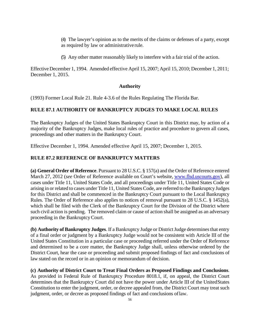(4) The lawyer's opinion as to the merits of the claims or defenses of a party, except as required by law or administrativerule.

(5) Any other matter reasonably likely to interfere with a fair trial of the action.

Effective December 1, 1994. Amended effective April 15, 2007; April 15, 2010; December 1, 2011; December 1, 2015.

## **Authority**

(1993) Former Local Rule 21. Rule 4-3.6 of the Rules Regulating The Florida Bar.

## **RULE 87.1 AUTHORITY OF BANKRUPTCY JUDGES TO MAKE LOCAL RULES**

The Bankruptcy Judges of the United States Bankruptcy Court in this District may, by action of a majority of the Bankruptcy Judges, make local rules of practice and procedure to govern all cases, proceedings and other matters in the Bankruptcy Court.

Effective December 1, 1994. Amended effective April 15, 2007; December 1, 2015.

# **RULE 87.2 REFERENCE OF BANKRUPTCY MATTERS**

**(a) General Order of Reference**. Pursuant to 28 U.S.C. § 157(a) and the Order of Reference entered March 27, 2012 (*see* Order of Reference available on Court's website, [www.flsd.uscourts.gov\)](http://www.flsd.uscourts.gov/), all cases under Title 11, United States Code, and all proceedings under Title 11, United States Code or arising in or related to cases under Title 11, United States Code, are referred to the Bankruptcy Judges for this District and shall be commenced in the Bankruptcy Court pursuant to the Local Bankruptcy Rules. The Order of Reference also applies to notices of removal pursuant to 28 U.S.C. § 1452(a), which shall be filed with the Clerk of the Bankruptcy Court for the Division of the District where such civil action is pending. The removed claim or cause of action shall be assigned as an adversary proceeding in the BankruptcyCourt.

**(b) Authority** of **Bankruptcy Judges**. If a Bankruptcy Judge or District Judge determines that entry of a final order or judgment by a Bankruptcy Judge would not be consistent with Article III of the United States Constitution in a particular case or proceeding referred under the Order of Reference and determined to be a core matter, the Bankruptcy Judge shall, unless otherwise ordered by the District Court, hear the case or proceeding and submit proposed findings of fact and conclusions of law stated on the record or in an opinion or memorandum of decision.

**(c) Authority of District Court to Treat Final Orders as Proposed Findings and Conclusions**. As provided in Federal Rule of Bankruptcy Procedure 8018.1, if, on appeal, the District Court determines that the Bankruptcy Court did not have the power under Article III of the UnitedStates Constitution to enter the judgment, order, or decree appealed from, the District Court may treat such judgment, order, or decree as proposed findings of fact and conclusions oflaw.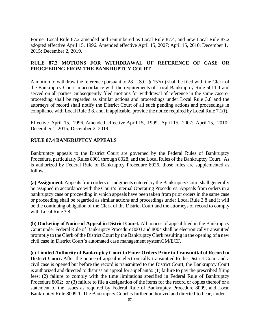Former Local Rule 87.2 amended and renumbered as Local Rule 87.4, and new Local Rule 87.2 adopted effective April 15, 1996. Amended effective April 15, 2007; April 15, 2010; December 1, 2015; December 2, 2019.

# **RULE 87.3 MOTIONS FOR WITHDRAWAL OF REFERENCE OF CASE OR PROCEEDING FROM THE BANKRUPTCY COURT**

A motion to withdraw the reference pursuant to 28 U.S.C. § 157(d) shall be filed with the Clerk of the Bankruptcy Court in accordance with the requirements of Local Bankruptcy Rule 5011-1 and served on all parties. Subsequently filed motions for withdrawal of reference in the same case or proceeding shall be regarded as similar actions and proceedings under Local Rule 3.8 and the attorneys of record shall notify the District Court of all such pending actions and proceedings in compliance with Local Rule 3.8. and, if applicable, provide the notice required by Local Rule 7.1(f).

Effective April 15, 1996. Amended effective April 15, 1999; April 15, 2007; April 15, 2010; December 1, 2015; December 2, 2019.

## **RULE 87.4 BANKRUPTCY APPEALS**

Bankruptcy appeals to the District Court are governed by the Federal Rules of Bankruptcy Procedure, particularly Rules 8001 through 8028, and the Local Rules of the Bankruptcy Court. As is authorized by Federal Rule of Bankruptcy Procedure 8026, those rules are supplemented as follows:

**(a) Assignment.** Appeals from orders or judgments entered by the Bankruptcy Court shall generally be assigned in accordance with the Court's Internal Operating Procedures. Appeals from orders in a bankruptcy case or proceeding in which appeals have been taken from prior orders in the same case or proceeding shall be regarded as similar actions and proceedings under Local Rule 3.8 and it will be the continuing obligation of the Clerk of the District Court and the attorneys of record to comply with Local Rule 3.8.

**(b) Docketing of Notice of Appeal in District Court.** All notices of appeal filed in the Bankruptcy Court under Federal Rule of Bankruptcy Procedure 8003 and 8004 shall be electronically transmitted promptly to the Clerk of the District Court by the Bankruptcy Clerk resulting in the opening of a new civil case in District Court's automated case management systemCM/ECF.

**(c) Limited Authority of Bankruptcy Court to Enter Orders Prior to Transmittal of Record to District Court.** After the notice of appeal is electronically transmitted to the District Court and a civil case is opened but before the record is transmitted to the District Court, the Bankruptcy Court is authorized and directed to dismiss an appeal for appellant's: (1) failure to pay the prescribed filing fees; (2) failure to comply with the time limitations specified in Federal Rule of Bankruptcy Procedure 8002; or (3) failure to file a designation of the items for the record or copies thereof or a statement of the issues as required by Federal Rule of Bankruptcy Procedure 8009, and Local Bankruptcy Rule 8009-1. The Bankruptcy Court is further authorized and directed to hear, under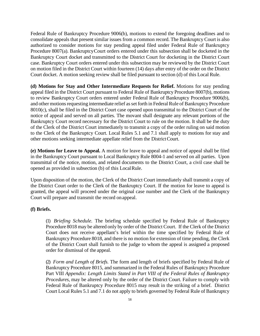Federal Rule of Bankruptcy Procedure 9006(b), motions to extend the foregoing deadlines and to consolidate appeals that present similar issues from a common record. The Bankruptcy Court is also authorized to consider motions for stay pending appeal filed under Federal Rule of Bankruptcy Procedure 8007(a). BankruptcyCourt orders entered under this subsection shall be docketed in the Bankruptcy Court docket and transmitted to the District Court for docketing in the District Court case. Bankruptcy Court orders entered under this subsection may be reviewed by the District Court on motion filed in the District Court within fourteen (14) days after entry of the order on the District Court docket. A motion seeking review shall be filed pursuant to section (d) of this Local Rule.

**(d) Motions for Stay and Other Intermediate Requests for Relief.** Motions for stay pending appeal filed in the District Court pursuant to Federal Rule of Bankruptcy Procedure 8007(b), motions to review Bankruptcy Court orders entered under Federal Rule of Bankruptcy Procedure 9006(b), and other motions requesting intermediate relief as set forth in Federal Rule of Bankruptcy Procedure 8010(c), shall be filed in the District Court case opened upon transmittal to the District Court of the notice of appeal and served on all parties. The movant shall designate any relevant portions of the Bankruptcy Court record necessary for the District Court to rule on the motion. It shall be the duty of the Clerk of the District Court immediately to transmit a copy of the order ruling on said motion to the Clerk of the Bankruptcy Court. Local Rules 5.1 and 7.1 shall apply to motions for stay and other motions seeking intermediate appellate relief from the DistrictCourt.

**(e) Motions for Leave to Appeal.** A motion for leave to appeal and notice of appeal shall be filed in the Bankruptcy Court pursuant to Local Bankruptcy Rule 8004-1 and served on all parties. Upon transmittal of the notice, motion, and related documents to the District Court, a civil case shall be opened as provided in subsection (b) of this LocalRule.

Upon disposition of the motion, the Clerk of the District Court immediately shall transmit a copy of the District Court order to the Clerk of the Bankruptcy Court. If the motion for leave to appeal is granted, the appeal will proceed under the original case number and the Clerk of the Bankruptcy Court will prepare and transmit the record onappeal.

### **(f) Briefs.**

(1) *Briefing Schedule.* The briefing schedule specified by Federal Rule of Bankruptcy Procedure 8018 may be altered only by order of the District Court. If the Clerk of the District Court does not receive appellant's brief within the time specified by Federal Rule of Bankruptcy Procedure 8018, and there is no motion for extension of time pending, the Clerk of the District Court shall furnish to the judge to whom the appeal is assigned a proposed order for dismissal of the appeal.

(2) *Form and Length of Briefs.* The form and length of briefs specified by Federal Rule of Bankruptcy Procedure 8015, and summarized in the Federal Rules of Bankruptcy Procedure Part VIII *Appendix: Length Limits Stated in Part VIII of the Federal Rules of Bankruptcy Procedures,* may be altered only by the order of the District Court. Failure to comply with Federal Rule of Bankruptcy Procedure 8015 may result in the striking of a brief. District Court Local Rules 5.1 and 7.1 do not apply to briefs governed by Federal Rule of Bankruptcy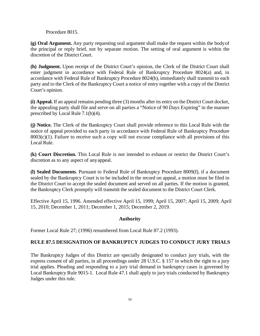Procedure 8015.

**(g) Oral Argument.** Any party requesting oral argument shall make the request within the bodyof the principal or reply brief, not by separate motion. The setting of oral argument is within the discretion of the District Court.

**(h) Judgment.** Upon receipt of the District Court's opinion, the Clerk of the District Court shall enter judgment in accordance with Federal Rule of Bankruptcy Procedure 8024(a) and, in accordance with Federal Rule of Bankruptcy Procedure 8024(b), immediately shall transmit to each party and to the Clerk of the Bankruptcy Court a notice of entry together with a copy of the District Court's opinion.

**(i) Appeal.** If an appeal remains pending three (3) months after its entry on the District Court docket, the appealing party shall file and serve on all parties a "Notice of 90 Days Expiring" in the manner prescribed by Local Rule 7.1(b)(4).

**(j) Notice.** The Clerk of the Bankruptcy Court shall provide reference to this Local Rule with the notice of appeal provided to each party in accordance with Federal Rule of Bankruptcy Procedure  $8003(c)(1)$ . Failure to receive such a copy will not excuse compliance with all provisions of this Local Rule.

**(k) Court Discretion.** This Local Rule is not intended to exhaust or restrict the District Court's discretion as to any aspect of anyappeal.

**(l) Sealed Documents**. Pursuant to Federal Rule of Bankruptcy Procedure 8009(f), if a document sealed by the Bankruptcy Court is to be included in the record on appeal, a motion must be filed in the District Court to accept the sealed document and served on all parties. If the motion is granted, the Bankruptcy Clerk promptly will transmit the sealed document to the District Court Clerk.

Effective April 15, 1996. Amended effective April 15, 1999; April 15, 2007; April 15, 2009; April 15, 2010; December 1, 2011; December 1, 2015; December 2, 2019.

## **Authority**

Former Local Rule 27; (1996) renumbered from Local Rule 87.2 (1993).

## **RULE 87.5 DESIGNATION OF BANKRUPTCY JUDGES TO CONDUCT JURY TRIALS**

The Bankruptcy Judges of this District are specially designated to conduct jury trials, with the express consent of all parties, in all proceedings under 28 U.S.C. § 157 in which the right to a jury trial applies. Pleading and responding to a jury trial demand in bankruptcy cases is governed by Local Bankruptcy Rule 9015-1. Local Rule 47.1 shall apply to jury trials conducted by Bankruptcy Judges under this rule.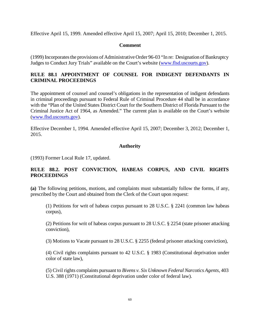Effective April 15, 1999. Amended effective April 15, 2007; April 15, 2010; December 1, 2015.

### **Comment**

(1999)Incorporatesthe provisions of Administrative Order 96-03 "In re: Designation of Bankruptcy Judges to Conduct Jury Trials" available on the Court's website [\(www.flsd.uscourts.gov\)](http://www.flsd.uscourts.gov/).

# **RULE 88.1 APPOINTMENT OF COUNSEL FOR INDIGENT DEFENDANTS IN CRIMINAL PROCEEDINGS**

The appointment of counsel and counsel's obligations in the representation of indigent defendants in criminal proceedings pursuant to Federal Rule of Criminal Procedure 44 shall be in accordance with the "Plan of the United States District Court for the Southern District of Florida Pursuant to the Criminal Justice Act of 1964, as Amended." The current plan is available on the Court's website [\(www.flsd.uscourts.gov\)](http://www.flsd.uscourts.gov/).

Effective December 1, 1994. Amended effective April 15, 2007; December 3, 2012; December 1, 2015.

## **Authority**

(1993) Former Local Rule 17, updated.

# **RULE 88.2. POST CONVICTION, HABEAS CORPUS, AND CIVIL RIGHTS PROCEEDINGS**

**(a)** The following petitions, motions, and complaints must substantially follow the forms, if any, prescribed by the Court and obtained from the Clerk of the Court upon request:

(1) Petitions for writ of habeas corpus pursuant to 28 U.S.C. § 2241 (common law habeas corpus),

(2) Petitions for writ of habeas corpus pursuant to 28 U.S.C. § 2254 (state prisoner attacking conviction),

(3) Motions to Vacate pursuant to 28 U.S.C. § 2255 (federal prisoner attacking conviction),

(4) Civil rights complaints pursuant to 42 U.S.C. § 1983 (Constitutional deprivation under color of state law),

(5) Civil rights complaints pursuant to *Bivens v. Six Unknown Federal Narcotics Agents*, 403 U.S. 388 (1971) (Constitutional deprivation under color of federal law).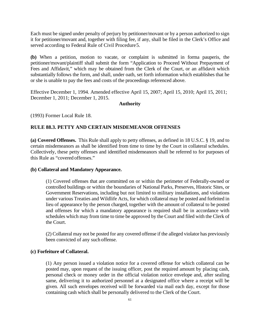Each must be signed under penalty of perjury by petitioner/movant or by a person authorized to sign it for petitioner/movant and, together with filing fee, if any, shall be filed in the Clerk's Office and served according to Federal Rule of Civil Procedure5.

**(b)** When a petition, motion to vacate, or complaint is submitted in forma pauperis, the petitioner/movant/plaintiff shall submit the form "Application to Proceed Without Prepayment of Fees and Affidavit," which may be obtained from the Clerk of the Court, or an affidavit which substantially follows the form, and shall, under oath, set forth information which establishes that he or she is unable to pay the fees and costs of the proceedings referenced above.

Effective December 1, 1994. Amended effective April 15, 2007; April 15, 2010; April 15, 2011; December 1, 2011; December 1, 2015.

#### **Authority**

(1993) Former Local Rule 18.

### **RULE 88.3. PETTY AND CERTAIN MISDEMEANOR OFFENSES**

**(a) Covered Offenses.** This Rule shall apply to petty offenses, as defined in 18 U.S.C. § 19, and to certain misdemeanors as shall be identified from time to time by the Court in collateral schedules. Collectively, these petty offenses and identified misdemeanors shall be referred to for purposes of this Rule as "covered offenses."

#### **(b) Collateral and Mandatory Appearance.**

(1) Covered offenses that are committed on or within the perimeter of Federally-owned or controlled buildings or within the boundaries of National Parks, Preserves, Historic Sites, or Government Reservations, including but not limited to military installations, and violations under various Treaties and Wildlife Acts, for which collateral may be posted and forfeited in lieu of appearance by the person charged, together with the amount of collateral to be posted and offenses for which a mandatory appearance is required shall be in accordance with schedules which may from time to time be approved by the Court and filed with the Clerk of the Court.

(2) Collateral may not be posted for any covered offense if the alleged violator has previously been convicted of any such offense.

### **(c) Forfeiture of Collateral.**

(1) Any person issued a violation notice for a covered offense for which collateral can be posted may, upon request of the issuing officer, post the required amount by placing cash, personal check or money order in the official violation notice envelope and, after sealing same, delivering it to authorized personnel at a designated office where a receipt will be given. All such envelopes received will be forwarded via mail each day, except for those containing cash which shall be personally delivered to the Clerk of the Court.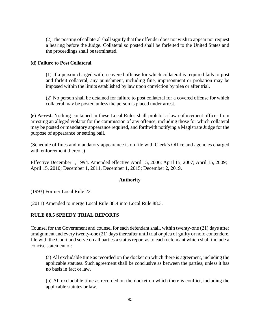(2) The posting of collateral shall signify that the offender does not wish to appear nor request a hearing before the Judge. Collateral so posted shall be forfeited to the United States and the proceedings shall be terminated.

### **(d) Failure to Post Collateral.**

(1) If a person charged with a covered offense for which collateral is required fails to post and forfeit collateral, any punishment, including fine, imprisonment or probation may be imposed within the limits established by law upon conviction by plea or after trial.

(2) No person shall be detained for failure to post collateral for a covered offense for which collateral may be posted unless the person is placed under arrest.

**(e) Arrest.** Nothing contained in these Local Rules shall prohibit a law enforcement officer from arresting an alleged violator for the commission of any offense, including those for which collateral may be posted or mandatory appearance required, and forthwith notifying a Magistrate Judge for the purpose of appearance or setting bail.

(Schedule of fines and mandatory appearance is on file with Clerk's Office and agencies charged with enforcement thereof.)

Effective December 1, 1994. Amended effective April 15, 2006; April 15, 2007; April 15, 2009; April 15, 2010; December 1, 2011, December 1, 2015; December 2, 2019.

### **Authority**

(1993) Former Local Rule 22.

(2011) Amended to merge Local Rule 88.4 into Local Rule 88.3.

## **RULE 88.5 SPEEDY TRIAL REPORTS**

Counsel for the Government and counsel for each defendant shall, within twenty-one (21) days after arraignment and every twenty-one (21) days thereafter until trial or plea of guilty or nolo contendere, file with the Court and serve on all parties a status report as to each defendant which shall include a concise statement of:

(a) All excludable time as recorded on the docket on which there is agreement, including the applicable statutes. Such agreement shall be conclusive as between the parties, unless it has no basis in fact or law.

(b) All excludable time as recorded on the docket on which there is conflict, including the applicable statutes or law.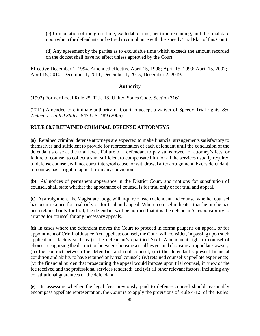(c) Computation of the gross time, excludable time, net time remaining, and the final date upon which the defendant can be tried in compliance with the Speedy Trial Plan of this Court.

(d) Any agreement by the parties as to excludable time which exceeds the amount recorded on the docket shall have no effect unless approved by the Court.

Effective December 1, 1994. Amended effective April 15, 1998; April 15, 1999; April 15, 2007; April 15, 2010; December 1, 2011; December 1, 2015; December 2, 2019.

### **Authority**

(1993) Former Local Rule 25. Title 18, United States Code, Section 3161.

(2011) Amended to eliminate authority of Court to accept a waiver of Speedy Trial rights. *See Zedner v. United States*, 547 U.S. 489 (2006).

### **RULE 88.7 RETAINED CRIMINAL DEFENSE ATTORNEYS**

**(a)** Retained criminal defense attorneys are expected to make financial arrangements satisfactory to themselves and sufficient to provide for representation of each defendant until the conclusion of the defendant's case at the trial level. Failure of a defendant to pay sums owed for attorney's fees, or failure of counsel to collect a sum sufficient to compensate him for all the services usually required of defense counsel, will not constitute good cause for withdrawal after arraignment. Every defendant, of course, has a right to appeal from anyconviction.

**(b)** *All* notices of permanent appearance in the District Court, and motions for substitution of counsel, shall state whether the appearance of counsel is for trial only or for trial and appeal.

**(c)** At arraignment, the Magistrate Judge will inquire of each defendant and counsel whether counsel has been retained for trial only or for trial and appeal. Where counsel indicates that he or she has been retained only for trial, the defendant will be notified that it is the defendant's responsibility to arrange for counsel for any necessary appeals.

**(d)** In cases where the defendant moves the Court to proceed in forma pauperis on appeal, or for appointment of Criminal Justice Act appellate counsel, the Court will consider, in passing upon such applications, factors such as (i) the defendant's qualified Sixth Amendment right to counsel of choice, recognizing the distinction between choosing a trial lawyer and choosing an appellate lawyer; (ii) the contract between the defendant and trial counsel; (iii) the defendant's present financial condition and ability to have retained only trial counsel; (iv) retained counsel's appellate experience; (v) the financial burden that prosecuting the appeal would impose upon trial counsel, in view of the fee received and the professional services rendered; and (vi) all other relevant factors, including any constitutional guarantees of the defendant.

**(e)** In assessing whether the legal fees previously paid to defense counsel should reasonably encompass appellate representation, the Court is to apply the provisions of Rule 4-1.5 of the Rules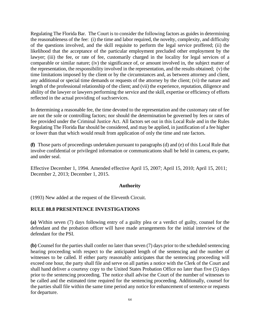Regulating The Florida Bar. The Court is to consider the following factors as guides in determining the reasonableness of the fee: (i) the time and labor required, the novelty, complexity, and difficulty of the questions involved, and the skill requisite to perform the legal service proffered; (ii) the likelihood that the acceptance of the particular employment precluded other employment by the lawyer; (iii) the fee, or rate of fee, customarily charged in the locality for legal services of a comparable or similar nature; (iv) the significance of, or amount involved in, the subject matter of the representation, the responsibility involved in the representation, and the results obtained; (v) the time limitations imposed by the client or by the circumstances and, as between attorney and client, any additional or special time demands or requests of the attorney by the client; (vi) the nature and length of the professional relationship of the client; and (vii) the experience, reputation, diligence and ability of the lawyer or lawyers performing the service and the skill, expertise or efficiency of efforts reflected in the actual providing of suchservices.

In determining a reasonable fee, the time devoted to the representation and the customary rate of fee are not the sole or controlling factors; nor should the determination be governed by fees or rates of fee provided under the Criminal Justice Act. All factors set out in this Local Rule and in the Rules Regulating The Florida Bar should be considered, and may be applied, in justification of a fee higher or lower than that which would result from application of only the time and rate factors.

**(f)** Those parts of proceedings undertaken pursuant to paragraphs (d) and (e) of this Local Rule that involve confidential or privileged information or communications shall be held in camera, ex-parte, and under seal.

Effective December 1, 1994. Amended effective April 15, 2007; April 15, 2010; April 15, 2011; December 2, 2013; December 1, 2015.

### **Authority**

(1993) New added at the request of the Eleventh Circuit.

### **RULE 88.8 PRESENTENCE INVESTIGATIONS**

**(a)** Within seven (7) days following entry of a guilty plea or a verdict of guilty, counsel for the defendant and the probation officer will have made arrangements for the initial interview of the defendant for the PSI.

**(b)** Counsel for the parties shall confer no later than seven (7) days prior to the scheduled sentencing hearing proceeding with respect to the anticipated length of the sentencing and the number of witnesses to be called. If either party reasonably anticipates that the sentencing proceeding will exceed one hour, the party shall file and serve on all parties a notice with the Clerk of the Court and shall hand deliver a courtesy copy to the United States Probation Office no later than five (5) days prior to the sentencing proceeding. The notice shall advise the Court of the number of witnesses to be called and the estimated time required for the sentencing proceeding. Additionally, counsel for the parties shall file within the same time period any notice for enhancement of sentence or requests for departure.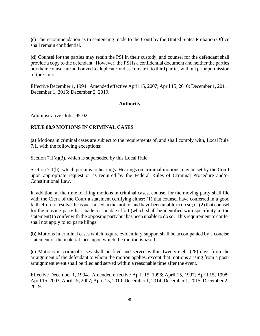**(c)** The recommendation as to sentencing made to the Court by the United States Probation Office shall remain confidential.

**(d)** Counsel for the parties may retain the PSI in their custody, and counsel for the defendant shall provide a copy to the defendant. However, the PSI is a confidential document and neither the parties nor their counsel are authorized to duplicate or disseminate it to third parties without prior permission of the Court.

Effective December 1, 1994. Amended effective April 15, 2007; April 15, 2010; December 1, 2011; December 1, 2015; December 2, 2019.

## **Authority**

Administrative Order 95-02.

## **RULE 88.9 MOTIONS IN CRIMINAL CASES**

**(a)** Motions in criminal cases are subject to the requirements of, and shall comply with, Local Rule 7.1. with the following exceptions:

Section 7.1(a)(3), which is superseded by this Local Rule.

Section 7.1(b), which pertains to hearings. Hearings on criminal motions may be set by the Court upon appropriate request or as required by the Federal Rules of Criminal Procedure and/or Constitutional Law.

In addition, at the time of filing motions in criminal cases, counsel for the moving party shall file with the Clerk of the Court a statement certifying either: (1) that counsel have conferred in a good faith effort to resolve the issues raised in the motion and have been unable to do so; or (2) that counsel for the moving party has made reasonable effort (which shall be identified with specificity in the statement) to confer with the opposing party but has been unable to do so. This requirement to confer shall not apply to ex parte filings.

**(b)** Motions in criminal cases which require evidentiary support shall be accompanied by a concise statement of the material facts upon which the motion isbased.

**(c)** Motions in criminal cases shall be filed and served within twenty-eight (28) days from the arraignment of the defendant to whom the motion applies, except that motions arising from a postarraignment event shall be filed and served within a reasonable time after the event.

Effective December 1, 1994. Amended effective April 15, 1996; April 15, 1997; April 15, 1998; April 15, 2003; April 15, 2007; April 15, 2010; December 1, 2014; December 1, 2015; December 2, 2019.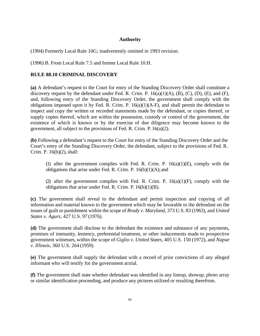# **Authority**

(1994) Formerly Local Rule 10G; inadvertently omitted in 1993 revision.

(1996) B. From Local Rule 7.5 and former Local Rule 10.H.

# **RULE 88.10 CRIMINAL DISCOVERY**

**(a)** A defendant's request to the Court for entry of the Standing Discovery Order shall constitute a discovery request by the defendant under Fed. R. Crim. P.  $16(a)(1)(A)$ ,  $(B)$ ,  $(C)$ ,  $(D)$ ,  $(E)$ , and  $(F)$ , and, following entry of the Standing Discovery Order, the government shall comply with the obligations imposed upon it by Fed. R. Crim. P.  $16(a)(1)(A-F)$ , and shall permit the defendant to inspect and copy the written or recorded statements made by the defendant, or copies thereof, or supply copies thereof, which are within the possession, custody or control of the government, the existence of which is known or by the exercise of due diligence may become known to the government, all subject to the provisions of Fed. R. Crim. P.16(a)(2).

**(b)** Following a defendant's request to the Court for entry of the Standing Discovery Order and the Court's entry of the Standing Discovery Order, the defendant, subject to the provisions of Fed. R. Crim. P.  $16(b)(2)$ , shall:

(1) after the government complies with Fed. R. Crim. P.  $16(a)(1)(E)$ , comply with the obligations that arise under Fed. R. Crim. P.  $16(b)(1)(A)$ ; and

(2) after the government complies with Fed. R. Crim. P.  $16(a)(1)(F)$ , comply with the obligations that arise under Fed. R. Crim. P.  $16(b)(1)(B)$ .

**(c)** The government shall reveal to the defendant and permit inspection and copying of all information and material known to the government which may be favorable to the defendant on the issues of guilt or punishment within the scope of *Brady v. Maryland*, 373 U.S. 83 (1963), and *United States v. Agurs*, 427 U.S. 97 (1976).

**(d)** The government shall disclose to the defendant the existence and substance of any payments, promises of immunity, leniency, preferential treatment, or other inducements made to prospective government witnesses, within the scope of *Giglio v. United States,* 405 U.S. 150 (1972), and *Napue v. Illinois*, 360 U.S. 264 (1959).

**(e)** The government shall supply the defendant with a record of prior convictions of any alleged informant who will testify for the government attrial.

**(f)** The government shall state whether defendant was identified in any lineup, showup, photo array or similar identification proceeding, and produce any pictures utilized or resulting therefrom.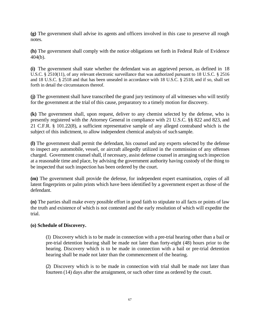**(g)** The government shall advise its agents and officers involved in this case to preserve all rough notes.

**(h)** The government shall comply with the notice obligations set forth in Federal Rule of Evidence 404(b).

**(i)** The government shall state whether the defendant was an aggrieved person, as defined in 18 U.S.C. § 2510(11), of any relevant electronic surveillance that was authorized pursuant to 18 U.S.C. § 2516 and 18 U.S.C. § 2518 and that has been unsealed in accordance with 18 U.S.C. § 2518, and if so, shall set forth in detail the circumstances thereof.

**(j)** The government shall have transcribed the grand jury testimony of all witnesses who will testify for the government at the trial of this cause, preparatory to a timely motion for discovery.

**(k)** The government shall, upon request, deliver to any chemist selected by the defense, who is presently registered with the Attorney General in compliance with 21 U.S.C. §§ 822 and 823, and 21 C.F.R. § 101.22(8), a sufficient representative sample of any alleged contraband which is the subject of this indictment, to allow independent chemical analysis of such sample.

**(l)** The government shall permit the defendant, his counsel and any experts selected by the defense to inspect any automobile, vessel, or aircraft allegedly utilized in the commission of any offenses charged. Government counsel shall, if necessary, assist defense counsel in arranging such inspection at a reasonable time and place, by advising the government authority having custody of the thing to be inspected that such inspection has been ordered by the court.

**(m)** The government shall provide the defense, for independent expert examination, copies of all latent fingerprints or palm prints which have been identified by a government expert as those of the defendant.

**(n)** The parties shall make every possible effort in good faith to stipulate to all facts or points of law the truth and existence of which is not contested and the early resolution of which will expedite the trial.

### **(o) Schedule of Discovery.**

(1) Discovery which is to be made in connection with a pre-trial hearing other than a bail or pre-trial detention hearing shall be made not later than forty-eight (48) hours prior to the hearing. Discovery which is to be made in connection with a bail or pre-trial detention hearing shall be made not later than the commencement of the hearing.

(2) Discovery which is to be made in connection with trial shall be made not later than fourteen (14) days after the arraignment, or such other time as ordered by the court.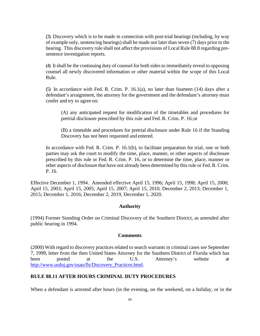(3) Discovery which is to be made in connection with post-trial hearings (including, by way of example only, sentencing hearings) shall be made not later than seven (7) days prior to the hearing. This discovery rule shall not affect the provisions of Local Rule 88.8 regarding presentence investigation reports.

(4) Itshall be the continuing duty of counsel for both sidesto immediately reveal to opposing counsel all newly discovered information or other material within the scope of this Local Rule.

(5) In accordance with Fed. R. Crim. P. 16.1(a), no later than fourteen (14) days after a defendant's arraignment, the attorney for the government and the defendant's attorney must confer and try to agree on:

(A) any anticipated request for modification of the timetables and procedures for pretrial disclosure prescribed by this rule and Fed. R. Crim. P. 16;or

(B) a timetable and procedures for pretrial disclosure under Rule 16 if the Standing Discovery has not been requested and entered.

In accordance with Fed. R. Crim. P. 16.1(b), to facilitate preparation for trial, one or both parties may ask the court to modify the time, place, manner, or other aspects of disclosure prescribed by this rule or Fed. R. Crim. P. 16, or to determine the time, place, manner or other aspects of disclosure that have not already been determined by thisrule or Fed. R. Crim. P. 16.

Effective December 1, 1994. Amended effective April 15, 1996; April 15, 1998; April 15, 2000; April 15, 2003; April 15, 2005; April 15, 2007; April 15, 2010; December 2, 2013; December 1, 2015; December 1, 2016; December 2, 2019, December 1, 2020.

### **Authority**

(1994) Former Standing Order on Criminal Discovery of the Southern District, as amended after public hearing in 1994.

### **Comments**

(2000) With regard to discovery practices related to search warrants in criminal cases *see* September 7, 1999, letter from the then United States Attorney for the Southern District of Florida which has been posted at the U.S. Attorney's website at [http://www.usdoj.gov/usao/fls/Discovery\\_Practices.html.](http://www.usdoj.gov/usao/fls/Discovery_Practices.html)

# **RULE 88.11 AFTER HOURS CRIMINAL DUTY PROCEDURES**

When a defendant is arrested after hours (in the evening, on the weekend, on a holiday, or in the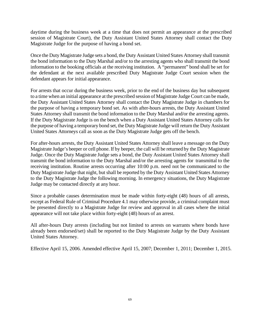daytime during the business week at a time that does not permit an appearance at the prescribed session of Magistrate Court), the Duty Assistant United States Attorney shall contact the Duty Magistrate Judge for the purpose of having a bond set.

Once the Duty Magistrate Judge sets a bond, the Duty Assistant United States Attorney shall transmit the bond information to the Duty Marshal and/or to the arresting agents who shall transmit the bond information to the booking officials at the receiving institution. A "permanent" bond shall be set for the defendant at the next available prescribed Duty Magistrate Judge Court session when the defendant appears for initial appearance.

For arrests that occur during the business week, prior to the end of the business day but subsequent to a time when an initial appearance at the prescribed session of Magistrate Judge Court can be made, the Duty Assistant United States Attorney shall contact the Duty Magistrate Judge in chambers for the purpose of having a temporary bond set. As with after-hours arrests, the Duty Assistant United States Attorney shall transmit the bond information to the Duty Marshal and/or the arresting agents. If the Duty Magistrate Judge is on the bench when a Duty Assistant United States Attorney calls for the purpose of having a temporary bond set, the Duty Magistrate Judge will return the Duty Assistant United States Attorneys call as soon as the Duty Magistrate Judge gets off the bench.

For after-hours arrests, the Duty Assistant United States Attorney shall leave a message on the Duty Magistrate Judge's beeper or cell phone. If by beeper, the call will be returned by the Duty Magistrate Judge. Once the Duty Magistrate Judge sets a bond, the Duty Assistant United States Attorney shall transmit the bond information to the Duty Marshal and/or the arresting agents for transmittal to the receiving institution. Routine arrests occurring after 10:00 p.m. need not be communicated to the Duty Magistrate Judge that night, but shall be reported by the Duty Assistant United States Attorney to the Duty Magistrate Judge the following morning. In emergency situations, the Duty Magistrate Judge may be contacted directly at any hour.

Since a probable causes determination must be made within forty-eight (48) hours of all arrests, except as Federal Rule of Criminal Procedure 4.1 may otherwise provide, a criminal complaint must be presented directly to a Magistrate Judge for review and approval in all cases where the initial appearance will not take place within forty-eight (48) hours of an arrest.

All after-hours Duty arrests (including but not limited to arrests on warrants where bonds have already been endorsed/set) shall be reported to the Duty Magistrate Judge by the Duty Assistant United States Attorney.

Effective April 15, 2006. Amended effective April 15, 2007; December 1, 2011; December 1, 2015.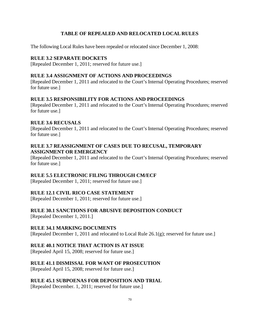# **TABLE OF REPEALED AND RELOCATED LOCAL RULES**

The following Local Rules have been repealed or relocated since December 1, 2008:

# **RULE 3.2 SEPARATE DOCKETS**

[Repealed December 1, 2011; reserved for future use.]

## **RULE 3.4 ASSIGNMENT OF ACTIONS AND PROCEEDINGS**

[Repealed December 1, 2011 and relocated to the Court's Internal Operating Procedures; reserved for future use.]

## **RULE 3.5 RESPONSIBILITY FOR ACTIONS AND PROCEEDINGS**

[Repealed December 1, 2011 and relocated to the Court's Internal Operating Procedures; reserved for future use.]

## **RULE 3.6 RECUSALS**

[Repealed December 1, 2011 and relocated to the Court's Internal Operating Procedures; reserved for future use.]

# **RULE 3.7 REASSIGNMENT OF CASES DUE TO RECUSAL, TEMPORARY ASSIGNMENT OR EMERGENCY**

[Repealed December 1, 2011 and relocated to the Court's Internal Operating Procedures; reserved for future use.]

# **RULE 5.5 ELECTRONIC FILING THROUGH CM/ECF**

[Repealed December 1, 2011; reserved for future use.]

## **RULE 12.1 CIVIL RICO CASE STATEMENT**

[Repealed December 1, 2011; reserved for future use.]

# **RULE 30.1 SANCTIONS FOR ABUSIVE DEPOSITION CONDUCT**

[Repealed December 1, 2011.]

## **RULE 34.1 MARKING DOCUMENTS**

[Repealed December 1, 2011 and relocated to Local Rule 26.1(g); reserved for future use.]

## **RULE 40.1 NOTICE THAT ACTION IS AT ISSUE**

[Repealed April 15, 2008; reserved for future use.]

## **RULE 41.1 DISMISSAL FOR WANT OF PROSECUTION**

[Repealed April 15, 2008; reserved for future use.]

## **RULE 45.1 SUBPOENAS FOR DEPOSITION AND TRIAL**

[Repealed December. 1, 2011; reserved for future use.]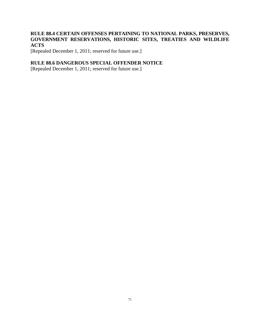# **RULE 88.4 CERTAIN OFFENSES PERTAINING TO NATIONAL PARKS, PRESERVES, GOVERNMENT RESERVATIONS, HISTORIC SITES, TREATIES AND WILDLIFE ACTS**

[Repealed December 1, 2011; reserved for future use.]

# **RULE 88.6 DANGEROUS SPECIAL OFFENDER NOTICE**

[Repealed December 1, 2011; reserved for future use.]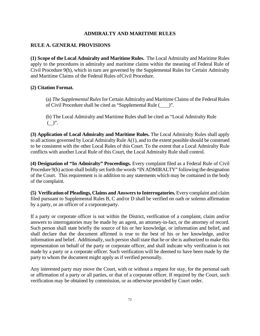## **ADMIRALTY AND MARITIME RULES**

## **RULE A. GENERAL PROVISIONS**

**(1) Scope of the Local Admiralty and Maritime Rules.** The Local Admiralty and Maritime Rules apply to the procedures in admiralty and maritime claims within the meaning of Federal Rule of Civil Procedure 9(h), which in turn are governed by the Supplemental Rules for Certain Admiralty and Maritime Claims of the Federal Rules ofCivil Procedure.

### **(2) Citation Format.**

- (a) *The Supplemental Rules* for Certain Admiralty and Maritime Claims of the Federal Rules of Civil Procedure shall be cited as "Supplemental Rule ( )".
- (b) The Local Admiralty and Maritime Rules shall be cited as "Local Admiralty Rule  $($  )".

**(3) Application of Local Admiralty and Maritime Rules.** The Local Admiralty Rules shall apply to all actions governed by Local Admiralty Rule A(1), and to the extent possible should be construed to be consistent with the other Local Rules of this Court. To the extent that a Local Admiralty Rule conflicts with another Local Rule of this Court, the Local Admiralty Rule shall control.

**(4) Designation of "In Admiralty" Proceedings.** Every complaint filed as a Federal Rule of Civil Procedure 9(h) action shall boldly set forth the words "IN ADMIRALTY" following the designation of the Court. This requirement is in addition to any statements which may be contained in the body of the complaint.

**(5) Verification of Pleadings, Claims and Answers to Interrogatories.** Every complaint and claim filed pursuant to Supplemental Rules B, C and/or D shall be verified on oath or solemn affirmation by a party, or an officer of a corporateparty.

If a party or corporate officer is not within the District, verification of a complaint, claim and/or answers to interrogatories may be made by an agent, an attorney-in-fact, or the attorney of record. Such person shall state briefly the source of his or her knowledge, or information and belief, and shall declare that the document affirmed is true to the best of his or her knowledge, and/or information and belief. Additionally, such person shall state that he or she is authorized to make this representation on behalf of the party or corporate officer, and shall indicate why verification is not made by a party or a corporate officer. Such verification will be deemed to have been made by the party to whom the document might apply as if verified personally.

Any interested party may move the Court, with or without a request for stay, for the personal oath or affirmation of a party or all parties, or that of a corporate officer. If required by the Court, such verification may be obtained by commission, or as otherwise provided by Court order.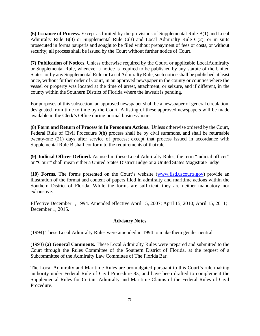**(6) Issuance of Process.** Except as limited by the provisions of Supplemental Rule B(1) and Local Admiralty Rule B(3) or Supplemental Rule  $C(3)$  and Local Admiralty Rule  $C(2)$ ; or in suits prosecuted in forma pauperis and sought to be filed without prepayment of fees or costs, or without security; all process shall be issued by the Court without further notice of Court.

**(7) Publication of Notices.** Unless otherwise required by the Court, or applicable LocalAdmiralty or Supplemental Rule, whenever a notice is required to be published by any statute of the United States, or by any Supplemental Rule or Local Admiralty Rule, such notice shall be published at least once, without further order of Court, in an approved newspaper in the county or counties where the vessel or property was located at the time of arrest, attachment, or seizure, and if different, in the county within the Southern District of Florida where the lawsuit is pending.

For purposes of this subsection, an approved newspaper shall be a newspaper of general circulation, designated from time to time by the Court. A listing of these approved newspapers will be made available in the Clerk's Office during normal business hours.

**(8) Form and Return of Processin In Personam Actions.** Unless otherwise ordered by the Court, Federal Rule of Civil Procedure 9(h) process shall be by civil summons, and shall be returnable twenty-one (21) days after service of process; except that process issued in accordance with Supplemental Rule B shall conform to the requirements of thatrule.

**(9) Judicial Officer Defined.** As used in these Local Admiralty Rules, the term "judicial officer" or "Court" shall mean either a United States District Judge or a United States Magistrate Judge.

**(10) Forms.** The forms presented on the Court's website [\(www.flsd.uscourts.gov\)](http://www.flsd.uscourts.gov/) provide an illustration of the format and content of papers filed in admiralty and maritime actions within the Southern District of Florida. While the forms are sufficient, they are neither mandatory nor exhaustive.

Effective December 1, 1994. Amended effective April 15, 2007; April 15, 2010; April 15, 2011; December 1, 2015.

## **Advisory Notes**

(1994) These Local Admiralty Rules were amended in 1994 to make them gender neutral.

(1993) **(a) General Comments.** These Local Admiralty Rules were prepared and submitted to the Court through the Rules Committee of the Southern District of Florida, at the request of a Subcommittee of the Admiralty Law Committee of The Florida Bar.

The Local Admiralty and Maritime Rules are promulgated pursuant to this Court's rule making authority under Federal Rule of Civil Procedure 83, and have been drafted to complement the Supplemental Rules for Certain Admiralty and Maritime Claims of the Federal Rules of Civil Procedure.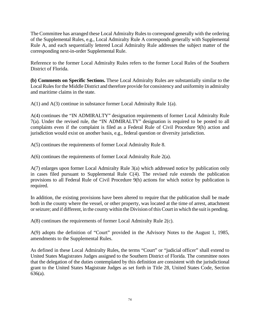The Committee has arranged these Local Admiralty Rules to correspond generally with the ordering of the Supplemental Rules, e.g., Local Admiralty Rule A corresponds generally with Supplemental Rule A, and each sequentially lettered Local Admiralty Rule addresses the subject matter of the corresponding next-in-order Supplemental Rule.

Reference to the former Local Admiralty Rules refers to the former Local Rules of the Southern District of Florida.

**(b) Comments on Specific Sections.** These Local Admiralty Rules are substantially similar to the Local Rules for the Middle District and therefore provide for consistency and uniformity in admiralty and maritime claims in the state.

A(1) and A(3) continue in substance former Local Admiralty Rule 1(a).

A(4) continues the "IN ADMIRALTY" designation requirements of former Local Admiralty Rule 7(a). Under the revised rule, the "IN ADMIRALTY" designation is required to be posted to all complaints even if the complaint is filed as a Federal Rule of Civil Procedure 9(h) action and jurisdiction would exist on another basis, e.g., federal question or diversity jurisdiction.

A(5) continues the requirements of former Local Admiralty Rule 8.

A(6) continues the requirements of former Local Admiralty Rule 2(a).

A(7) enlarges upon former Local Admiralty Rule 3(a) which addressed notice by publication only in cases filed pursuant to Supplemental Rule  $C(4)$ . The revised rule extends the publication provisions to all Federal Rule of Civil Procedure 9(h) actions for which notice by publication is required.

In addition, the existing provisions have been altered to require that the publication shall be made both in the county where the vessel, or other property, was located at the time of arrest, attachment or seizure; and if different, in the county within the Division of this Court in which the suit is pending.

A(8) continues the requirements of former Local Admiralty Rule 2(c).

A(9) adopts the definition of "Court" provided in the Advisory Notes to the August 1, 1985, amendments to the Supplemental Rules.

As defined in these Local Admiralty Rules, the terms "Court" or "judicial officer" shall extend to United States Magistrates Judges assigned to the Southern District of Florida. The committee notes that the delegation of the duties contemplated by this definition are consistent with the jurisdictional grant to the United States Magistrate Judges as set forth in Title 28, United States Code, Section 636(a).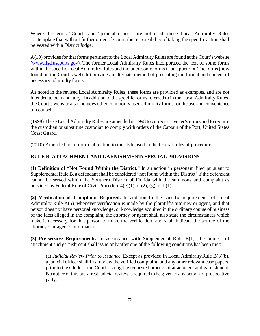Where the terms "Court" and "judicial officer" are not used, these Local Admiralty Rules contemplate that without further order of Court, the responsibility of taking the specific action shall be vested with a District Judge.

 $A(10)$  provides for that forms pertinent to the Local Admiralty Rules are found at the Court's website [\(www.flsd.uscourts.gov\)](http://www.flsd.uscourts.gov/). The former Local Admiralty Rules incorporated the text of some forms within the specific Local Admiralty Rules and included some forms in an appendix. The forms (now found on the Court's website) provide an alternate method of presenting the format and content of necessary admiralty forms.

As noted in the revised Local Admiralty Rules, these forms are provided as examples, and are not intended to be mandatory. In addition to the specific forms referred to in the Local Admiralty Rules, the Court's website also includes other commonly used admiralty forms for the use and convenience of counsel.

(1998) These Local Admiralty Rules are amended in 1998 to correct scrivener's errors and to require the custodian or substitute custodian to comply with orders of the Captain of the Port, United States Coast Guard.

(2010) Amended to conform tabulation to the style used in the federal rules of procedure.

# **RULE B. ATTACHMENT AND GARNISHMENT: SPECIAL PROVISIONS**

**(1) Definition of "Not Found Within the District."** In an action in personam filed pursuant to Supplemental Rule B, a defendant shall be considered "not found within the District" if the defendant cannot be served within the Southern District of Florida with the summons and complaint as provided by Federal Rule of Civil Procedure  $4(e)(1)$  or  $(2)$ ,  $(g)$ , or  $h(1)$ .

**(2) Verification of Complaint Required.** In addition to the specific requirements of Local Admiralty Rule A(5), whenever verification is made by the plaintiff's attorney or agent, and that person does not have personal knowledge, or knowledge acquired in the ordinary course of business of the facts alleged in the complaint, the attorney or agent shall also state the circumstances which make it necessary for that person to make the verification, and shall indicate the source of the attorney's or agent's information.

**(3) Pre-seizure Requirements.** In accordance with Supplemental Rule B(1), the process of attachment and garnishment shall issue only after one of the following conditions has been met:

(a) *Judicial Review Prior to Issuance.* Except as provided in Local AdmiraltyRule B(3)(b), a judicial officer shall first review the verified complaint, and any other relevant case papers, prior to the Clerk of the Court issuing the requested process of attachment and garnishment. No notice of this pre-arrest judicial review is required to be given to any person or prospective party.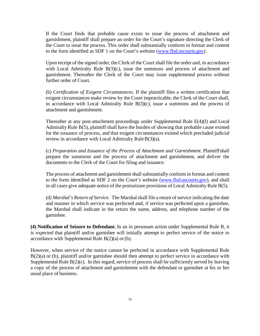If the Court finds that probable cause exists to issue the process of attachment and garnishment, plaintiff shall prepare an order for the Court's signature directing the Clerk of the Court to issue the process. This order shall substantially conform in format and content to the form identified as SDF 1 on the Court's website [\(www.flsd.uscourts.gov\)](http://www.flsd.uscourts.gov/).

Upon receipt of the signed order, the Clerk of the Court shall file the order and, in accordance with Local Admiralty Rule B(3)(c), issue the summons and process of attachment and garnishment. Thereafter the Clerk of the Court may issue supplemental process without further order of Court.

(b) *Certification of Exigent Circumstances.* If the plaintiff files a written certification that exigent circumstances make review by the Court impracticable, the Clerk of the Court shall, in accordance with Local Admiralty Rule B(3)(c), issue a summons and the process of attachment and garnishment.

Thereafter at any post-attachment proceedings under Supplemental Rule E(4)(f) and Local Admiralty Rule B(5), plaintiff shall have the burden of showing that probable cause existed for the issuance of process, and that exigent circumstances existed which precluded judicial review in accordance with Local Admiralty Rule B(3)(a).

(c) *Preparation and Issuance of the Process of Attachment and Garnishment.* Plaintiffshall prepare the summons and the process of attachment and garnishment, and deliver the documents to the Clerk of the Court for filing and issuance.

The process of attachment and garnishment shall substantially conform in format and content to the form identified as SDF 2 on the Court's website [\(www.flsd.uscourts.gov\)](http://www.flsd.uscourts.gov/), and shall in all cases give adequate notice of the postseizure provisions of Local Admiralty Rule B(5).

(d) *Marshal's Return of Service.* The Marshalshall file a return of service indicating the date and manner in which service was perfected and, if service was perfected upon a garnishee, the Marshal shall indicate in the return the name, address, and telephone number of the garnishee.

**(4) Notification of Seizure to Defendant.** In an in personam action under Supplemental Rule B, it is expected that plaintiff and/or garnishee will initially attempt to perfect service of the notice in accordance with Supplemental Rule B(2)(a) or (b).

However, when service of the notice cannot be perfected in accordance with Supplemental Rule B(2)(a) or (b), plaintiff and/or garnishee should then attempt to perfect service in accordance with Supplemental Rule  $B(2)(c)$ . In this regard, service of process shall be sufficiently served by leaving a copy of the process of attachment and garnishment with the defendant or garnishee at his or her usual place of business.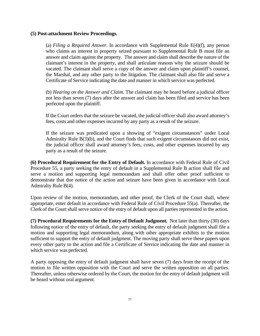#### **(5) Post-attachment Review Proceedings.**

(a) *Filing a Required Answer.* In accordance with Supplemental Rule E(4)(f), any person who claims an interest in property seized pursuant to Supplemental Rule B must file an answer and claim against the property. The answer and claim shall describe the nature of the claimant's interest in the property, and shall articulate reasons why the seizure should be vacated. The claimant shall serve a copy of the answer and claim upon plaintiff's counsel, the Marshal, and any other party to the litigation. The claimant shall also file and serve a Certificate of Service indicating the date and manner in which service was perfected.

(b) *Hearing on the Answer and Claim.* The claimant may be heard before a judicial officer not less than seven (7) days after the answer and claim has been filed and service has been perfected upon the plaintiff.

If the Court orders that the seizure be vacated, the judicial officer shall also award attorney's fees, costs and other expenses incurred by any party as a result of the seizure.

If the seizure was predicated upon a showing of "exigent circumstances" under Local Admiralty Rule B(3)(b), and the Court finds that such exigent circumstances did not exist, the judicial officer shall award attorney's fees, costs, and other expenses incurred by any party as a result of the seizure.

**(6) Procedural Requirement for the Entry of Default.** In accordance with Federal Rule of Civil Procedure 55, a party seeking the entry of default in a Supplemental Rule B action shall file and serve a motion and supporting legal memorandum and shall offer other proof sufficient to demonstrate that due notice of the action and seizure have been given in accordance with Local Admiralty Rule B(4).

Upon review of the motion, memorandum, and other proof, the Clerk of the Court shall, where appropriate, enter default in accordance with Federal Rule of Civil Procedure 55(a). Thereafter, the Clerk of the Court shall serve notice of the entry of default upon all parties represented in the action.

**(7) Procedural Requirements for the Entry of Default Judgment.** Not later than thirty (30) days following notice of the entry of default, the party seeking the entry of default judgment shall file a motion and supporting legal memorandum, along with other appropriate exhibits to the motion sufficient to support the entry of default judgment. The moving party shall serve these papers upon every other party to the action and file a Certificate of Service indicating the date and manner in which service was perfected.

A party opposing the entry of default judgment shall have seven (7) days from the receipt of the motion to file written opposition with the Court and serve the written opposition on all parties. Thereafter, unless otherwise ordered by the Court, the motion for the entry of default judgment will be heard without oral argument.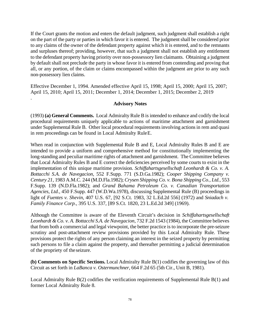If the Court grants the motion and enters the default judgment, such judgment shall establish a right on the part of the party or parties in which favor it is entered. The judgment shall be considered prior to any claims of the owner of the defendant property against which it is entered, and to the remnants and surpluses thereof; providing, however, that such a judgment shall not establish any entitlement to the defendant property having priority over non-possessory lien claimants. Obtaining a judgment by default shall not preclude the party in whose favor it is entered from contending and proving that all, or any portion, of the claim or claims encompassed within the judgment are prior to any such non-possessory lien claims.

Effective December 1, 1994. Amended effective April 15, 1998; April 15, 2000; April 15, 2007; April 15, 2010; April 15, 2011; December 1, 2014; December 1, 2015; December 2, 2019

.

### **Advisory Notes**

(1993) **(a) General Comments.** Local Admiralty Rule B is intended to enhance and codify the local procedural requirements uniquely applicable to actions of maritime attachment and garnishment under Supplemental Rule B. Other local procedural requirements involving actions in rem and quasi in rem proceedings can be found in Local Admiralty RuleE.

When read in conjunction with Supplemental Rule B and E, Local Admiralty Rules B and E are intended to provide a uniform and comprehensive method for constitutionally implementing the long-standing and peculiar maritime rights of attachment and garnishment. The Committee believes that Local Admiralty Rules B and E correct the deficiencies perceived by some courts to exist in the implementation of this unique maritime provision. *Schiffahartsgesellschaft Leonhardt & Co. v. A. Bottacchi S.A. de Navegacion,* 552 F.Supp. 771 (S.D.Ga.1982); *Cooper Shipping Company v. Century 21,* 1983 A.M.C. 244 (M.D.Fla.1982); *Crysen Shipping Co. v. Bona Shipping Co., Ltd.,* 553 F.Supp. 139 (N.D.Fla.1982); and *Grand Bahama Petroleum Co. v. Canadian Transportation Agencies, Ltd.,* 450 F.Supp. 447 (W.D.Wa.1978), discussing Supplemental Rule (B) proceedings in light of *Fuentes v. Shevin,* 407 U.S. 67, [92 S.Ct. 1983, 32 L.Ed.2d 556] (1972) and *Sniadach v. Family Finance Corp.,* 395 U.S. 337, [89 S.Ct. 1820, 23 L.Ed.2d 349] (1969).

Although the Committee is aware of the Eleventh Circuit's decision in *Schiffahartsgesellschaft Leonhardt & Co. v. A. Bottacchi S.A. de Navegacion,* 732 F.2d 1543 (1984), the Committee believes that from both a commercial and legal viewpoint, the better practice is to incorporate the pre-seizure scrutiny and post-attachment review provisions provided by this Local Admiralty Rule. These provisions protect the rights of any person claiming an interest in the seized property by permitting such persons to file a claim against the property, and thereafter permitting a judicial determination of the propriety of the seizure.

**(b) Comments on Specific Sections.** Local Admiralty Rule B(1) codifies the governing law of this Circuit as set forth in *LaBanca v. Ostermunchner,* 664 F.2d 65 (5th Cir., Unit B, 1981).

Local Admiralty Rule B(2) codifies the verification requirements of Supplemental Rule B(1) and former Local Admiralty Rule 8.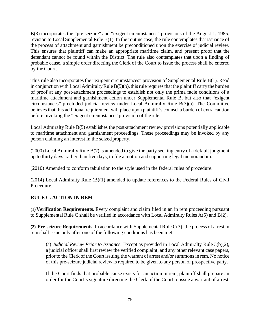B(3) incorporates the "pre-seizure" and "exigent circumstances" provisions of the August 1, 1985, revision to Local Supplemental Rule B(1). In the routine case, the rule contemplates that issuance of the process of attachment and garnishment be preconditioned upon the exercise of judicial review. This ensures that plaintiff can make an appropriate maritime claim, and present proof that the defendant cannot be found within the District. The rule also contemplates that upon a finding of probable cause, a simple order directing the Clerk of the Court to issue the process shall be entered by the Court.

This rule also incorporates the "exigent circumstances" provision of Supplemental Rule B(1). Read in conjunction with Local Admiralty Rule  $B(5)(b)$ , this rule requires that the plaintiff carry the burden of proof at any post-attachment proceedings to establish not only the prima facie conditions of a maritime attachment and garnishment action under Supplemental Rule B, but also that "exigent circumstances" precluded judicial review under Local Admiralty Rule B(3)(a). The Committee believes that this additional requirement will place upon plaintiff's counsel a burden of extra caution before invoking the "exigent circumstance" provision of therule.

Local Admiralty Rule B(5) establishes the post-attachment review provisions potentially applicable to maritime attachment and garnishment proceedings. These proceedings may be invoked by any person claiming an interest in the seizedproperty.

(2000) Local Admiralty Rule B(7) is amended to give the party seeking entry of a default judgment up to thirty days, rather than five days, to file a motion and supporting legal memorandum.

(2010) Amended to conform tabulation to the style used in the federal rules of procedure.

(2014) Local Admiralty Rule (B)(1) amended to update references to the Federal Rules of Civil Procedure.

## **RULE C. ACTION IN REM**

**(1)Verification Requirements.** Every complaint and claim filed in an in rem proceeding pursuant to Supplemental Rule C shall be verified in accordance with Local Admiralty Rules A(5) and B(2).

**(2) Pre-seizure Requirements.** In accordance with Supplemental Rule C(3), the process of arrest in rem shall issue only after one of the following conditions has been met:

(a) *Judicial Review Prior to Issuance.* Except as provided in Local Admiralty Rule 3(b)(2), a judicial officer shall first review the verified complaint, and any other relevant case papers, prior to the Clerk of the Court issuing the warrant of arrest and/or summons in rem. No notice of this pre-seizure judicial review is required to be given to any person or prospective party.

If the Court finds that probable cause exists for an action in rem, plaintiff shall prepare an order for the Court's signature directing the Clerk of the Court to issue a warrant of arrest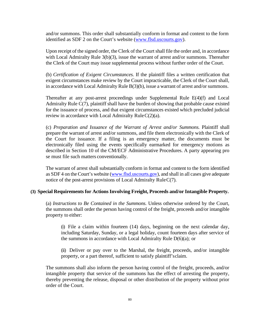and/or summons. This order shall substantially conform in format and content to the form identified as SDF 2 on the Court's website [\(www.flsd.uscourts.gov\)](http://www.flsd.uscourts.gov/).

Upon receipt of the signed order, the Clerk of the Court shall file the order and, in accordance with Local Admiralty Rule 3(b)(3), issue the warrant of arrest and/or summons. Thereafter the Clerk of the Court may issue supplemental process without further order of the Court.

(b) *Certification of Exigent Circumstances.* If the plaintiff files a written certification that exigent circumstances make review by the Court impracticable, the Clerk of the Court shall, in accordance with Local Admiralty Rule  $B(3)(b)$ , issue a warrant of arrest and/or summons.

Thereafter at any post-arrest proceedings under Supplemental Rule E(4)(f) and Local Admiralty Rule C(7), plaintiff shall have the burden of showing that probable cause existed for the issuance of process, and that exigent circumstances existed which precluded judicial review in accordance with Local Admiralty Rule C(2)(a).

(c) *Preparation and Issuance of the Warrant of Arrest and/or Summons.* Plaintiff shall prepare the warrant of arrest and/or summons, and file them electronically with the Clerk of the Court for issuance. If a filing is an emergency matter, the documents must be electronically filed using the events specifically earmarked for emergency motions as described in Section 10 of the CM/ECF Administrative Procedures. A party appearing pro se must file such matters conventionally.

The warrant of arrest shall substantially conform in format and content to the form identified as SDF 4 on theCourt's website [\(www.flsd.uscourts.gov\)](http://www.flsd.uscourts.gov/), and shall in all cases give adequate notice of the post-arrest provisions of Local Admiralty RuleC(7).

### **(3) Special Requirements for Actions Involving Freight, Proceeds and/or Intangible Property.**

(a) *Instructions to Be Contained in the Summons.* Unless otherwise ordered by the Court, the summons shall order the person having control of the freight, proceeds and/or intangible property to either:

(i) File a claim within fourteen (14) days, beginning on the next calendar day, including Saturday, Sunday, or a legal holiday, count fourteen days after service of the summons in accordance with Local Admiralty Rule D(6)(a); or

(ii) Deliver or pay over to the Marshal, the freight, proceeds, and/or intangible property, or a part thereof, sufficient to satisfy plaintiff'sclaim.

The summons shall also inform the person having control of the freight, proceeds, and/or intangible property that service of the summons has the effect of arresting the property, thereby preventing the release, disposal or other distribution of the property without prior order of the Court.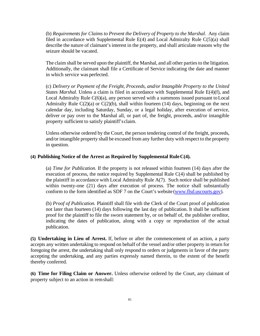(b) *Requirements for Claims to Prevent the Delivery of Property to the Marshal.* Any claim filed in accordance with Supplemental Rule  $E(4)$  and Local Admiralty Rule  $C(5)(a)$  shall describe the nature of claimant's interest in the property, and shall articulate reasons why the seizure should be vacated.

The claim shall be served upon the plaintiff, the Marshal, and all other parties to the litigation. Additionally, the claimant shall file a Certificate of Service indicating the date and manner in which service was perfected.

(c) *Delivery or Payment of the Freight, Proceeds, and/or Intangible Property to the United States Marshal.* Unless a claim is filed in accordance with Supplemental Rule E(4)(f), and Local Admiralty Rule C(6)(a), any person served with a summons issued pursuant toLocal Admiralty Rule  $C(2)(a)$  or  $C(2)(b)$ , shall within fourteen (14) days, beginning on the next calendar day, including Saturday, Sunday, or a legal holiday, after execution of service, deliver or pay over to the Marshal all, or part of, the freight, proceeds, and/or intangible property sufficient to satisfy plaintiff's claim.

Unless otherwise ordered by the Court, the person tendering control of the freight, proceeds, and/or intangible property shall be excused from any further duty with respect to the property in question.

#### **(4) Publishing Notice of the Arrest as Required by Supplemental RuleC(4).**

(a) *Time for Publication.* If the property is not released within fourteen (14) days after the execution of process, the notice required by Supplemental Rule C(4) shall be published by the plaintiff in accordance with Local Admiralty Rule A(7). Such notice shall be published within twenty-one (21) days after execution of process. The notice shall substantially conform to the form identified as SDF 7 on the Court's website [\(www.flsd.uscourts.gov\)](http://www.flsd.uscourts.gov/).

(b) *Proof of Publication.* Plaintiff shall file with the Clerk of the Court proof of publication not later than fourteen (14) days following the last day of publication. It shall be sufficient proof for the plaintiff to file the sworn statement by, or on behalf of, the publisher oreditor, indicating the dates of publication, along with a copy or reproduction of the actual publication.

**(5) Undertaking in Lieu of Arrest.** If, before or after the commencement of an action, a party accepts any written undertaking to respond on behalf of the vessel and/or other property in return for foregoing the arrest, the undertaking shall only respond to orders or judgments in favor of the party accepting the undertaking, and any parties expressly named therein, to the extent of the benefit thereby conferred.

**(6) Time for Filing Claim or Answer.** Unless otherwise ordered by the Court, any claimant of property subject to an action in remshall: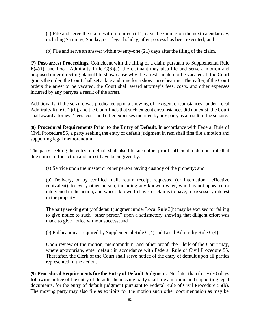(a) File and serve the claim within fourteen (14) days, beginning on the next calendar day, including Saturday, Sunday, or a legal holiday, after process has been executed; and

(b) File and serve an answer within twenty-one (21) days after the filing of the claim.

**(7) Post-arrest Proceedings.** Coincident with the filing of a claim pursuant to Supplemental Rule  $E(4)(f)$ , and Local Admiralty Rule  $C(6)(a)$ , the claimant may also file and serve a motion and proposed order directing plaintiff to show cause why the arrest should not be vacated. If the Court grants the order, the Court shallset a date and time for a show cause hearing. Thereafter, if the Court orders the arrest to be vacated, the Court shall award attorney's fees, costs, and other expenses incurred by any partyas a result of the arrest.

Additionally, if the seizure was predicated upon a showing of "exigent circumstances" under Local Admiralty Rule C(2)(b), and the Court finds that such exigent circumstances did not exist, the Court shall award attorneys' fees, costs and other expenses incurred by any party as a result of the seizure.

**(8) Procedural Requirements Prior to the Entry of Default.** In accordance with Federal Rule of Civil Procedure 55, a party seeking the entry of default judgment in rem shall first file a motion and supporting legal memorandum.

The party seeking the entry of default shall also file such other proof sufficient to demonstrate that due notice of the action and arrest have been given by:

(a) Service upon the master or other person having custody of the property; and

(b) Delivery, or by certified mail, return receipt requested (or international effective equivalent), to every other person, including any known owner, who has not appeared or intervened in the action, and who is known to have, or claims to have, a possessory interest in the property.

The party seeking entry of default judgment under Local Rule 3(h) may be excused forfailing to give notice to such "other person" upon a satisfactory showing that diligent effort was made to give notice without success; and

(c) Publication as required by Supplemental Rule C(4) and Local Admiralty Rule C(4).

Upon review of the motion, memorandum, and other proof, the Clerk of the Court may, where appropriate, enter default in accordance with Federal Rule of Civil Procedure 55. Thereafter, the Clerk of the Court shall serve notice of the entry of default upon all parties represented in the action.

**(9) Procedural Requirements for the Entry of Default Judgment**. Not later than thirty (30) days following notice of the entry of default, the moving party shall file a motion, and supporting legal documents, for the entry of default judgment pursuant to Federal Rule of Civil Procedure 55(b). The moving party may also file as exhibits for the motion such other documentation as may be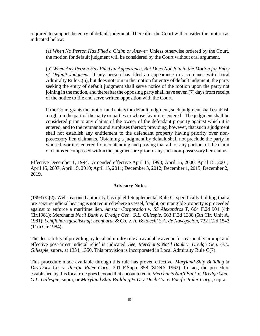required to support the entry of default judgment. Thereafter the Court will consider the motion as indicated below:

(a) *When No Person Has Filed a Claim or Answer.* Unless otherwise ordered by the Court, the motion for default judgment will be considered by the Court without oral argument.

(b) *When Any Person Has Filed an Appearance, But Does Not Join in the Motion for Entry of Default Judgment.* If any person has filed an appearance in accordance with Local Admiralty Rule C(6), but does not join in the motion for entry of default judgment, the party seeking the entry of default judgment shall serve notice of the motion upon the party not joining in the motion, and thereafter the opposing party shall have seven  $(7)$  days from receipt of the notice to file and serve written opposition with the Court.

If the Court grants the motion and enters the default judgment, such judgment shall establish a right on the part of the party or parties in whose favor it is entered. The judgment shall be considered prior to any claims of the owner of the defendant property against which it is entered, and to the remnants and surpluses thereof; providing, however, that such a judgment shall not establish any entitlement to the defendant property having priority over nonpossessory lien claimants. Obtaining a judgment by default shall not preclude the party in whose favor it is entered from contending and proving that all, or any portion, of the claim or claims encompassed within the judgment are prior to any such non-possessory lien claims.

Effective December 1, 1994. Amended effective April 15, 1998; April 15, 2000; April 15, 2001; April 15, 2007; April 15, 2010; April 15, 2011; December 3, 2012; December 1, 2015; December 2, 2019.

### **Advisory Notes**

(1993) **C(2).** Well-reasoned authority has upheld Supplemental Rule C, specifically holding that a pre-seizure judicial hearing is not required where a vessel, freight, or intangible property is proceeded against to enforce a maritime lien. *Amstar Corporation v. SS Alexandros T,* 664 F.2d 904 (4th Cir.1981); Merchants *Nat'l Bank v. Dredge Gen. G.L. Gillespie,* 663 F.2d 1338 (5th Cir. Unit A, 1981); *Schiffahartsgesellschaft Leonhardt & Co. v. A. Bottacchi S.A. de Navegacion,* 732 F.2d 1543 (11th Cir.1984).

The desirability of providing by local admiralty rule an available avenue for reasonably prompt and effective post-arrest judicial relief is indicated. *See, Merchants Nat'l Bank v. Dredge Gen. G.L. Gillespie,* supra, at 1334, 1350. This provision is incorporated in Local Admiralty Rule C(7).

This procedure made available through this rule has proven effective. *Maryland Ship Building & Dry-Dock Co. v. Pacific Ruler Corp.,* 201 F.Supp. 858 (SDNY 1962). In fact, the procedure established by this local rule goes beyond that encountered in *Merchants Nat'l Bank v. Dredge Gen. G.L. Gillespie,* supra, or *Maryland Ship Building & Dry-Dock Co. v. Pacific Ruler Corp.,* supra.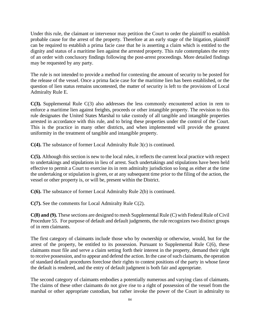Under this rule, the claimant or intervenor may petition the Court to order the plaintiff to establish probable cause for the arrest of the property. Therefore at an early stage of the litigation, plaintiff can be required to establish a prima facie case that he is asserting a claim which is entitled to the dignity and status of a maritime lien against the arrested property. This rule contemplates the entry of an order with conclusory findings following the post-arrest proceedings. More detailed findings may be requested by any party.

The rule is not intended to provide a method for contesting the amount of security to be posted for the release of the vessel. Once a prima facie case for the maritime lien has been established, or the question of lien status remains uncontested, the matter of security is left to the provisions of Local Admiralty Rule E.

**C(3).** Supplemental Rule C(3) also addresses the less commonly encountered action in rem to enforce a maritime lien against freights, proceeds or other intangible property. The revision to this rule designates the United States Marshal to take custody of all tangible and intangible properties arrested in accordance with this rule, and to bring these properties under the control of the Court. This is the practice in many other districts, and when implemented will provide the greatest uniformity in the treatment of tangible and intangible property.

**C(4).** The substance of former Local Admiralty Rule 3(c) is continued.

**C(5).** Although this section is new to the local rules, it reflects the current local practice with respect to undertakings and stipulations in lieu of arrest. Such undertakings and stipulations have been held effective to permit a Court to exercise its in rem admiralty jurisdiction so long as either at the time the undertaking or stipulation is given, or at any subsequent time prior to the filing of the action, the vessel or other property is, or will be, present within the District.

**C(6).** The substance of former Local Admiralty Rule 2(b) is continued.

**C(7).** See the comments for Local Admiralty Rule C(2).

**C(8) and (9).** These sections are designed to mesh Supplemental Rule (C) with Federal Rule of Civil Procedure 55. For purpose of default and default judgments, the rule recognizes two distinct groups of in rem claimants.

The first category of claimants include those who by ownership or otherwise, would, but for the arrest of the property, be entitled to its possession. Pursuant to Supplemental Rule  $C(6)$ , these claimants must file and serve a claim setting forth their interest in the property, demand their right to receive possession, and to appear and defend the action. In the case of such claimants, the operation of standard default procedures foreclose their rights to contest positions of the party in whose favor the default is rendered, and the entry of default judgment is both fair and appropriate.

The second category of claimants embodies a potentially numerous and varying class of claimants. The claims of these other claimants do not give rise to a right of possession of the vessel from the marshal or other appropriate custodian, but rather invoke the power of the Court in admiralty to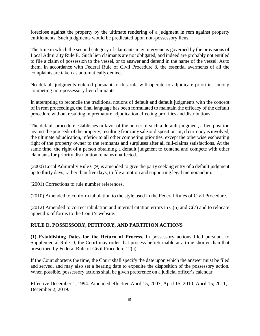foreclose against the property by the ultimate rendering of a judgment in rem against property entitlements. Such judgments would be predicated upon non-possessory liens.

The time in which the second category of claimants may intervene is governed by the provisions of Local Admiralty Rule E. Such lien claimants are not obligated, and indeed are probably not entitled to file a claim of possession to the vessel, or to answer and defend in the name of the vessel. Asto them, in accordance with Federal Rule of Civil Procedure 8, the essential averments of all the complaints are taken as automatically denied.

No default judgments entered pursuant to this rule will operate to adjudicate priorities among competing non-possessory lien claimants.

In attempting to reconcile the traditional notions of default and default judgments with the concept of in rem proceedings, the final language has been formulated to maintain the efficacy of the default procedure without resulting in premature adjudication effecting priorities and distributions.

The default procedure establishes in favor of the holder of such a default judgment, a lien position against the proceeds of the property, resulting from any sale or disposition, or, if currency is involved, the ultimate adjudication, inferior to all other competing priorities, except the otherwise escheating right of the property owner to the remnants and surpluses after all full-claims satisfactions. At the same time, the right of a person obtaining a default judgment to contend and compete with other claimants for priority distribution remains unaffected.

(2000) Local Admiralty Rule C(9) is amended to give the party seeking entry of a default judgment up to thirty days, rather than five days, to file a motion and supporting legal memorandum.

(2001) Corrections to rule number references.

(2010) Amended to conform tabulation to the style used in the Federal Rules of Civil Procedure.

(2012) Amended to correct tabulation and internal citation errors in  $C(6)$  and  $C(7)$  and to relocate appendix of forms to the Court's website.

## **RULE D. POSSESSORY, PETITORY, AND PARTITION ACTIONS**

**(1) Establishing Dates for the Return of Process.** In possessory actions filed pursuant to Supplemental Rule D, the Court may order that process be returnable at a time shorter than that prescribed by Federal Rule of Civil Procedure 12(a).

If the Court shortens the time, the Court shall specify the date upon which the answer must be filed and served, and may also set a hearing date to expedite the disposition of the possessory action. When possible, possessory actions shall be given preference on a judicial officer's calendar.

Effective December 1, 1994. Amended effective April 15, 2007; April 15, 2010; April 15, 2011; December 2, 2019.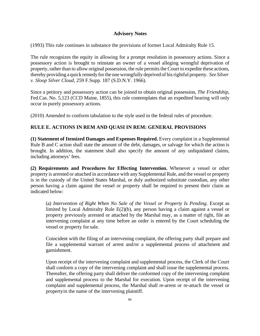## **Advisory Notes**

(1993) This rule continues in substance the provisions of former Local Admiralty Rule 15.

The rule recognizes the equity in allowing for a prompt resolution in possessory actions. Since a possessory action is brought to reinstate an owner of a vessel alleging wrongful deprivation of property, rather than to allow original possession, the rule permits the Court to expedite these actions, thereby providing a quick remedy forthe one wrongfully deprived of hisrightful property. *See Silver v. Sloop Silver Cloud,* 259 F.Supp. 187 (S.D.N.Y. 1966).

Since a petitory and possessory action can be joined to obtain original possession, *The Friendship,*  Fed.Cas. No. 5,123 (CCD Maine, 1855), this rule contemplates that an expedited hearing will only occur in purely possessory actions.

(2010) Amended to conform tabulation to the style used in the federal rules of procedure.

# **RULE E. ACTIONS IN REM AND QUASI IN REM: GENERAL PROVISIONS**

**(1) Statement of Itemized Damages and Expenses Required.** Every complaint in a Supplemental Rule B and C action shall state the amount of the debt, damages, or salvage for which the action is brought. In addition, the statement shall also specify the amount of any unliquidated claims, including attorneys' fees.

**(2) Requirements and Procedures for Effecting Intervention.** Whenever a vessel or other property is arrested or attached in accordance with any Supplemental Rule, and the vessel or property is in the custody of the United States Marshal, or duly authorized substitute custodian, any other person having a claim against the vessel or property shall be required to present their claim as indicated below:

(a) *Intervention of Right When No Sale of the Vessel or Property Is Pending.* Except as limited by Local Admiralty Rule E(2)(b), any person having a claim against a vessel or property previously arrested or attached by the Marshal may, as a matter of right, file an intervening complaint at any time before an order is entered by the Court scheduling the vessel or property forsale.

Coincident with the filing of an intervening complaint, the offering party shall prepare and file a supplemental warrant of arrest and/or a supplemental process of attachment and garnishment.

Upon receipt of the intervening complaint and supplemental process, the Clerk of the Court shall conform a copy of the intervening complaint and shall issue the supplemental process. Thereafter, the offering party shall deliver the conformed copy of the intervening complaint and supplemental process to the Marshal for execution. Upon receipt of the intervening complaint and supplemental process, the Marshal shall re-arrest or re-attach the vessel or propertyin the name of the intervening plaintiff.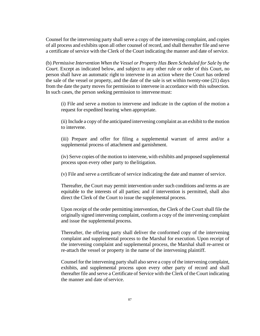Counsel for the intervening party shall serve a copy of the intervening complaint, and copies of all process and exhibits upon all other counsel of record, and shall thereafter file and serve a certificate of service with the Clerk of the Court indicating the manner and date of service.

(b) *Permissive Intervention When the Vessel or Property Has Been Scheduled for Sale by the Court.* Except as indicated below, and subject to any other rule or order of this Court, no person shall have an automatic right to intervene in an action where the Court has ordered the sale of the vessel or property, and the date of the sale is set within twenty-one (21) days from the date the party moves for permission to intervene in accordance with this subsection. In such cases, the person seeking permission to intervenemust:

(i) File and serve a motion to intervene and indicate in the caption of the motion a request for expedited hearing when appropriate.

(ii) Include a copy ofthe anticipated intervening complaint as an exhibit to the motion to intervene.

(iii) Prepare and offer for filing a supplemental warrant of arrest and/or a supplemental process of attachment and garnishment.

(iv) Serve copies of the motion to intervene, with exhibits and proposed supplemental process upon every other party to thelitigation.

(v) File and serve a certificate of service indicating the date and manner of service.

Thereafter, the Court may permit intervention under such conditions and terms as are equitable to the interests of all parties; and if intervention is permitted, shall also direct the Clerk of the Court to issue the supplemental process.

Upon receipt of the order permitting intervention, the Clerk of the Court shall file the originally signed intervening complaint, conform a copy of the intervening complaint and issue the supplemental process.

Thereafter, the offering party shall deliver the conformed copy of the intervening complaint and supplemental process to the Marshal for execution. Upon receipt of the intervening complaint and supplemental process, the Marshal shall re-arrest or re-attach the vessel or property in the name of the intervening plaintiff.

Counsel forthe intervening party shall also serve a copy of the intervening complaint, exhibits, and supplemental process upon every other party of record and shall thereafter file and serve a Certificate of Service with the Clerk of the Court indicating the manner and date of service.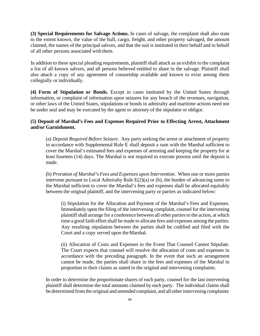**(3) Special Requirements for Salvage Actions.** In cases of salvage, the complaint shall also state to the extent known, the value of the hull, cargo, freight, and other property salvaged, the amount claimed, the names of the principal salvors, and that the suit is instituted in their behalf and in behalf of all other persons associated with them.

In addition to these special pleading requirements, plaintiff shall attach as an exhibit to the complaint a list of all known salvors, and all persons believed entitled to share in the salvage. Plaintiff shall also attach a copy of any agreement of consortship available and known to exist among them collegially or individually.

**(4) Form of Stipulation or Bonds.** Except in cases instituted by the United States through information, or complaint of information upon seizures for any breach of the revenues, navigation, or other laws of the United States, stipulations or bonds in admiralty and maritime actions need not be under seal and may be executed by the agent or attorney of the stipulator or obligor.

# **(5) Deposit of Marshal's Fees and Expenses Required Prior to Effecting Arrest, Attachment and/or Garnishment.**

(a) *Deposit Required Before Seizure.* Any party seeking the arrest or attachment of property in accordance with Supplemental Rule E shall deposit a sum with the Marshal sufficient to cover the Marshal's estimated fees and expenses of arresting and keeping the property for at least fourteen (14) days. The Marshal is not required to execute process until the deposit is made.

(b) *Proration of Marshal's Fees and Expenses upon Intervention.* When one or more parties intervene pursuant to Local Admiralty Rule E(2)(a) or (b), the burden of advancing sums to the Marshal sufficient to cover the Marshal's fees and expenses shall be allocated equitably between the original plaintiff, and the intervening party or parties as indicated below:

(i) Stipulation for the Allocation and Payment of the Marshal's Fees and Expenses. Immediately upon the filing of the intervening complaint, counsel for the intervening plaintiffshall arrange for a conference between all other partiesto the action, at which time a good faith effort shall be made to allocate fees and expenses among the parties. Any resulting stipulation between the parties shall be codified and filed with the Court and a copy served upon theMarshal.

(ii) Allocation of Costs and Expenses in the Event That Counsel Cannot Stipulate. The Court expects that counsel will resolve the allocation of costs and expenses in accordance with the preceding paragraph. In the event that such an arrangement cannot be made, the parties shall share in the fees and expenses of the Marshal in proportion to their claims as stated in the original and intervening complaints.

In order to determine the proportionate shares of each party, counsel for the last intervening plaintiff shall determine the total amounts claimed by each party. The individual claims shall be determined from the original and amended complaint, and all other intervening complaints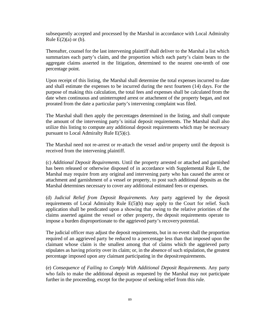subsequently accepted and processed by the Marshal in accordance with Local Admiralty Rule  $E(2)(a)$  or  $(b)$ .

Thereafter, counsel for the last intervening plaintiff shall deliver to the Marshal a list which summarizes each party's claim, and the proportion which each party's claim bears to the aggregate claims asserted in the litigation, determined to the nearest one-tenth of one percentage point.

Upon receipt of this listing, the Marshal shall determine the total expenses incurred to date and shall estimate the expenses to be incurred during the next fourteen (14) days. For the purpose of making this calculation, the total fees and expenses shall be calculated from the date when continuous and uninterrupted arrest or attachment of the property began, and not prorated from the date a particular party's intervening complaint was filed.

The Marshal shall then apply the percentages determined in the listing, and shall compute the amount of the intervening party's initial deposit requirements. The Marshal shall also utilize this listing to compute any additional deposit requirements which may be necessary pursuant to Local Admiralty Rule E(5)(c).

The Marshal need not re-arrest or re-attach the vessel and/or property until the deposit is received from the intervening plaintiff.

(c) *Additional Deposit Requirements.* Until the property arrested or attached and garnished has been released or otherwise disposed of in accordance with Supplemental Rule E, the Marshal may require from any original and intervening party who has caused the arrest or attachment and garnishment of a vessel or property, to post such additional deposits as the Marshal determines necessary to cover any additional estimated fees or expenses.

(d) *Judicial Relief from Deposit Requirements.* Any party aggrieved by the deposit requirements of Local Admiralty Rule E(5)(b) may apply to the Court for relief. Such application shall be predicated upon a showing that owing to the relative priorities of the claims asserted against the vessel or other property, the deposit requirements operate to impose a burden disproportionate to the aggrieved party's recoverypotential.

The judicial officer may adjust the deposit requirements, but in no event shall the proportion required of an aggrieved party be reduced to a percentage less than that imposed upon the claimant whose claim is the smallest among that of claims which the aggrieved party stipulates as having priority over its claim; or, in the absence of such stipulation, the greatest percentage imposed upon any claimant participating in the depositrequirements.

(e) *Consequence of Failing to Comply With Additional Deposit Requirements.* Any party who fails to make the additional deposit as requested by the Marshal may not participate further in the proceeding, except for the purpose of seeking relief from this rule.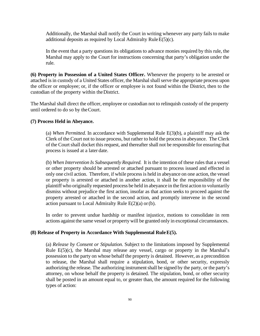Additionally, the Marshal shall notify the Court in writing whenever any party fails to make additional deposits as required by Local Admiralty Rule  $E(5)(c)$ .

In the event that a party questions its obligations to advance monies required by this rule, the Marshal may apply to the Court for instructions concerning that party's obligation under the rule.

**(6) Property in Possession of a United States Officer.** Whenever the property to be arrested or attached is in custody of a United States officer, the Marshal shall serve the appropriate process upon the officer or employee; or, if the officer or employee is not found within the District, then to the custodian of the property within theDistrict.

The Marshal shall direct the officer, employee or custodian not to relinquish custody of the property until ordered to do so by theCourt.

### **(7) Process Held in Abeyance.**

(a) *When Permitted.* In accordance with Supplemental Rule E(3)(b), a plaintiff may ask the Clerk of the Court not to issue process, but rather to hold the processin abeyance. The Clerk of the Court shall docket this request, and thereafter shall not be responsible for ensuring that process is issued at a later date.

(b) *When Intervention Is Subsequently Required.* It is the intention of these rules that a vessel or other property should be arrested or attached pursuant to process issued and effected in only one civil action. Therefore, if while processis held in abeyance on one action, the vessel or property is arrested or attached in another action, it shall be the responsibility of the plaintiff who originally requested process be held in abeyance in the first action to voluntarily dismiss without prejudice the first action, insofar as that action seeks to proceed against the property arrested or attached in the second action, and promptly intervene in the second action pursuant to Local Admiralty Rule  $E(2)(a)$  or(b).

In order to prevent undue hardship or manifest injustice, motions to consolidate in rem actions against the same vessel or property will be granted only in exceptional circumstances.

#### **(8) Release of Property in Accordance With Supplemental RuleE(5).**

(a) *Release by Consent or Stipulation.* Subject to the limitations imposed by Supplemental Rule  $E(5)(c)$ , the Marshal may release any vessel, cargo or property in the Marshal's possession to the party on whose behalf the property is detained. However, as a precondition to release, the Marshal shall require a stipulation, bond, or other security, expressly authorizing the release. The authorizing instrument shall be signed by the party, or the party's attorney, on whose behalf the property is detained. The stipulation, bond, or other security shall be posted in an amount equal to, or greater than, the amount required for the following types of action: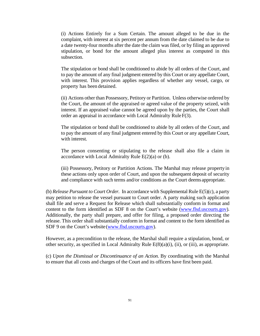(i) Actions Entirely for a Sum Certain. The amount alleged to be due in the complaint, with interest at six percent per annum from the date claimed to be due to a date twenty-four months after the date the claim was filed, or by filing an approved stipulation, or bond for the amount alleged plus interest as computed in this subsection.

The stipulation or bond shall be conditioned to abide by all orders of the Court, and to pay the amount of any final judgment entered by this Court or any appellate Court, with interest. This provision applies regardless of whether any vessel, cargo, or property has been detained.

(ii) Actions other than Possessory, Petitory or Partition. Unless otherwise ordered by the Court, the amount of the appraised or agreed value of the property seized, with interest. If an appraised value cannot be agreed upon by the parties, the Court shall order an appraisal in accordance with Local Admiralty RuleF(3).

The stipulation or bond shall be conditioned to abide by all orders of the Court, and to pay the amount of any final judgment entered by this Court or any appellate Court, with interest.

The person consenting or stipulating to the release shall also file a claim in accordance with Local Admiralty Rule  $E(2)(a)$  or (b).

(iii) Possessory, Petitory or Partition Actions. The Marshal may release property in these actions only upon order of Court, and upon the subsequent deposit of security and compliance with such terms and/or conditions as the Court deems appropriate.

(b) *Release Pursuant to Court Order.* In accordance with Supplemental Rule E(5)(c), a party may petition to release the vessel pursuant to Court order. A party making such application shall file and serve a Request for Release which shall substantially conform in format and content to the form identified as SDF 8 on the Court's website [\(www.flsd.uscourts.gov\)](http://www.flsd.uscourts.gov/). Additionally, the party shall prepare, and offer for filing, a proposed order directing the release. This order shall substantially conform in format and content to the form identified as SDF 9 on the Court's website[\(www.flsd.uscourts.gov\)](http://www.flsd.uscourts.gov/).

However, as a precondition to the release, the Marshal shall require a stipulation, bond, or other security, as specified in Local Admiralty Rule E(8)(a)(i), (ii), or (iii), as appropriate.

(c) *Upon the Dismissal or Discontinuance of an Action.* By coordinating with the Marshal to ensure that all costs and charges of the Court and its officers have first been paid.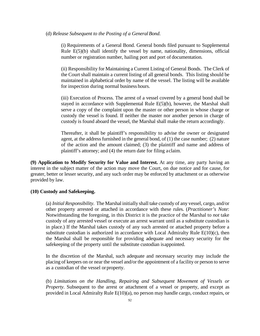#### (d) *Release Subsequent to the Posting of a GeneralBond*.

(i) Requirements of a General Bond. General bonds filed pursuant to Supplemental Rule E(5)(b) shall identify the vessel by name, nationality, dimensions, official number or registration number, hailing port and port of documentation.

(ii) Responsibility for Maintaining a Current Listing of General Bonds. The Clerk of the Court shall maintain a current listing of all general bonds. This listing should be maintained in alphabetical order by name of the vessel. The listing will be available for inspection during normal business hours.

(iii) Execution of Process. The arrest of a vessel covered by a general bond shall be stayed in accordance with Supplemental Rule E(5)(b), however, the Marshal shall serve a copy of the complaint upon the master or other person in whose charge or custody the vessel is found. If neither the master nor another person in charge of custody is found aboard the vessel, the Marshal shall make the return accordingly.

Thereafter, it shall be plaintiff's responsibility to advise the owner or designated agent, at the address furnished in the general bond, of (1) the case number; (2) nature of the action and the amount claimed; (3) the plaintiff and name and address of plaintiff's attorney; and (4) the return date for filing aclaim.

**(9) Application to Modify Security for Value and Interest.** At any time, any party having an interest in the subject matter of the action may move the Court, on due notice and for cause, for greater, better or lesser security, and any such order may be enforced by attachment or as otherwise provided by law.

### **(10) Custody and Safekeeping.**

(a) *Initial Responsibility*. The Marshal initially shall take custody of any vessel, cargo, and/or other property arrested or attached in accordance with these rules. (*Practitioner's Note*: Notwithstanding the foregoing, in this District it is the practice of the Marshal to *not* take custody of any arrested vessel or execute an arrest warrant until as a substitute custodian is in place.) If the Marshal takes custody of any such arrested or attached property before a substitute custodian is authorized in accordance with Local Admiralty Rule E(10)(c), then the Marshal shall be responsible for providing adequate and necessary security for the safekeeping of the property until the substitute custodian isappointed.

In the discretion of the Marshal, such adequate and necessary security may include the placing of keepers on or near the vessel and/or the appointment of a facility or person to serve as a custodian of the vessel orproperty.

(b) *Limitations on the Handling, Repairing and Subsequent Movement of Vessels or Property*. Subsequent to the arrest or attachment of a vessel or property, and except as provided in Local Admiralty Rule E(10)(a), no person may handle cargo, conduct repairs, or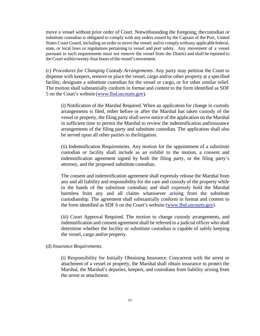move a vessel without prior order of Court. Notwithstanding the foregoing, thecustodian or substitute custodian is obligated to comply with any orders issued by the Captain of the Port, United States Coast Guard, including an order to move the vessel; and to comply withany applicable federal, state, or local laws or regulations pertaining to vessel and port safety. Any movement of a vessel pursuant to such requirements must not remove the vessel from the District and shall be reported to the Court within twenty-four hours of the vessel's movement.

(c) *Procedures for Changing Custody Arrangements*. Any party may petition the Court to dispense with keepers, remove or place the vessel, cargo and/or other property at a specified facility, designate a substitute custodian for the vessel or cargo, or for other similar relief. The motion shall substantially conform in format and content to the form identified as SDF 5 on the Court's website [\(www.flsd.uscourts.gov\)](http://www.flsd.uscourts.gov/).

(i) Notification of the Marshal Required. When an application for change in custody arrangements is filed, either before or after the Marshal has taken custody of the vessel or property, the filing party shall serve notice of the application on the Marshal in sufficient time to permit the Marshal to review the indemnification andinsurance arrangements of the filing party and substitute custodian. The application shall also be served upon all other parties to thelitigation.

(ii) Indemnification Requirements. Any motion for the appointment of a substitute custodian or facility shall include as an exhibit to the motion, a consent and indemnification agreement signed by both the filing party, or the filing party's attorney, and the proposed substitute custodian.

The consent and indemnification agreement shall expressly release the Marshal from any and all liability and responsibility for the care and custody of the property while in the hands of the substitute custodian; and shall expressly hold the Marshal harmless from any and all claims whatsoever arising from the substitute custodianship. The agreement shall substantially conform in format and content to the form identified as SDF 6 on the Court's website [\(www.flsd.uscourts.gov\)](http://www.flsd.uscourts.gov/).

(iii) Court Approval Required. The motion to change custody arrangements, and indemnification and consent agreement shall be referred to a judicial officer who shall determine whether the facility or substitute custodian is capable of safely keeping the vessel, cargo and/or property.

(d) *Insurance Requirements*.

(i) Responsibility for Initially Obtaining Insurance. Concurrent with the arrest or attachment of a vessel or property, the Marshal shall obtain insurance to protect the Marshal, the Marshal's deputies, keepers, and custodians from liability arising from the arrest or attachment.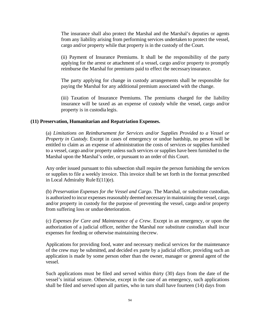The insurance shall also protect the Marshal and the Marshal's deputies or agents from any liability arising from performing services undertaken to protect the vessel, cargo and/or property while that property is in the custody of the Court.

(ii) Payment of Insurance Premiums. It shall be the responsibility of the party applying for the arrest or attachment of a vessel, cargo and/or property to promptly reimburse the Marshal for premiums paid to effect the necessaryinsurance.

The party applying for change in custody arrangements shall be responsible for paying the Marshal for any additional premium associated with the change.

(iii) Taxation of Insurance Premiums. The premiums charged for the liability insurance will be taxed as an expense of custody while the vessel, cargo and/or property is in custodia legis.

### **(11) Preservation, Humanitarian and Repatriation Expenses.**

(a) *Limitations on Reimbursement for Services and/or Supplies Provided to a Vessel or Property in Custody*. Except in cases of emergency or undue hardship, no person will be entitled to claim as an expense of administration the costs of services or supplies furnished to a vessel, cargo and/or property unless such services or supplies have been furnished to the Marshal upon the Marshal's order, or pursuant to an order of this Court.

Any order issued pursuant to this subsection shall require the person furnishing the services or supplies to file a weekly invoice. This invoice shall be set forth in the format prescribed in Local Admiralty Rule E(11)(e).

(b) *Preservation Expenses for the Vessel and Cargo*. The Marshal, or substitute custodian, is authorized to incur expenses reasonably deemed necessary in maintaining the vessel, cargo and/or property in custody for the purpose of preventing the vessel, cargo and/or property from suffering loss or undue deterioration.

(c) *Expenses for Care and Maintenance of a Crew*. Except in an emergency, or upon the authorization of a judicial officer, neither the Marshal nor substitute custodian shall incur expenses for feeding or otherwise maintaining thecrew.

Applications for providing food, water and necessary medical services for the maintenance of the crew may be submitted, and decided ex parte by a judicial officer, providing such an application is made by some person other than the owner, manager or general agent of the vessel.

Such applications must be filed and served within thirty (30) days from the date of the vessel's initial seizure. Otherwise, except in the case of an emergency, such applications shall be filed and served upon all parties, who in turn shall have fourteen (14) days from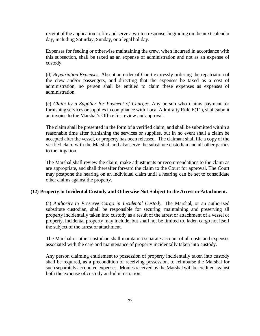receipt of the application to file and serve a written response, beginning on the next calendar day, including Saturday, Sunday, or a legal holiday.

Expenses for feeding or otherwise maintaining the crew, when incurred in accordance with this subsection, shall be taxed as an expense of administration and not as an expense of custody.

(d) *Repatriation Expenses*. Absent an order of Court expressly ordering the repatriation of the crew and/or passengers, and directing that the expenses be taxed as a cost of administration, no person shall be entitled to claim these expenses as expenses of administration.

(e) *Claim by a Supplier for Payment of Charges*. Any person who claims payment for furnishing services or supplies in compliance with Local Admiralty Rule E(11), shall submit an invoice to the Marshal's Office for review andapproval.

The claim shall be presented in the form of a verified claim, and shall be submitted within a reasonable time after furnishing the services or supplies, but in no event shall a claim be accepted after the vessel, or property has been released. The claimant shall file a copy of the verified claim with the Marshal, and also serve the substitute custodian and all other parties to the litigation.

The Marshal shall review the claim, make adjustments or recommendations to the claim as are appropriate, and shall thereafter forward the claim to the Court for approval. The Court may postpone the hearing on an individual claim until a hearing can be set to consolidate other claims against the property.

#### **(12) Property in Incidental Custody and Otherwise Not Subject to the Arrest orAttachment.**

(a) *Authority to Preserve Cargo in Incidental Custody*. The Marshal, or an authorized substitute custodian, shall be responsible for securing, maintaining and preserving all property incidentally taken into custody as a result of the arrest or attachment of a vessel or property. Incidental property may include, but shall not be limited to, laden cargo not itself the subject of the arrest or attachment.

The Marshal or other custodian shall maintain a separate account of all costs and expenses associated with the care and maintenance of property incidentally taken into custody.

Any person claiming entitlement to possession of property incidentally taken into custody shall be required, as a precondition of receiving possession, to reimburse the Marshal for such separately accounted expenses. Monies received by the Marshal will be credited against both the expense of custody andadministration.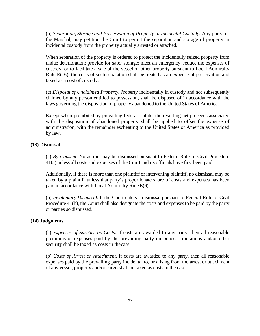(b) *Separation, Storage and Preservation of Property in Incidental Custody*. Any party, or the Marshal, may petition the Court to permit the separation and storage of property in incidental custody from the property actually arrested or attached.

When separation of the property is ordered to protect the incidentally seized property from undue deterioration; provide for safer storage; meet an emergency; reduce the expenses of custody; or to facilitate a sale of the vessel or other property pursuant to Local Admiralty Rule E(16); the costs of such separation shall be treated as an expense of preservation and taxed as a cost of custody.

(c) *Disposal of Unclaimed Property*. Property incidentally in custody and not subsequently claimed by any person entitled to possession, shall be disposed of in accordance with the laws governing the disposition of property abandoned to the United States of America.

Except when prohibited by prevailing federal statute, the resulting net proceeds associated with the disposition of abandoned property shall be applied to offset the expense of administration, with the remainder escheating to the United States of America as provided by law.

### **(13) Dismissal.**

(a) *By Consent*. No action may be dismissed pursuant to Federal Rule of Civil Procedure 41(a) unless all costs and expenses of the Court and its officials have first been paid.

Additionally, if there is more than one plaintiff or intervening plaintiff, no dismissal may be taken by a plaintiff unless that party's proportionate share of costs and expenses has been paid in accordance with Local Admiralty Rule  $E(6)$ .

(b) *Involuntary Dismissal*. If the Court enters a dismissal pursuant to Federal Rule of Civil Procedure 41(b), the Court shall also designate the costs and expenses to be paid by the party or parties so dismissed.

### **(14) Judgments.**

(a) *Expenses of Sureties as Costs*. If costs are awarded to any party, then all reasonable premiums or expenses paid by the prevailing party on bonds, stipulations and/or other security shall be taxed as costs in thecase.

(b) *Costs of Arrest or Attachment*. If costs are awarded to any party, then all reasonable expenses paid by the prevailing party incidental to, or arising from the arrest or attachment of any vessel, property and/or cargo shall be taxed as costs in the case.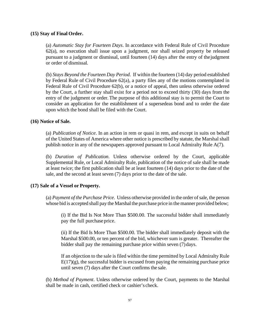#### **(15) Stay of Final Order.**

(a) *Automatic Stay for Fourteen Days*. In accordance with Federal Rule of Civil Procedure 62(a), no execution shall issue upon a judgment, nor shall seized property be released pursuant to a judgment or dismissal, until fourteen (14) days after the entry of thejudgment or order of dismissal.

(b) *Stays Beyond the Fourteen Day Period*. If within the fourteen (14) day period established by Federal Rule of Civil Procedure 62(a), a party files any of the motions contemplated in Federal Rule of Civil Procedure 62(b), or a notice of appeal, then unless otherwise ordered by the Court, a further stay shall exist for a period not to exceed thirty (30) days from the entry of the judgment or order.The purpose of this additional stay is to permit the Court to consider an application for the establishment of a supersedeas bond and to order the date upon which the bond shall be filed with the Court.

## **(16) Notice of Sale.**

(a) *Publication of Notice*. In an action in rem or quasi in rem, and except in suits on behalf of the United States of America where other notice is prescribed by statute, the Marshal shall publish notice in any of the newspapers approved pursuant to Local Admiralty Rule A(7).

(b) *Duration of Publication*. Unless otherwise ordered by the Court, applicable Supplemental Rule, or Local Admiralty Rule, publication of the notice of sale shall be made at least twice; the first publication shall be at least fourteen (14) days prior to the date of the sale, and the second at least seven (7) days prior to the date of the sale.

#### **(17) Sale of a Vessel or Property.**

(a) *Payment of the Purchase Price*. Unless otherwise provided in the order ofsale, the person whose bid is accepted shall pay the Marshal the purchase price in the manner provided below;

(i) If the Bid Is Not More Than \$500.00. The successful bidder shall immediately pay the full purchase price.

(ii) If the Bid Is More Than \$500.00. The bidder shall immediately deposit with the Marshal \$500.00, or ten percent of the bid, whichever sum is greater. Thereafter the bidder shall pay the remaining purchase price within seven (7) days.

If an objection to the sale is filed within the time permitted by Local Admiralty Rule  $E(17)(g)$ , the successful bidder is excused from paying the remaining purchase price until seven (7) days after the Court confirms the sale.

(b) *Method of Payment*. Unless otherwise ordered by the Court, payments to the Marshal shall be made in cash, certified check or cashier's check.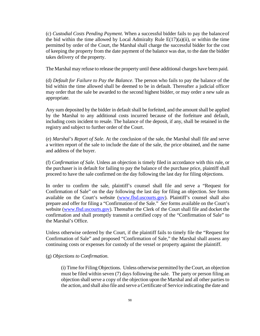(c) *Custodial Costs Pending Payment*. When a successful bidder fails to pay the balanceof the bid within the time allowed by Local Admiralty Rule  $E(17)(a)(ii)$ , or within the time permitted by order of the Court, the Marshal shall charge the successful bidder for the cost of keeping the property from the date payment of the balance was due, to the date the bidder takes delivery of the property.

The Marshal may refuse to release the property until these additional charges have been paid.

(d) *Default for Failure to Pay the Balance*. The person who fails to pay the balance of the bid within the time allowed shall be deemed to be in default. Thereafter a judicial officer may order that the sale be awarded to the second highest bidder, or may order a new sale as appropriate.

Any sum deposited by the bidder in default shall be forfeited, and the amount shall be applied by the Marshal to any additional costs incurred because of the forfeiture and default, including costs incident to resale. The balance of the deposit, if any, shall be retained in the registry and subject to further order of the Court.

(e) *Marshal's Report of Sale*. At the conclusion of the sale, the Marshal shall file and serve a written report of the sale to include the date of the sale, the price obtained, and the name and address of the buyer.

(f) *Confirmation of Sale*. Unless an objection is timely filed in accordance with this rule, or the purchaser is in default for failing to pay the balance of the purchase price, plaintiff shall proceed to have the sale confirmed on the day following the last day for filing objections.

In order to confirm the sale, plaintiff's counsel shall file and serve a "Request for Confirmation of Sale" on the day following the last day for filing an objection. *See* forms available on the Court's website [\(www.flsd.uscourts.gov\)](http://www.flsd.uscourts.gov/). Plaintiff's counsel shall also prepare and offer for filing a "Confirmation of the Sale." *See* forms available on the Court's website [\(www.flsd.uscourts.gov\)](http://www.flsd.uscourts.gov/). Thereafter the Clerk of the Court shall file and docket the confirmation and shall promptly transmit a certified copy of the "Confirmation of Sale" to the Marshal's Office.

Unless otherwise ordered by the Court, if the plaintiff fails to timely file the "Request for Confirmation of Sale" and proposed "Confirmation of Sale," the Marshal shall assess any continuing costs or expenses for custody of the vessel or property against the plaintiff.

#### (g) *Objections to Confirmation*.

(i) Time for Filing Objections. Unless otherwise permitted by the Court, an objection must be filed within seven (7) days following the sale. The party or person filing an objection shallserve a copy of the objection upon the Marshal and all other parties to the action, and shall also file and serve aCertificate of Service indicating the date and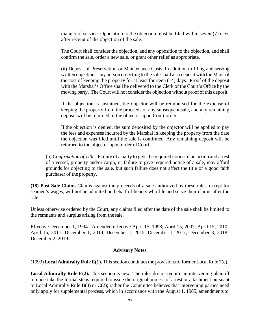manner of service. Opposition to the objection must be filed within seven (7) days after receipt of the objection of the sale.

The Court shall consider the objection, and any opposition to the objection, and shall confirm the sale, order a new sale, or grant other relief as appropriate.

(ii) Deposit of Preservation or Maintenance Costs. In addition to filing and serving written objections, any person objecting to the sale shall also deposit with the Marshal the cost of keeping the property for at least fourteen (14) days. Proof of the deposit with the Marshal's Office shall be delivered to the Clerk of the Court's Office by the moving party. The Court will not consider the objection without proof of this deposit.

If the objection is sustained, the objector will be reimbursed for the expense of keeping the property from the proceeds of any subsequent sale, and any remaining deposit will be returned to the objector upon Court order.

If the objection is denied, the sum deposited by the objector will be applied to pay the fees and expenses incurred by the Marshal in keeping the property from the date the objection was filed until the sale is confirmed. Any remaining deposit will be returned to the objector upon order ofCourt.

(h) *Confirmation of Title*. Failure of a party to give the required notice of an action and arrest of a vessel, property and/or cargo, or failure to give required notice of a sale, may afford grounds for objecting to the sale, but such failure does not affect the title of a good faith purchaser of the property.

**(18) Post-Sale Claim.** Claims against the proceeds of a sale authorized by these rules, except for seamen's wages, will not be admitted on behalf of lienors who file and serve their claims after the sale.

Unless otherwise ordered by the Court, any claims filed after the date of the sale shall be limited to the remnants and surplus arising from the sale.

Effective December 1, 1994. Amended effective April 15, 1998; April 15, 2007; April 15, 2010; April 15, 2011; December 1, 2014; December 1, 2015; December 1, 2017; December 3, 2018; December 2, 2019.

### **Advisory Notes**

 $(1993)$  **Local Admiralty Rule E(1).** This section continues the provisions of former Local Rule 7(c).

Local Admiralty Rule E(2). This section is new. The rules do not require an intervening plaintiff to undertake the formal steps required to issue the original process of arrest or attachment pursuant to Local Admiralty Rule B(3) or C(2); rather the Committee believes that intervening parties need only apply for supplemental process, which in accordance with the August 1, 1985, amendmentsto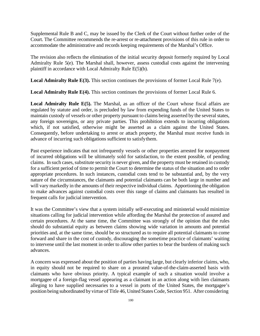Supplemental Rule B and C, may be issued by the Clerk of the Court without further order of the Court. The Committee recommends the re-arrest or re-attachment provisions of this rule in order to accommodate the administrative and records keeping requirements of the Marshal's Office.

The revision also reflects the elimination of the initial security deposit formerly required by Local Admiralty Rule 5(e). The Marshal shall, however, assess custodial costs against the intervening plaintiff in accordance with Local Admiralty Rule E(5)(b).

**Local Admiralty Rule E(3).** This section continues the provisions of former Local Rule 7(e).

**Local Admiralty Rule E(4).** This section continues the provisions of former Local Rule 6.

Local Admiralty Rule E(5). The Marshal, as an officer of the Court whose fiscal affairs are regulated by statute and order, is precluded by law from expending funds of the United States to maintain custody of vessels or other property pursuant to claims being asserted by the several states, any foreign sovereigns, or any private parties. This prohibition extends to incurring obligations which, if not satisfied, otherwise might be asserted as a claim against the United States. Consequently, before undertaking to arrest or attach property, the Marshal must receive funds in advance of incurring such obligations sufficient to satisfythem.

Past experience indicates that not infrequently vessels or other properties arrested for nonpayment of incurred obligations will be ultimately sold for satisfaction, to the extent possible, of pending claims. In such cases, substitute security is never given, and the property must be retained in custody for a sufficient period of time to permit the Court to determine the status of the situation and to order appropriate procedures. In such instances, custodial costs tend to be substantial and, by the very nature of the circumstances, the claimants and potential claimants can be both large in number and will vary markedly in the amounts of their respective individual claims. Apportioning the obligation to make advances against custodial costs over this range of claims and claimants has resulted in frequent calls for judicial intervention.

It was the Committee's view that a system initially self-executing and ministerial would minimize situations calling for judicial intervention while affording the Marshal the protection of assured and certain procedures. At the same time, the Committee was strongly of the opinion that the rules should do substantial equity as between claims showing wide variation in amounts and potential priorities and, at the same time, should be so structured as to require all potential claimants to come forward and share in the cost of custody, discouraging the sometime practice of claimants' waiting to intervene until the last moment in order to allow other parties to bear the burdens of making such advances.

A concern was expressed about the position of parties having large, but clearly inferior claims, who, in equity should not be required to share on a prorated value-of-the-claim-asserted basis with claimants who have obvious priority. A typical example of such a situation would involve a mortgagee of a foreign-flag vessel appearing as a claimant in an action along with lien claimants alleging to have supplied necessaries to a vessel in ports of the United States, the mortgagee's position being subordinated by virtue of Title 46, United States Code, Section 951. After considering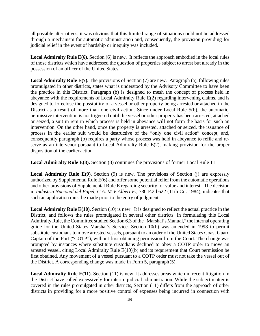all possible alternatives, it was obvious that this limited range of situations could not be addressed through a mechanism for automatic administration and, consequently, the provision providing for judicial relief in the event of hardship or inequity was included.

**Local Admiralty Rule E(6).** Section (6) is new. It reflects the approach embodied in the local rules of those districts which have addressed the question of properties subject to arrest but already in the possession of an officer of the United States.

**Local Admiralty Rule E(7).** The provisions of Section (7) are new. Paragraph (a), following rules promulgated in other districts, states what is understood by the Advisory Committee to have been the practice in this District. Paragraph (b) is designed to mesh the concept of process held in abeyance with the requirements of Local Admiralty Rule E(2) regarding intervening claims, and is designed to foreclose the possibility of a vessel or other property being arrested or attached in the District as a result of more than one civil action. Since under Local Rule 5(b), the automatic, permissive intervention is not triggered until the vessel or other property has been arrested, attached or seized, a suit in rem in which process is held in abeyance will not form the basis for such an intervention. On the other hand, once the property is arrested, attached or seized, the issuance of process in the earlier suit would be destructive of the "only one civil action" concept, and, consequently paragraph (b) requires a party whose process was held in abeyance to refile and reserve as an intervenor pursuant to Local Admiralty Rule E(2), making provision for the proper disposition of the earlier action.

**Local Admiralty Rule E(8).** Section (8) continues the provisions of former Local Rule 11.

Local Admiralty Rule E(9). Section (9) is new. The provisions of Section (j) are expressly authorized by Supplemental Rule E(6) and offer some potential relief from the automatic operations and other provisions of Supplemental Rule E regarding security for value and interest. The decision in *Industria Nacional del Papel, C.A. M V Albert F.,* 730 F.2d 622 (11th Cir. 1984), indicates that such an application must be made prior to the entry of judgment.

**Local Admiralty Rule E(10).** Section (10) is new. It is designed to reflect the actual practice in the District, and follows the rules promulgated in several other districts. In formulating this Local Admiralty Rule, the Committee studied Section 6.3 of the "Marshal's Manual," the internal operating guide for the United States Marshal's Service. Section 10(b) was amended in 1998 to permit substitute custodians to move arrested vessels, pursuant to an order of the United States Coast Guard Captain of the Port ("COTP"), without first obtaining permission from the Court. The change was prompted by instances where substitute custodians declined to obey a COTP order to move an arrested vessel, citing Local Admiralty Rule E(10)(b) and its requirement that Court permission be first obtained. Any movement of a vessel pursuant to a COTP order must not take the vessel out of the District. A corresponding change was made in Form 5, paragraph(5).

Local Admiralty Rule E(11). Section (11) is new. It addresses areas which in recent litigation in the District have called excessively for interim judicial administration. While the subject matter is covered in the rules promulgated in other districts, Section (11) differs from the approach of other districts in providing for a more positive control of expenses being incurred in connection with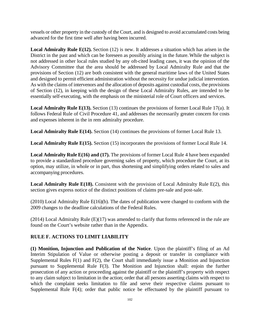vessels or other property in the custody of the Court, and is designed to avoid accumulated costs being advanced for the first time well after having been incurred.

**Local Admiralty Rule E(12).** Section (12) is new. It addresses a situation which has arisen in the District in the past and which can be foreseen as possibly arising in the future. While the subject is not addressed in other local rules studied by any oft-cited leading cases, it was the opinion of the Advisory Committee that the area should be addressed by Local Admiralty Rule and that the provisions of Section (12) are both consistent with the general maritime laws of the United States and designed to permit efficient administration without the necessity for undue judicial intervention. As with the claims of intervenors and the allocation of deposits against custodial costs, the provisions of Section (12), in keeping with the design of these Local Admiralty Rules, are intended to be essentially self-executing, with the emphasis on the ministerial role of Court officers and services.

**Local Admiralty Rule E(13).** Section (13) continues the provisions of former Local Rule 17(a). It follows Federal Rule of Civil Procedure 41, and addresses the necessarily greater concern for costs and expenses inherent in the in rem admiralty procedure.

**Local Admiralty Rule E(14).** Section (14) continues the provisions of former Local Rule 13.

**Local Admiralty Rule E(15).** Section (15) incorporates the provisions of former Local Rule 14.

**Local Admiralty Rule E(16) and (17).** The provisions of former Local Rule 4 have been expanded to provide a standardized procedure governing sales of property, which procedure the Court, at its option, may utilize, in whole or in part, thus shortening and simplifying orders related to sales and accompanying procedures.

Local Admiralty Rule E(18). Consistent with the provision of Local Admiralty Rule E(2), this section gives express notice of the distinct positions of claims pre-sale and post-sale.

(2010) Local Admiralty Rule E(16)(b). The dates of publication were changed to conform with the 2009 changes to the deadline calculations of the Federal Rules.

(2014) Local Admiralty Rule (E)(17) was amended to clarify that forms referenced in the rule are found on the Court's website rather than in the Appendix.

### **RULE F. ACTIONS TO LIMIT LIABILITY**

**(1) Monition, Injunction and Publication of the Notice**. Upon the plaintiff's filing of an Ad Interim Stipulation of Value or otherwise posting a deposit or transfer in compliance with Supplemental Rules F(1) and F(2), the Court shall immediately issue a Monition and Injunction pursuant to Supplemental Rule F(3). The Monition and Injunction shall: enjoin the further prosecution of any action or proceeding against the plaintiff or the plaintiff's property with respect to any claim subject to limitation in the action; order that all persons asserting claims with respect to which the complaint seeks limitation to file and serve their respective claims pursuant to Supplemental Rule F(4); order that public notice be effectuated by the plaintiff pursuant to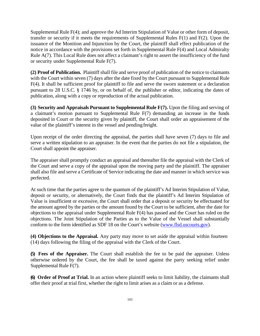Supplemental Rule F(4); and approve the Ad Interim Stipulation of Value or other form of deposit, transfer or security if it meets the requirements of Supplemental Rules F(1) and F(2). Upon the issuance of the Monition and Injunction by the Court, the plaintiff shall effect publication of the notice in accordance with the provisions set forth in Supplemental Rule F(4) and Local Admiralty Rule A(7). This Local Rule does not affect a claimant's right to assert the insufficiency of the fund or security under Supplemental Rule F(7).

**(2) Proof of Publication.** Plaintiffshall file and serve proof of publication of the notice to claimants with the Court within seven (7) days after the date fixed by the Court pursuant to Supplemental Rule F(4). It shall be sufficient proof for plaintiff to file and serve the sworn statement or a declaration pursuant to 28 U.S.C. § 1746 by, or on behalf of, the publisher or editor, indicating the dates of publication, along with a copy or reproduction of the actual publication.

**(3) Security and Appraisals Pursuant to Supplemental Rule F(7).** Upon the filing and serving of a claimant's motion pursuant to Supplemental Rule F(7) demanding an increase in the funds deposited in Court or the security given by plaintiff, the Court shall order an appraisement of the value of the plaintiff's interest in the vessel and pendingfreight.

Upon receipt of the order directing the appraisal, the parties shall have seven (7) days to file and serve a written stipulation to an appraiser. In the event that the parties do not file a stipulation, the Court shall appoint the appraiser.

The appraiser shall promptly conduct an appraisal and thereafter file the appraisal with the Clerk of the Court and serve a copy of the appraisal upon the moving party and the plaintiff. The appraiser shall also file and serve a Certificate of Service indicating the date and manner in which service was perfected.

At such time that the parties agree to the quantum of the plaintiff's Ad Interim Stipulation of Value, deposit or security, or alternatively, the Court finds that the plaintiff's Ad Interim Stipulation of Value is insufficient or excessive, the Court shall order that a deposit or security be effectuated for the amount agreed by the parties or the amount found by the Court to be sufficient, after the date for objections to the appraisal under Supplemental Rule F(4) has passed and the Court has ruled on the objections. The Joint Stipulation of the Parties as to the Value of the Vessel shall substantially conform to the form identified as SDF 18 on the Court's website [\(www.flsd.uscourts.gov\)](http://www.flsd.uscourts.gov/).

**(4) Objections to the Appraisal.** Any party may move to set aside the appraisal within fourteen (14) days following the filing of the appraisal with the Clerk of the Court.

**(5) Fees of the Appraiser.** The Court shall establish the fee to be paid the appraiser. Unless otherwise ordered by the Court, the fee shall be taxed against the party seeking relief under Supplemental Rule F(7).

**(6) Order of Proof at Trial.** In an action where plaintiff seeks to limit liability, the claimants shall offer their proof at trial first, whether the right to limit arises as a claim or as a defense.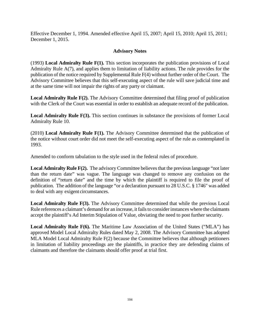Effective December 1, 1994. Amended effective April 15, 2007; April 15, 2010; April 15, 2011; December 1, 2015.

# **Advisory Notes**

(1993) **Local Admiralty Rule F(1).** This section incorporates the publication provisions of Local Admiralty Rule A(7), and applies them to limitation of liability actions. The rule provides for the publication of the notice required by Supplemental Rule F(4) without further order of the Court. The Advisory Committee believes that this self-executing aspect of the rule will save judicial time and at the same time will not impair the rights of any party or claimant.

**Local Admiralty Rule F(2).** The Advisory Committee determined that filing proof of publication with the Clerk of the Court was essential in order to establish an adequate record of the publication.

**Local Admiralty Rule F(3).** This section continues in substance the provisions of former Local Admiralty Rule 10.

(2010) **Local Admiralty Rule F(1).** The Advisory Committee determined that the publication of the notice without court order did not meet the self-executing aspect of the rule as contemplated in 1993.

Amended to conform tabulation to the style used in the federal rules of procedure.

**Local Admiralty Rule F(2).** The advisory Committee believes that the previous language "not later than the return date" was vague. The language was changed to remove any confusion on the definition of "return date" and the time by which the plaintiff is required to file the proof of publication. The addition of the language "or a declaration pursuant to 28 U.S.C. § 1746" was added to deal with any exigent circumstances.

**Local Admiralty Rule F(3).** The Advisory Committee determined that while the previous Local Rule references a claimant's demand for an increase, it fails to consider instances where the claimants accept the plaintiff's Ad Interim Stipulation of Value, obviating the need to post further security.

Local Admiralty Rule F(6). The Maritime Law Association of the United States ("MLA") has approved Model Local Admiralty Rules dated May 2, 2008. The Advisory Committee has adopted MLA Model Local Admiralty Rule F(2) because the Committee believes that although petitioners in limitation of liability proceedings are the plaintiffs, in practice they are defending claims of claimants and therefore the claimants should offer proof at trial first.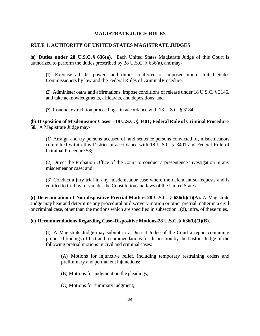### **MAGISTRATE JUDGE RULES**

## **RULE 1. AUTHORITY OF UNITED STATES MAGISTRATE JUDGES**

**(a) Duties under 28 U.S.C. § 636(a).** Each United States Magistrate Judge of this Court is authorized to perform the duties prescribed by 28 U.S.C. § 636(a), andmay-

(1) Exercise all the powers and duties conferred or imposed upon United States Commissioners by law and the Federal Rules of CriminalProcedure;

(2) Administer oaths and affirmations, impose conditions of release under 18 U.S.C. § 3146, and take acknowledgments, affidavits, and depositions; and

(3) Conduct extradition proceedings, in accordance with 18 U.S.C. § 3184.

**(b) Disposition of Misdemeanor Cases—18 U.S.C. § 3401; Federal Rule of Criminal Procedure 58.** A Magistrate Judge may-

(1) Arraign and try persons accused of, and sentence persons convicted of, misdemeanors committed within this District in accordance with 18 U.S.C. § 3401 and Federal Rule of Criminal Procedure 58;

(2) Direct the Probation Office of the Court to conduct a presentence investigation in any misdemeanor case; and

(3) Conduct a jury trial in any misdemeanor case where the defendant so requests and is entitled to trial by jury under the Constitution and laws of the United States.

**(c) Determination of Non-dispositive Pretrial Matters-28 U.S.C. § 636(b)(1)(A).** A Magistrate Judge may hear and determine any procedural or discovery motion or other pretrial matter in a civil or criminal case, other than the motions which are specified in subsection 1(d), infra, of these rules.

### **(d) Recommendations Regarding Case–Dispositive Motions-28 U.S.C. § 636(b)(1)(B).**

(1) A Magistrate Judge may submit to a District Judge of the Court a report containing proposed findings of fact and recommendations for disposition by the District Judge of the following pretrial motions in civil and criminal cases:

(A) Motions for injunctive relief, including temporary restraining orders and preliminary and permanent injunctions;

(B) Motions for judgment on the pleadings;

(C) Motions for summary judgment;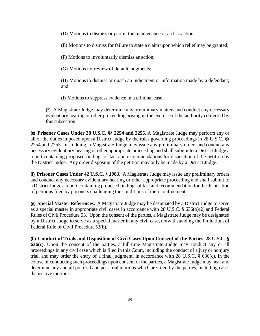(D) Motions to dismiss or permit the maintenance of a class action;

(E) Motions to dismiss for failure to state a claim upon which relief may be granted;

(F) Motions to involuntarily dismiss an action;

(G) Motions for review of default judgments;

(H) Motions to dismiss or quash an indictment or information made by a defendant; and

(I) Motions to suppress evidence in a criminal case.

(2) A Magistrate Judge may determine any preliminary matters and conduct any necessary evidentiary hearing or other proceeding arising in the exercise of the authority conferred by this subsection.

**(e) Prisoner Cases Under 28 U.S.C. §§ 2254 and 2255.** A Magistrate Judge may perform any or all of the duties imposed upon a District Judge by the rules governing proceedings in 28 U.S.C. §§ 2254 and 2255. In so doing, a Magistrate Judge may issue any preliminary orders and conductany necessary evidentiary hearing or other appropriate proceeding and shall submit to a District Judge a report containing proposed findings of fact and recommendations for disposition of the petition by the District Judge. Any order disposing of the petition may only be made by a District Judge.

**(f) Prisoner Cases Under 42 U.S.C. § 1983.** A Magistrate Judge may issue any preliminary orders and conduct any necessary evidentiary hearing or other appropriate proceeding and shall submit to a District Judge a report containing proposed findings of fact and recommendation for the disposition of petitions filed by prisoners challenging the conditions of their confinement.

**(g) Special Master References.** A Magistrate Judge may be designated by a District Judge to serve as a special master in appropriate civil cases in accordance with 28 U.S.C. § 636(b)(2) and Federal Rules of Civil Procedure 53. Upon the consent of the parties, a Magistrate Judge may be designated by a District Judge to serve as a special master in any civil case, notwithstanding the limitationsof Federal Rule of Civil Procedure 53(b).

**(h) Conduct of Trials and Disposition of Civil Cases Upon Consent of the Parties–28 U.S.C. § 636(c).** Upon the consent of the parties, a full-time Magistrate Judge may conduct any or all proceedings in any civil case which is filed in this Court, including the conduct of a jury or nonjury trial, and may order the entry of a final judgment, in accordance with 28 U.S.C. § 636(c). In the course of conducting such proceedings upon consent of the parties, a Magistrate Judge may hear and determine any and all pre-trial and post-trial motions which are filed by the parties, including casedispositive motions.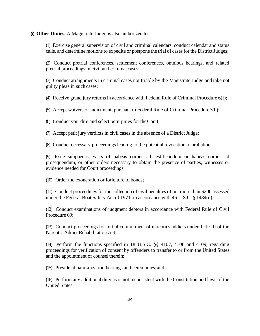#### **(i) Other Duties.** A Magistrate Judge is also authorized to-

(1) Exercise general supervision of civil and criminal calendars, conduct calendar and status calls, and determine motions to expedite or postpone the trial of cases for the District Judges;

(2) Conduct pretrial conferences, settlement conferences, omnibus hearings, and related pretrial proceedings in civil and criminal cases;

(3) Conduct arraignments in criminal cases not triable by the Magistrate Judge and take not guilty pleas in such cases;

(4) Receive grand jury returns in accordance with Federal Rule of Criminal Procedure 6(f);

(5) Accept waivers of indictment, pursuant to Federal Rule of Criminal Procedure  $7(b)$ ;

(6) Conduct voir dire and select petit juries for theCourt;

(7) Accept petit jury verdicts in civil cases in the absence of a District Judge;

(8) Conduct necessary proceedings leading to the potential revocation of probation;

(9) Issue subpoenas, writs of habeas corpus ad testificandum or habeas corpus ad prosequendum, or other orders necessary to obtain the presence of parties, witnesses or evidence needed for Court proceedings;

(10) Order the exoneration or forfeiture of bonds;

(11) Conduct proceedings for the collection of civil penalties of not more than \$200 assessed under the Federal Boat Safety Act of 1971, in accordance with 46 U.S.C. § 1484(d);

(12) Conduct examinations of judgment debtors in accordance with Federal Rule of Civil Procedure 69;

(13) Conduct proceedings for initial commitment of narcotics addicts under Title III of the Narcotic Addict Rehabilitation Act;

(14) Perform the functions specified in 18 U.S.C. §§ 4107, 4108 and 4109, regarding proceedings for verification of consent by offenders to transfer to or from the United States and the appointment of counsel therein;

(15) Preside at naturalization hearings and ceremonies; and

(16) Perform any additional duty as is not inconsistent with the Constitution and laws of the United States.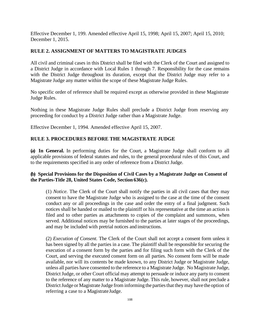Effective December 1, 199. Amended effective April 15, 1998; April 15, 2007; April 15, 2010; December 1, 2015.

# **RULE 2. ASSIGNMENT OF MATTERS TO MAGISTRATE JUDGES**

All civil and criminal cases in this District shall be filed with the Clerk of the Court and assigned to a District Judge in accordance with Local Rules 1 through 7. Responsibility for the case remains with the District Judge throughout its duration, except that the District Judge may refer to a Magistrate Judge any matter within the scope of these Magistrate Judge Rules.

No specific order of reference shall be required except as otherwise provided in these Magistrate Judge Rules.

Nothing in these Magistrate Judge Rules shall preclude a District Judge from reserving any proceeding for conduct by a District Judge rather than a Magistrate Judge.

Effective December 1, 1994. Amended effective April 15, 2007.

# **RULE 3. PROCEDURES BEFORE THE MAGISTRATE JUDGE**

**(a) In General.** In performing duties for the Court, a Magistrate Judge shall conform to all applicable provisions of federal statutes and rules, to the general procedural rules of this Court, and to the requirements specified in any order of reference from a District Judge.

# **(b) Special Provisions for the Disposition of Civil Cases by a Magistrate Judge on Consent of the Parties-Title 28, United States Code, Section 636(c).**

(1) *Notice.* The Clerk of the Court shall notify the parties in all civil cases that they may consent to have the Magistrate Judge who is assigned to the case at the time of the consent conduct any or all proceedings in the case and order the entry of a final judgment. Such notices shall be handed or mailed to the plaintiff or his representative at the time an action is filed and to other parties as attachments to copies of the complaint and summons, when served. Additional notices may be furnished to the parties at later stages of the proceedings, and may be included with pretrial notices and instructions.

(2) *Execution of Consent.* The Clerk of the Court shall not accept a consent form unless it has been signed by all the parties in a case. The plaintiff shall be responsible for securing the execution of a consent form by the parties and for filing such form with the Clerk of the Court, and serving the executed consent form on all parties. No consent form will be made available, nor will its contents be made known, to any District Judge or Magistrate Judge, unless all parties have consented to the reference to a Magistrate Judge. No Magistrate Judge, District Judge, or other Court official may attempt to persuade or induce any party to consent to the reference of any matter to a Magistrate Judge. This rule, however, shall not preclude a District Judge or Magistrate Judge from informing the parties that they may have the option of referring a case to a MagistrateJudge.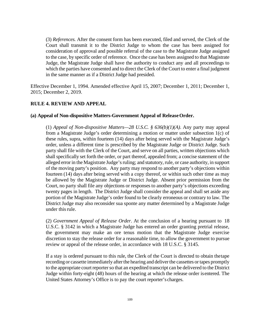(3) *References.* After the consent form has been executed, filed and served, the Clerk of the Court shall transmit it to the District Judge to whom the case has been assigned for consideration of approval and possible referral of the case to the Magistrate Judge assigned to the case, by specific order of reference. Once the case has been assigned to that Magistrate Judge, the Magistrate Judge shall have the authority to conduct any and all proceedings to which the parties have consented and to direct the Clerk of the Court to enter a final judgment in the same manner as if a District Judge had presided.

Effective December 1, 1994. Amended effective April 15, 2007; December 1, 2011; December 1, 2015; December 2, 2019.

#### **RULE 4. REVIEW AND APPEAL**

#### **(a) Appeal of Non-dispositive Matters-Government Appeal of ReleaseOrder.**

(1) *Appeal of Non-dispositive Matters—28 U.S.C. § 636(b)(1)(A)*. Any party may appeal from a Magistrate Judge's order determining a motion or matter under subsection 1(c) of these rules, supra, within fourteen (14) days after being served with the Magistrate Judge's order, unless a different time is prescribed by the Magistrate Judge or District Judge. Such party shall file with the Clerk of the Court, and serve on all parties, written objections which shall specifically set forth the order, or part thereof, appealed from; a concise statement of the alleged error in the Magistrate Judge's ruling; and statutory, rule, or case authority, in support of the moving party's position. Any party may respond to another party's objections within fourteen (14) days after being served with a copy thereof, or within such other time as may be allowed by the Magistrate Judge or District Judge. Absent prior permission from the Court, no party shall file any objections or responses to another party's objections exceeding twenty pages in length. The District Judge shall consider the appeal and shall set aside any portion of the Magistrate Judge's order found to be clearly erroneous or contrary to law. The District Judge may also reconsider sua sponte any matter determined by a Magistrate Judge under this rule.

(2) *Government Appeal of Release Order*. At the conclusion of a hearing pursuant to 18 U.S.C. § 3142 in which a Magistrate Judge has entered an order granting pretrial release, the government may make an ore tenus motion that the Magistrate Judge exercise discretion to stay the release order for a reasonable time, to allow the government to pursue review or appeal of the release order, in accordance with 18 U.S.C. § 3145.

If a stay is ordered pursuant to this rule, the Clerk of the Court is directed to obtain thetape recording or cassette immediately after the hearing and deliver the cassettes or tapes promptly to the appropriate court reporter so that an expedited transcript can be delivered to the District Judge within forty-eight (48) hours of the hearing at which the release order isentered. The United States Attorney's Office is to pay the court reporter's charges.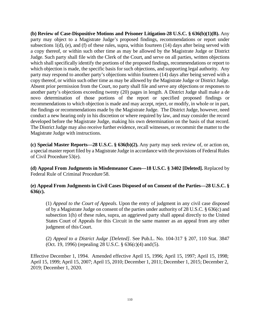**(b) Review of Case-Dispositive Motions and Prisoner Litigation-28 U.S.C. § 636(b)(1)(B).** Any party may object to a Magistrate Judge's proposed findings, recommendations or report under subsections 1(d), (e), and (f) of these rules, supra, within fourteen (14) days after being served with a copy thereof, or within such other time as may be allowed by the Magistrate Judge or District Judge. Such party shall file with the Clerk of the Court, and serve on all parties, written objections which shall specifically identify the portions of the proposed findings, recommendations or report to which objection is made, the specific basis for such objections, and supporting legal authority. Any party may respond to another party's objections within fourteen (14) days after being served with a copy thereof, or within such other time as may be allowed by the Magistrate Judge or District Judge. Absent prior permission from the Court, no party shall file and serve any objections or responses to another party's objections exceeding twenty (20) pages in length. A District Judge shall make a de novo determination of those portions of the report or specified proposed findings or recommendations to which objection is made and may accept, reject, or modify, in whole or in part, the findings or recommendations made by the Magistrate Judge. The District Judge, however, need conduct a new hearing only in his discretion or where required by law, and may consider the record developed before the Magistrate Judge, making his own determination on the basis of that record. The District Judge may also receive further evidence, recall witnesses, or recommit the matter to the Magistrate Judge with instructions.

**(c) Special Master Reports—28 U.S.C. § 636(b)(2).** Any party may seek review of, or action on, a special master report filed by a Magistrate Judge in accordance with the provisions of Federal Rules of Civil Procedure 53(e).

**(d) Appeal From Judgments in Misdemeanor Cases—18 U.S.C. § 3402 [Deleted].** Replaced by Federal Rule of Criminal Procedure 58.

### **(e) Appeal From Judgments in Civil Cases Disposed of on Consent of the Parties—28 U.S.C. § 636(c).**

(1) *Appeal to the Court of Appeals*. Upon the entry of judgment in any civil case disposed of by a Magistrate Judge on consent of the parties under authority of 28 U.S.C. § 636(c) and subsection 1(h) of these rules, supra, an aggrieved party shall appeal directly to the United States Court of Appeals for this Circuit in the same manner as an appeal from any other judgment of this Court.

(2) *Appeal to a District Judge [Deleted]*. See Pub.L. No. 104-317 § 207, 110 Stat. 3847 (Oct. 19, 1996) (repealing 28 U.S.C. § 636(c)(4) and(5).

Effective December 1, 1994. Amended effective April 15, 1996; April 15, 1997; April 15, 1998; April 15, 1999; April 15, 2007; April 15, 2010; December 1, 2011; December 1, 2015; December 2, 2019; December 1, 2020.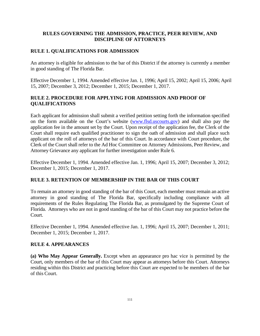### **RULES GOVERNING THE ADMISSION, PRACTICE, PEER REVIEW, AND DISCIPLINE OF ATTORNEYS**

### **RULE 1. QUALIFICATIONS FOR ADMISSION**

An attorney is eligible for admission to the bar of this District if the attorney is currently a member in good standing of The Florida Bar.

Effective December 1, 1994. Amended effective Jan. 1, 1996; April 15, 2002; April 15, 2006; April 15, 2007; December 3, 2012; December 1, 2015; December 1, 2017.

## **RULE 2. PROCEDURE FOR APPLYING FOR ADMISSION AND PROOF OF QUALIFICATIONS**

Each applicant for admission shall submit a verified petition setting forth the information specified on the form available on the Court's website (www.flsd.uscourts.gov) and shall also pay the application fee in the amount set by the Court. Upon receipt of the application fee, the Clerk of the Court shall require each qualified practitioner to sign the oath of admission and shall place such applicant on the roll of attorneys of the bar of this Court. In accordance with Court procedure, the Clerk of the Court shall refer to the Ad Hoc Committee on Attorney Admissions, Peer Review, and Attorney Grievance any applicant for further investigation under Rule 6.

Effective December 1, 1994. Amended effective Jan. 1, 1996; April 15, 2007; December 3, 2012; December 1, 2015; December 1, 2017.

## **RULE 3. RETENTION OF MEMBERSHIP IN THE BAR OF THIS COURT**

To remain an attorney in good standing of the bar of this Court, each member must remain an active attorney in good standing of The Florida Bar, specifically including compliance with all requirements of the Rules Regulating The Florida Bar, as promulgated by the Supreme Court of Florida. Attorneys who are not in good standing of the bar of this Court may not practice before the Court.

Effective December 1, 1994. Amended effective Jan. 1, 1996; April 15, 2007; December 1, 2011; December 1, 2015; December 1, 2017.

### **RULE 4. APPEARANCES**

**(a) Who May Appear Generally.** Except when an appearance pro hac vice is permitted by the Court, only members of the bar of this Court may appear as attorneys before this Court. Attorneys residing within this District and practicing before this Court are expected to be members of the bar of this Court.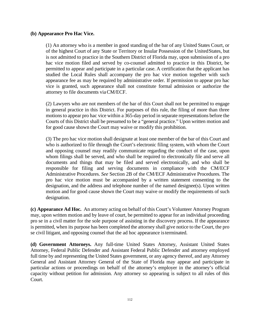### **(b) Appearance Pro Hac Vice.**

(1) An attorney who is a member in good standing of the bar of any United States Court, or of the highest Court of any State or Territory or Insular Possession of the UnitedStates, but is not admitted to practice in the Southern District of Florida may, upon submission of a pro hac vice motion filed and served by co-counsel admitted to practice in this District, be permitted to appear and participate in a particular case. A certification that the applicant has studied the Local Rules shall accompany the pro hac vice motion together with such appearance fee as may be required by administrative order. If permission to appear pro hac vice is granted, such appearance shall not constitute formal admission or authorize the attorney to file documents viaCM/ECF.

(2) Lawyers who are not members of the bar of this Court shall not be permitted to engage in general practice in this District. For purposes of this rule, the filing of more than three motions to appear pro hac vice within a 365-day period in separate representations before the Courts of this District shall be presumed to be a "general practice." Upon written motion and for good cause shown the Court may waive or modify this prohibition.

(3) The pro hac vice motion shall designate at least one member of the bar of this Court and who is authorized to file through the Court's electronic filing system, with whom the Court and opposing counsel may readily communicate regarding the conduct of the case, upon whom filings shall be served, and who shall be required to electronically file and serve all documents and things that may be filed and served electronically, and who shall be responsible for filing and serving documents in compliance with the CM/ECF Administrative Procedures. *See* Section 2B of the CM/ECF Administrative Procedures. The pro hac vice motion must be accompanied by a written statement consenting to the designation, and the address and telephone number of the named designee(s). Upon written motion and for good cause shown the Court may waive or modify the requirements of such designation.

**(c) Appearance Ad Hoc.** An attorney acting on behalf of this Court's Volunteer Attorney Program may, upon written motion and by leave of court, be permitted to appear for an individual proceeding pro se in a civil matter for the sole purpose of assisting in the discovery process. If the appearance is permitted, when its purpose has been completed the attorney shall give notice to the Court, the pro se civil litigant, and opposing counsel that the ad hoc appearance isterminated.

**(d) Government Attorneys.** Any full-time United States Attorney, Assistant United States Attorney, Federal Public Defender and Assistant Federal Public Defender and attorney employed full time by and representing the United States government, or any agency thereof, and any Attorney General and Assistant Attorney General of the State of Florida may appear and participate in particular actions or proceedings on behalf of the attorney's employer in the attorney's official capacity without petition for admission. Any attorney so appearing is subject to all rules of this Court.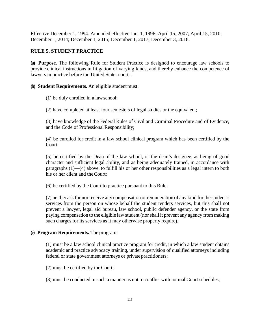Effective December 1, 1994. Amended effective Jan. 1, 1996; April 15, 2007; April 15, 2010; December 1, 2014; December 1, 2015; December 1, 2017; December 3, 2018.

## **RULE 5. STUDENT PRACTICE**

**(a) Purpose.** The following Rule for Student Practice is designed to encourage law schools to provide clinical instructions in litigation of varying kinds, and thereby enhance the competence of lawyers in practice before the United States courts.

### **(b) Student Requirements.** An eligible student must:

- (1) be duly enrolled in a lawschool;
- (2) have completed at least four semesters of legal studies or the equivalent;

(3) have knowledge of the Federal Rules of Civil and Criminal Procedure and of Evidence, and the Code of Professional Responsibility;

(4) be enrolled for credit in a law school clinical program which has been certified by the Court;

(5) be certified by the Dean of the law school, or the dean's designee, as being of good character and sufficient legal ability, and as being adequately trained, in accordance with paragraphs (1)—(4) above, to fulfill his or her other responsibilities as a legal intern to both his or her client and theCourt;

(6) be certified by the Court to practice pursuant to this Rule;

(7) neither ask for nor receive any compensation or remuneration of any kind for the student's services from the person on whose behalf the student renders services, but this shall not prevent a lawyer, legal aid bureau, law school, public defender agency, or the state from paying compensation to the eligible law student (norshall it prevent any agency from making such charges for its services as it may otherwise properly require).

### **(c) Program Requirements.** The program:

(1) must be a law school clinical practice program for credit, in which a law student obtains academic and practice advocacy training, under supervision of qualified attorneys including federal or state government attorneys or private practitioners;

(2) must be certified by theCourt;

(3) must be conducted in such a manner as not to conflict with normal Court schedules;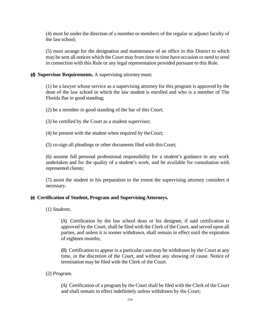(4) must be under the direction of a member or members of the regular or adjunct faculty of the law school;

(5) must arrange for the designation and maintenance of an office in this District to which may be sent all notices which the Court may from time to time have occasion or need to send in connection with this Rule or any legal representation provided pursuant to this Rule.

### **(d) Supervisor Requirements.** A supervising attorney must:

(1) be a lawyer whose service as a supervising attorney for this program is approved by the dean of the law school in which the law student is enrolled and who is a member of The Florida Bar in good standing;

(2) be a member in good standing of the bar of this Court;

(3) be certified by the Court as a student supervisor;

(4) be present with the student when required by theCourt;

(5) co-sign all pleadings or other documents filed with thisCourt;

(6) assume full personal professional responsibility for a student's guidance in any work undertaken and for the quality of a student's work, and be available for consultation with represented clients;

(7) assist the student in his preparation to the extent the supervising attorney considers it necessary.

#### **(e) Certification of Student, Program and Supervising Attorneys.**

#### (1) *Students*.

(A) Certification by the law school dean or his designee, if said certification is approved by the Court, shall be filed with the Clerk of the Court, and served upon all parties, and unless it is sooner withdrawn, shall remain in effect until the expiration of eighteen months;

(B) Certification to appear in a particular case may be withdrawn by the Court at any time, in the discretion of the Court, and without any showing of cause. Notice of termination may be filed with the Clerk of the Court.

### (2) *Program*.

(A) Certification of a program by the Court shall be filed with the Clerk of the Court and shall remain in effect indefinitely unless withdrawn by the Court;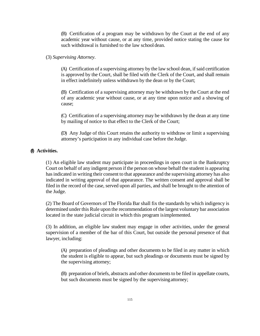(B) Certification of a program may be withdrawn by the Court at the end of any academic year without cause, or at any time, provided notice stating the cause for such withdrawal is furnished to the law school dean.

#### (3) *Supervising Attorney*.

(A) Certification of a supervising attorney by the law school dean, if said certification is approved by the Court, shall be filed with the Clerk of the Court, and shall remain in effect indefinitely unless withdrawn by the dean or by the Court;

(B) Certification of a supervising attorney may be withdrawn by the Court at the end of any academic year without cause, or at any time upon notice and a showing of cause;

(C) Certification of a supervising attorney may be withdrawn by the dean at any time by mailing of notice to that effect to the Clerk of the Court;

(D) Any Judge of this Court retains the authority to withdraw or limit a supervising attorney's participation in any individual case before the Judge.

### **(f) Activities.**

(1) An eligible law student may participate in proceedings in open court in the Bankruptcy Court on behalf of any indigent person if the person on whose behalf the student is appearing hasindicated in writing their consent to that appearance and the supervising attorney has also indicated in writing approval of that appearance. The written consent and approval shall be filed in the record of the case, served upon all parties, and shall be brought to the attention of the Judge.

(2) The Board of Governors of The Florida Bar shall fix the standards by which indigency is determined under this Rule upon the recommendation of the largest voluntary bar association located in the state judicial circuit in which this program isimplemented.

(3) In addition, an eligible law student may engage in other activities, under the general supervision of a member of the bar of this Court, but outside the personal presence of that lawyer, including:

(A) preparation of pleadings and other documents to be filed in any matter in which the student is eligible to appear, but such pleadings or documents must be signed by the supervising attorney;

(B) preparation of briefs, abstracts and other documents to be filed in appellate courts, but such documents must be signed by the supervisingattorney;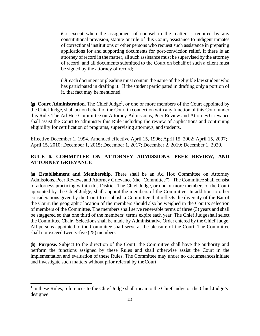(C) except when the assignment of counsel in the matter is required by any constitutional provision, statute or rule of this Court, assistance to indigent inmates of correctional institutions or other persons who request such assistance in preparing applications for and supporting documents for post-conviction relief. If there is an attorney of record in the matter, all such assistance must be supervised by the attorney of record, and all documents submitted to the Court on behalf of such a client must be signed by the attorney of record;

(D) each document or pleading must contain the name of the eligible law student who has participated in drafting it. If the student participated in drafting only a portion of it, that fact may be mentioned.

(g) **Court Administration.** The Chief Judge<sup>1</sup>, or one or more members of the Court appointed by the Chief Judge, shall act on behalf of the Court in connection with any function of this Court under this Rule. The Ad Hoc Committee on Attorney Admissions, Peer Review and AttorneyGrievance shall assist the Court to administer this Rule including the review of applications and continuing eligibility for certification of programs, supervising attorneys, andstudents.

Effective December 1, 1994. Amended effective April 15, 1996; April 15, 2002; April 15, 2007; April 15, 2010; December 1, 2015; December 1, 2017; December 2, 2019; December 1, 2020.

## **RULE 6. COMMITTEE ON ATTORNEY ADMISSIONS, PEER REVIEW, AND ATTORNEY GRIEVANCE**

**(a) Establishment and Membership.** There shall be an Ad Hoc Committee on Attorney Admissions, Peer Review, and Attorney Grievance (the "Committee"). The Committee shall consist of attorneys practicing within this District. The Chief Judge, or one or more members of the Court appointed by the Chief Judge, shall appoint the members of the Committee. In addition to other considerations given by the Court to establish a Committee that reflects the diversity of the Bar of the Court, the geographic location of the members should also be weighed in the Court's selection of members of the Committee. The members shall serve renewable terms of three (3) years and shall be staggered so that one third of the members' terms expire each year. The Chief Judgeshall select the Committee Chair. Selections shall be made by Administrative Order entered by the Chief Judge. All persons appointed to the Committee shall serve at the pleasure of the Court. The Committee shall not exceed twenty-five (25) members.

**(b) Purpose.** Subject to the direction of the Court, the Committee shall have the authority and perform the functions assigned by these Rules and shall otherwise assist the Court in the implementation and evaluation of these Rules. The Committee may under no circumstancesinitiate and investigate such matters without prior referral by theCourt.

<span id="page-115-0"></span><sup>&</sup>lt;sup>1</sup> In these Rules, references to the Chief Judge shall mean to the Chief Judge or the Chief Judge's designee.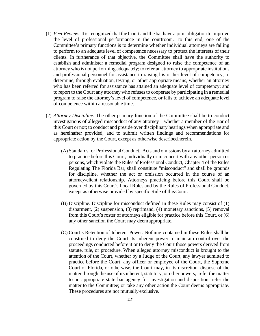- (1) *Peer Review*. It isrecognized that theCourt and the bar have a joint obligation to improve the level of professional performance in the courtroom. To this end, one of the Committee's primary functions is to determine whether individual attorneys are failing to perform to an adequate level of competence necessary to protect the interests of their clients. In furtherance of that objective, the Committee shall have the authority to establish and administer a remedial program designed to raise the competence of an attorney who is not performing adequately; to refer an attorney to appropriate institutions and professional personnel for assistance in raising his or her level of competency; to determine, through evaluation, testing, or other appropriate means, whether an attorney who has been referred for assistance has attained an adequate level of competency; and to report to the Court any attorney who refuses to cooperate by participating in a remedial program to raise the attorney's level of competence, or fails to achieve an adequate level of competence within a reasonable time.
- (2) *Attorney Discipline*. The other primary function of the Committee shall be to conduct investigations of alleged misconduct of any attorney—whether a member of the Bar of this Court or not; to conduct and preside over disciplinary hearings when appropriate and as hereinafter provided; and to submit written findings and recommendations for appropriate action by the Court, except as otherwise describedherein.
	- (A) Standardsfor Professional Conduct. Acts and omissions by an attorney admitted to practice before this Court, individually or in concert with any other person or persons, which violate the Rules of Professional Conduct, Chapter 4 of the Rules Regulating The Florida Bar, shall constitute "misconduct" and shall be grounds for discipline, whether the act or omission occurred in the course of an attorney/client relationship. Attorneys practicing before this Court shall be governed by this Court's Local Rules and by the Rules of Professional Conduct, except as otherwise provided by specific Rule of thisCourt.
	- (B) Discipline. Discipline for misconduct defined in these Rules may consist of (1) disbarment, (2) suspension, (3) reprimand, (4) monetary sanctions, (5) removal from this Court's roster of attorneys eligible for practice before this Court, or (6) any other sanction the Court may deemappropriate.
	- (C) Court's Retention of Inherent Power. Nothing contained in these Rules shall be construed to deny the Court its inherent power to maintain control over the proceedings conducted before it or to deny the Court those powers derived from statute, rule, or procedure. When alleged attorney misconduct is brought to the attention of the Court, whether by a Judge of the Court, any lawyer admitted to practice before the Court, any officer or employee of the Court, the Supreme Court of Florida, or otherwise, the Court may, in its discretion, dispose of the matter through the use of its inherent, statutory, or other powers; refer the matter to an appropriate state bar agency for investigation and disposition; refer the matter to the Committee; or take any other action the Court deems appropriate. These procedures are not mutually exclusive.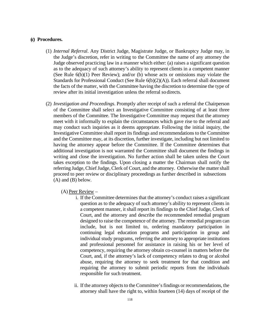#### **(c) Procedures.**

- (1) *Internal Referral*. Any District Judge, Magistrate Judge, or Bankruptcy Judge may, in the Judge's discretion, refer in writing to the Committee the name of any attorney the Judge observed practicing law in a manner which either: (a) raises a significant question as to the adequacy of such attorney's ability to represent clients in a competent manner (See Rule 6(b)(1) Peer Review); and/or (b) whose acts or omissions may violate the Standards for Professional Conduct (See Rule 6(b)(2)(A)). Each referral shall document the facts of the matter, with the Committee having the discretion to determine the type of review after its initial investigation unless the referral so directs.
- (2) *Investigation and Proceedings*. Promptly after receipt of such a referral the Chairperson of the Committee shall select an Investigative Committee consisting of at least three members of the Committee. The Investigative Committee may request that the attorney meet with it informally to explain the circumstances which gave rise to the referral and may conduct such inquiries as it deems appropriate. Following the initial inquiry, the Investigative Committee shall report its findings and recommendations to the Committee and the Committee may, at its discretion, further investigate, including but not limited to having the attorney appear before the Committee. If the Committee determines that additional investigation is not warranted the Committee shall document the findings in writing and close the investigation. No further action shall be taken unless the Court takes exception to the findings. Upon closing a matter the Chairman shall notify the referring Judge, Chief Judge, Clerk of Court, and the attorney. Otherwise the matter shall proceed to peer review or disciplinary proceedings as further described in subsections (A) and (B) below.
	- (A) Peer Review *–*
		- i. If the Committee determines that the attorney's conduct raises a significant question as to the adequacy of such attorney's ability to represent clients in a competent manner, it shall report its findings to the Chief Judge, Clerk of Court, and the attorney and describe the recommended remedial program designed to raise the competence of the attorney. The remedial program can include, but is not limited to, ordering mandatory participation in continuing legal education programs and participation in group and individual study programs, referring the attorney to appropriate institutions and professional personnel for assistance in raising his or her level of competency, requiring the attorney obtain co-counsel in matters before the Court, and, if the attorney's lack of competency relates to drug or alcohol abuse, requiring the attorney to seek treatment for that condition and requiring the attorney to submit periodic reports from the individuals responsible for such treatment.
		- ii. If the attorney objects to the Committee's findings or recommendations, the attorney shall have the right to, within fourteen (14) days of receipt of the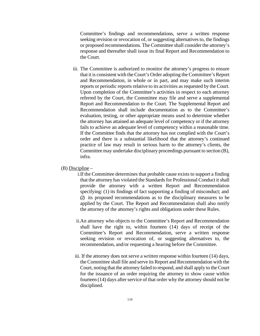Committee's findings and recommendations, serve a written response seeking revision or revocation of, or suggesting alternatives to, the findings or proposed recommendations. The Committee shall consider the attorney's response and thereafter shall issue its final Report and Recommendation to the Court.

- iii. The Committee is authorized to monitor the attorney's progress to ensure that it is consistent with theCourt's Order adopting theCommittee's Report and Recommendation, in whole or in part, and may make such interim reports or periodic reports relative to its activities as requested by the Court. Upon completion of the Committee's activities in respect to each attorney referred by the Court, the Committee may file and serve a supplemental Report and Recommendation to the Court. The Supplemental Report and Recommendation shall include documentation as to the Committee's evaluation, testing, or other appropriate means used to determine whether the attorney has attained an adequate level of competency or if the attorney fails to achieve an adequate level of competency within a reasonable time. If the Committee finds that the attorney has not complied with the Court's order and there is a substantial likelihood that the attorney's continued practice of law may result in serious harm to the attorney's clients, the Committee may undertake disciplinary proceedings pursuant to section (B), infra.
- (B) Discipline
	- i.If the Committee determines that probable cause exists to support a finding that the attorney has violated the Standards for Professional Conduct it shall provide the attorney with a written Report and Recommendation specifying: (1) its findings of fact supporting a finding of misconduct; and (2) its proposed recommendations as to the disciplinary measures to be applied by the Court. The Report and Recommendation shall also notify the attorney of the attorney's rights and obligations under these Rules.
	- ii.An attorney who objects to the Committee's Report and Recommendation shall have the right to, within fourteen (14) days of receipt of the Committee's Report and Recommendation, serve a written response seeking revision or revocation of, or suggesting alternatives to, the recommendation, and/or requesting a hearing before the Committee.
	- iii. If the attorney does not serve a written response within fourteen (14) days, the Committee shall file and serve its Report and Recommendation with the Court, noting that the attorney failed to respond, and shall apply to the Court for the issuance of an order requiring the attorney to show cause within fourteen (14) days after service of that order why the attorney should not be disciplined.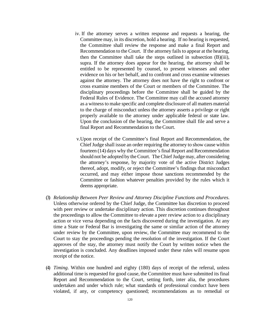- iv. If the attorney serves a written response and requests a hearing, the Committee may, in its discretion, hold a hearing. If no hearing is requested, the Committee shall review the response and make a final Report and Recommendation to the Court. If the attorney fails to appear at the hearing, then the Committee shall take the steps outlined in subsection (B)(iii), supra. If the attorney does appear for the hearing, the attorney shall be entitled to be represented by counsel, to present witnesses and other evidence on his or her behalf, and to confront and cross examine witnesses against the attorney. The attorney does not have the right to confront or cross examine members of the Court or members of the Committee. The disciplinary proceedings before the Committee shall be guided by the Federal Rules of Evidence. The Committee may call the accused attorney as a witnessto make specific and complete disclosure of all matters material to the charge of misconduct unless the attorney asserts a privilege or right properly available to the attorney under applicable federal or state law. Upon the conclusion of the hearing, the Committee shall file and serve a final Report and Recommendation to theCourt.
- v.Upon receipt of the Committee's final Report and Recommendation, the Chief Judge shall issue an order requiring the attorney to show cause within fourteen (14) days why the Committee's final Report and Recommendation should not be adopted by the Court. The Chief Judge may, after considering the attorney's response, by majority vote of the active District Judges thereof, adopt, modify, or reject the Committee's findings that misconduct occurred, and may either impose those sanctions recommended by the Committee or fashion whatever penalties provided by the rules which it deems appropriate.
- (3) *Relationship Between Peer Review and Attorney Discipline Functions and Procedures*. Unless otherwise ordered by the Chief Judge, the Committee has discretion to proceed with peer review or undertake disciplinary action. This discretion continues throughout the proceedings to allow the Committee to elevate a peer review action to a disciplinary action or vice versa depending on the facts discovered during the investigation. At any time a State or Federal Bar is investigating the same or similar action of the attorney under review by the Committee, upon review, the Committee may recommend to the Court to stay the proceedings pending the resolution of the investigation. If the Court approves of the stay, the attorney must notify the Court by written notice when the investigation is concluded. Any deadlines imposed under these rules will resume upon receipt of the notice.
- (4) *Timing*. Within one hundred and eighty (180) days of receipt of the referral, unless additional time is requested for good cause, the Committee must have submitted its final Report and Recommendation to the Court, setting forth, inter alia, the procedures undertaken and under which rule; what standards of professional conduct have been violated, if any, or competency questioned; recommendations as to remedial or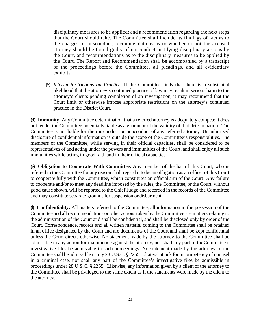disciplinary measures to be applied; and a recommendation regarding the next steps that the Court should take. The Committee shall include its findings of fact as to the charges of misconduct, recommendations as to whether or not the accused attorney should be found guilty of misconduct justifying disciplinary actions by the Court, and recommendations as to the disciplinary measures to be applied by the Court. The Report and Recommendation shall be accompanied by a transcript of the proceedings before the Committee, all pleadings, and all evidentiary exhibits.

(5) *Interim Restrictions on Practice*. If the Committee finds that there is a substantial likelihood that the attorney's continued practice of law may result in serious harm to the attorney's clients pending completion of an investigation, it may recommend that the Court limit or otherwise impose appropriate restrictions on the attorney's continued practice in the District Court.

**(d) Immunity.** Any Committee determination that a referred attorney is adequately competent does not render the Committee potentially liable as a guarantor of the validity of that determination. The Committee is not liable for the misconduct or nonconduct of any referred attorney. Unauthorized disclosure of confidential information is outside the scope of the Committee's responsibilities. The members of the Committee, while serving in their official capacities, shall be considered to be representatives of and acting under the powers and immunities of the Court, and shall enjoy all such immunities while acting in good faith and in their official capacities.

**(e) Obligation to Cooperate With Committee.** Any member of the bar of this Court, who is referred to the Committee for any reason shall regard it to be an obligation as an officer of this Court to cooperate fully with the Committee, which constitutes an official arm of the Court. Any failure to cooperate and/or to meet any deadline imposed by the rules, the Committee, or the Court, without good cause shown, will be reported to the Chief Judge and recorded in the records of the Committee and may constitute separate grounds for suspension or disbarment.

**(f) Confidentiality.** All matters referred to the Committee, all information in the possession of the Committee and all recommendations or other actions taken by the Committee are matters relating to the administration of the Court and shall be confidential, and shall be disclosed only by order of the Court. Correspondence, records and all written material coming to the Committee shall be retained in an office designated by the Court and are documents of the Court and shall be kept confidential unless the Court directs otherwise. No statement made by the attorney to the Committee shall be admissible in any action for malpractice against the attorney, nor shall any part of theCommittee's investigative files be admissible in such proceedings. No statement made by the attorney to the Committee shall be admissible in any 28 U.S.C. § 2255 collateral attack for incompetency of counsel in a criminal case, nor shall any part of the Committee's investigative files be admissible in proceedings under 28 U.S.C. § 2255. Likewise, any information given by a client of the attorney to the Committee shall be privileged to the same extent as if the statements were made by the client to the attorney.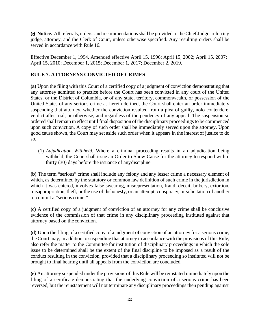**(g) Notice.** All referrals, orders, and recommendations shall be provided to the Chief Judge, referring judge, attorney, and the Clerk of Court, unless otherwise specified. Any resulting orders shall be served in accordance with Rule 16.

Effective December 1, 1994. Amended effective April 15, 1996; April 15, 2002; April 15, 2007; April 15, 2010; December 1, 2015; December 1, 2017; December 2, 2019.

### **RULE 7. ATTORNEYS CONVICTED OF CRIMES**

**(a)** Upon the filing with this Court of a certified copy of a judgment of conviction demonstrating that any attorney admitted to practice before the Court has been convicted in any court of the United States, or the District of Columbia, or of any state, territory, commonwealth, or possession of the United States of any serious crime as herein defined, the Court shall enter an order immediately suspending that attorney, whether the conviction resulted from a plea of guilty, nolo contendere, verdict after trial, or otherwise, and regardless of the pendency of any appeal. The suspension so ordered shall remain in effect until final disposition of the disciplinary proceedings to be commenced upon such conviction. A copy of such order shall be immediately served upon the attorney. Upon good cause shown, the Court may set aside such order when it appears in the interest of justice to do so.

(1) *Adjudication Withheld*. Where a criminal proceeding results in an adjudication being withheld, the Court shall issue an Order to Show Cause for the attorney to respond within thirty (30) days before the issuance of anydiscipline.

**(b)** The term "serious" crime shall include any felony and any lesser crime a necessary element of which, as determined by the statutory or common law definition of such crime in the jurisdiction in which it was entered, involves false swearing, misrepresentation, fraud, deceit, bribery, extortion, misappropriation, theft, or the use of dishonesty, or an attempt, conspiracy, or solicitation of another to commit a "serious crime."

**(c)** A certified copy of a judgment of conviction of an attorney for any crime shall be conclusive evidence of the commission of that crime in any disciplinary proceeding instituted against that attorney based on the conviction.

**(d)** Upon the filing of a certified copy of a judgment of conviction of an attorney for a serious crime, the Court may, in addition to suspending that attorney in accordance with the provisions of this Rule, also refer the matter to the Committee for institution of disciplinary proceedings in which the sole issue to be determined shall be the extent of the final discipline to be imposed as a result of the conduct resulting in the conviction, provided that a disciplinary proceeding so instituted will not be brought to final hearing until all appeals from the conviction are concluded.

**(e)** An attorney suspended under the provisions of this Rule will be reinstated immediately upon the filing of a certificate demonstrating that the underlying conviction of a serious crime has been reversed, but the reinstatement will not terminate any disciplinary proceedings then pending against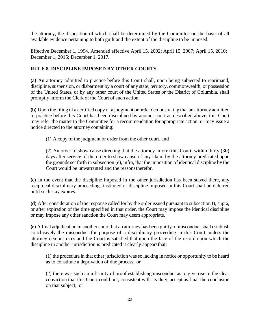the attorney, the disposition of which shall be determined by the Committee on the basis of all available evidence pertaining to both guilt and the extent of the discipline to be imposed.

Effective December 1, 1994. Amended effective April 15, 2002; April 15, 2007; April 15, 2010; December 1, 2015; December 1, 2017.

## **RULE 8. DISCIPLINE IMPOSED BY OTHER COURTS**

**(a)** An attorney admitted to practice before this Court shall, upon being subjected to reprimand, discipline, suspension, or disbarment by a court of any state, territory, commonwealth, or possession of the United States, or by any other court of the United States or the District of Columbia, shall promptly inform the Clerk of the Court of such action.

**(b)** Upon the filing of a certified copy of a judgment or order demonstrating that an attorney admitted to practice before this Court has been disciplined by another court as described above, this Court may refer the matter to the Committee for a recommendation for appropriate action, or may issue a notice directed to the attorney containing:

(1) A copy of the judgment or order from the other court, and

(2) An order to show cause directing that the attorney inform this Court, within thirty (30) days after service of the order to show cause of any claim by the attorney predicated upon the grounds set forth in subsection  $(e)$ , infra, that the imposition of identical discipline by the Court would be unwarranted and the reasonstherefor.

**(c)** In the event that the discipline imposed in the other jurisdiction has been stayed there, any reciprocal disciplinary proceedings instituted or discipline imposed in this Court shall be deferred until such stay expires.

**(d)** After consideration of the response called for by the order issued pursuant to subsection B, supra, or after expiration of the time specified in that order, the Court may impose the identical discipline or may impose any other sanction the Court may deem appropriate.

**(e)** A final adjudication in another court that an attorney has been guilty of misconduct shall establish conclusively the misconduct for purpose of a disciplinary proceeding in this Court, unless the attorney demonstrates and the Court is satisfied that upon the face of the record upon which the discipline in another jurisdiction is predicated it clearly appearsthat:

(1) the procedure in that other jurisdiction wasso lacking in notice or opportunity to be heard as to constitute a deprivation of due process; or

(2) there was such an infirmity of proof establishing misconduct as to give rise to the clear conviction that this Court could not, consistent with its duty, accept as final the conclusion on that subject; or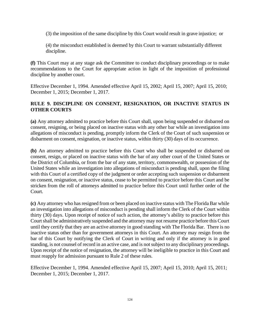(3) the imposition of the same discipline by this Court would result in grave injustice; or

(4) the misconduct established is deemed by this Court to warrant substantially different discipline.

**(f)** This Court may at any stage ask the Committee to conduct disciplinary proceedings or to make recommendations to the Court for appropriate action in light of the imposition of professional discipline by another court.

Effective December 1, 1994. Amended effective April 15, 2002; April 15, 2007; April 15, 2010; December 1, 2015; December 1, 2017.

## **RULE 9. DISCIPLINE ON CONSENT, RESIGNATION, OR INACTIVE STATUS IN OTHER COURTS**

**(a)** Any attorney admitted to practice before this Court shall, upon being suspended or disbarred on consent, resigning, or being placed on inactive status with any other bar while an investigation into allegations of misconduct is pending, promptly inform the Clerk of the Court of such suspension or disbarment on consent, resignation, or inactive status, within thirty (30) days of its occurrence.

**(b)** An attorney admitted to practice before this Court who shall be suspended or disbarred on consent, resign, or placed on inactive status with the bar of any other court of the United States or the District of Columbia, or from the bar of any state, territory, commonwealth, or possession of the United States while an investigation into allegations of misconduct is pending shall, upon the filing with this Court of a certified copy of the judgment or order accepting such suspension or disbarment on consent, resignation, or inactive status, cease to be permitted to practice before this Court and be stricken from the roll of attorneys admitted to practice before this Court until further order of the Court.

**(c)** Any attorney who hasresigned from or been placed on inactive status with The Florida Bar while an investigation into allegations of misconduct is pending shall inform the Clerk of the Court within thirty (30) days. Upon receipt of notice of such action, the attorney's ability to practice before this Courtshall be administratively suspended and the attorney may not resume practice before this Court until they certify that they are an active attorney in good standing with The Florida Bar. There is no inactive status other than for government attorneys in this Court. An attorney may resign from the bar of this Court by notifying the Clerk of Court in writing and only if the attorney is in good standing, is not counsel of record in an active case, and is not subject to any disciplinary proceedings. Upon receipt of the notice of resignation, the attorney will be ineligible to practice in this Court and must reapply for admission pursuant to Rule 2 of these rules.

Effective December 1, 1994. Amended effective April 15, 2007; April 15, 2010; April 15, 2011; December 1, 2015; December 1, 2017.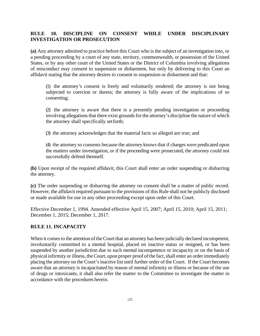## **RULE 10. DISCIPLINE ON CONSENT WHILE UNDER DISCIPLINARY INVESTIGATION OR PROSECUTION**

**(a)** Any attorney admitted to practice before this Court who is the subject of an investigation into, or a pending proceeding by a court of any state, territory, commonwealth, or possession of the United States, or by any other court of the United States or the District of Columbia involving allegations of misconduct may consent to suspension or disbarment, but only by delivering to this Court an affidavit stating that the attorney desires to consent to suspension or disbarment and that:

(1) the attorney's consent is freely and voluntarily rendered; the attorney is not being subjected to coercion or duress; the attorney is fully aware of the implications of so consenting;

(2) the attorney is aware that there is a presently pending investigation or proceeding involving allegations that there exist grounds for the attorney's discipline the nature of which the attorney shall specifically setforth;

(3) the attorney acknowledges that the material facts so alleged are true; and

(4) the attorney so consents because the attorney knows that if charges were predicated upon the matters under investigation, or if the proceeding were prosecuted, the attorney could not successfully defend themself.

**(b)** Upon receipt of the required affidavit, this Court shall enter an order suspending or disbarring the attorney.

**(c)** The order suspending or disbarring the attorney on consent shall be a matter of public record. However, the affidavit required pursuant to the provisions of this Rule shall not be publicly disclosed or made available for use in any other proceeding except upon order of this Court.

Effective December 1, 1994. Amended effective April 15, 2007; April 15, 2010; April 15, 2011; December 1, 2015; December 1, 2017.

### **RULE 11. INCAPACITY**

When it comes to the attention of the Court that an attorney has been judicially declared incompetent, involuntarily committed to a mental hospital, placed on inactive status or resigned, or has been suspended by another jurisdiction due to such mental incompetence or incapacity or on the basis of physical infirmity or illness, the Court, upon proper proof of the fact, shall enter an order immediately placing the attorney on the Court'sinactive list until further order of the Court. If the Court becomes aware that an attorney is incapacitated by reason of mental infirmity or illness or because of the use of drugs or intoxicants, it shall also refer the matter to the Committee to investigate the matter in accordance with the procedures herein.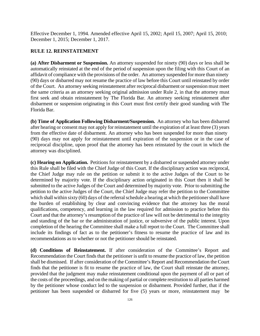Effective December 1, 1994. Amended effective April 15, 2002; April 15, 2007; April 15, 2010; December 1, 2015; December 1, 2017.

### **RULE 12. REINSTATEMENT**

**(a) After Disbarment or Suspension.** An attorney suspended for ninety (90) days or less shall be automatically reinstated at the end of the period of suspension upon the filing with this Court of an affidavit of compliance with the provisions of the order. An attorney suspended for more than ninety (90) days or disbarred may not resume the practice of law before this Court until reinstated by order of the Court. An attorney seeking reinstatement after reciprocal disbarment or suspension must meet the same criteria as an attorney seeking original admission under Rule 2, in that the attorney must first seek and obtain reinstatement by The Florida Bar. An attorney seeking reinstatement after disbarment or suspension originating in this Court must first certify their good standing with The Florida Bar.

**(b) Time of Application Following Disbarment/Suspension.** An attorney who has been disbarred after hearing or consent may not apply for reinstatement until the expiration of at least three (3) years from the effective date of disbarment. An attorney who has been suspended for more than ninety (90) days may not apply for reinstatement until expiration of the suspension or in the case of reciprocal discipline, upon proof that the attorney has been reinstated by the court in which the attorney was disciplined.

**(c) Hearing on Application.** Petitions for reinstatement by a disbarred or suspended attorney under this Rule shall be filed with the Chief Judge of this Court. If the disciplinary action was reciprocal, the Chief Judge may rule on the petition or submit it to the active Judges of the Court to be determined by majority vote. If the disciplinary action originated in this Court then it shall be submitted to the active Judges of the Court and determined by majority vote. Prior to submitting the petition to the active Judges of the Court, the Chief Judge may refer the petition to the Committee which shall within sixty (60) days of the referral schedule a hearing at which the petitioner shall have the burden of establishing by clear and convincing evidence that the attorney has the moral qualifications, competency, and learning in the law required for admission to practice before this Court and that the attorney's resumption of the practice of law will not be detrimental to the integrity and standing of the bar or the administration of justice, or subversive of the public interest. Upon completion of the hearing the Committee shall make a full report to the Court. The Committee shall include its findings of fact as to the petitioner's fitness to resume the practice of law and its recommendations as to whether or not the petitioner should be reinstated.

**(d) Conditions of Reinstatement.** If after consideration of the Committee's Report and Recommendation the Court finds that the petitioner is unfit to resume the practice of law, the petition shall be dismissed. If after consideration of the Committee's Report and Recommendation the Court finds that the petitioner is fit to resume the practice of law, the Court shall reinstate the attorney, provided that the judgment may make reinstatement conditional upon the payment of all or part of the costs of the proceedings, and on the making of partial or complete restitution to all parties harmed by the petitioner whose conduct led to the suspension or disbarment. Provided further, that if the petitioner has been suspended or disbarred for five (5) years or more, reinstatement may be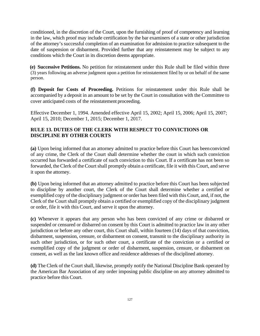conditioned, in the discretion of the Court, upon the furnishing of proof of competency and learning in the law, which proof may include certification by the bar examiners of a state or other jurisdiction of the attorney's successful completion of an examination for admission to practice subsequent to the date of suspension or disbarment. Provided further that any reinstatement may be subject to any conditions which the Court in its discretion deems appropriate.

**(e) Successive Petitions.** No petition for reinstatement under this Rule shall be filed within three (3) years following an adverse judgment upon a petition for reinstatement filed by or on behalf of the same person.

**(f) Deposit for Costs of Proceeding.** Petitions for reinstatement under this Rule shall be accompanied by a deposit in an amount to be set by the Court in consultation with the Committee to cover anticipated costs of the reinstatement proceeding.

Effective December 1, 1994. Amended effective April 15, 2002; April 15, 2006; April 15, 2007; April 15, 2010; December 1, 2015; December 1, 2017.

## **RULE 13. DUTIES OF THE CLERK WITH RESPECT TO CONVICTIONS OR DISCIPLINE BY OTHER COURTS**

**(a)** Upon being informed that an attorney admitted to practice before this Court has beenconvicted of any crime, the Clerk of the Court shall determine whether the court in which such conviction occurred has forwarded a certificate of such conviction to this Court. If a certificate has not been so forwarded, the Clerk of the Court shall promptly obtain a certificate, file it with this Court, and serve it upon the attorney.

**(b)** Upon being informed that an attorney admitted to practice before this Court has been subjected to discipline by another court, the Clerk of the Court shall determine whether a certified or exemplified copy of the disciplinary judgment or order has been filed with this Court, and, if not, the Clerk of the Court shall promptly obtain a certified or exemplified copy of the disciplinary judgment or order, file it with this Court, and serve it upon the attorney.

**(c)** Whenever it appears that any person who has been convicted of any crime or disbarred or suspended or censured or disbarred on consent by this Court is admitted to practice law in any other jurisdiction or before any other court, this Court shall, within fourteen (14) days of that conviction, disbarment, suspension, censure, or disbarment on consent, transmit to the disciplinary authority in such other jurisdiction, or for such other court, a certificate of the conviction or a certified or exemplified copy of the judgment or order of disbarment, suspension, censure, or disbarment on consent, as well as the last known office and residence addresses of the disciplined attorney.

**(d)** The Clerk of the Court shall, likewise, promptly notify the National Discipline Bank operated by the American Bar Association of any order imposing public discipline on any attorney admitted to practice before this Court.